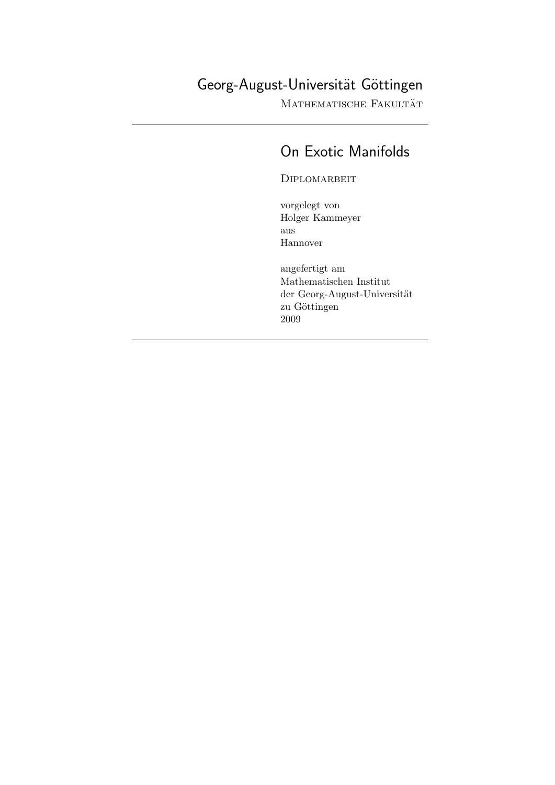# Georg-August-Universität Göttingen

Mathematische Fakultät

# On Exotic Manifolds

**DIPLOMARBEIT** 

vorgelegt von Holger Kammeyer aus Hannover

angefertigt am Mathematischen Institut der Georg-August-Universität zu Göttingen 2009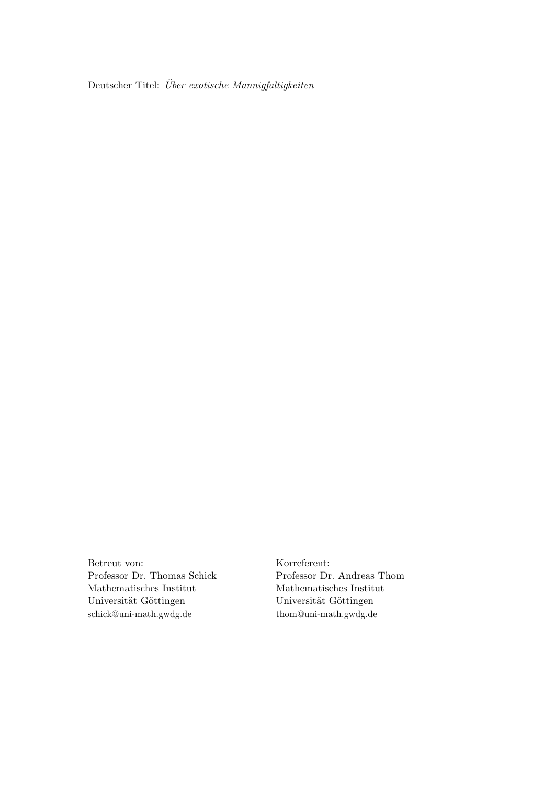Deutscher Titel:  $\ddot{U}ber$  exotische Mannigfaltigkeiten

Betreut von: Korreferent: Mathematisches Institut Mathematisches Institut Universität Göttingen Universität Göttingen schick@uni-math.gwdg.de thom@uni-math.gwdg.de

Professor Dr. Thomas Schick Professor Dr. Andreas Thom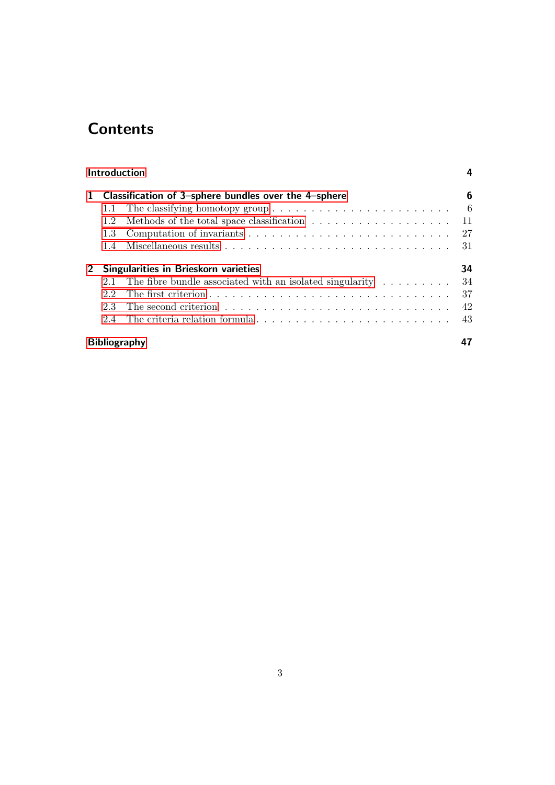# **Contents**

|                                                                      | Introduction |                                                                        |    |  |  |  |  |  |  |
|----------------------------------------------------------------------|--------------|------------------------------------------------------------------------|----|--|--|--|--|--|--|
| Classification of 3-sphere bundles over the 4-sphere<br>$\mathbf{1}$ |              |                                                                        |    |  |  |  |  |  |  |
|                                                                      | 1.1          |                                                                        | -6 |  |  |  |  |  |  |
|                                                                      | 1.2          |                                                                        | 11 |  |  |  |  |  |  |
|                                                                      | 1.3          |                                                                        | 27 |  |  |  |  |  |  |
|                                                                      | 1.4          |                                                                        | 31 |  |  |  |  |  |  |
| $2^{\circ}$                                                          |              | Singularities in Brieskorn varieties                                   | 34 |  |  |  |  |  |  |
|                                                                      | 2.1          | The fibre bundle associated with an isolated singularity $\dots \dots$ | 34 |  |  |  |  |  |  |
|                                                                      | 2.2          |                                                                        | 37 |  |  |  |  |  |  |
|                                                                      | 2.3          |                                                                        | 42 |  |  |  |  |  |  |
|                                                                      | 24           |                                                                        | 43 |  |  |  |  |  |  |
|                                                                      |              | <b>Bibliography</b>                                                    |    |  |  |  |  |  |  |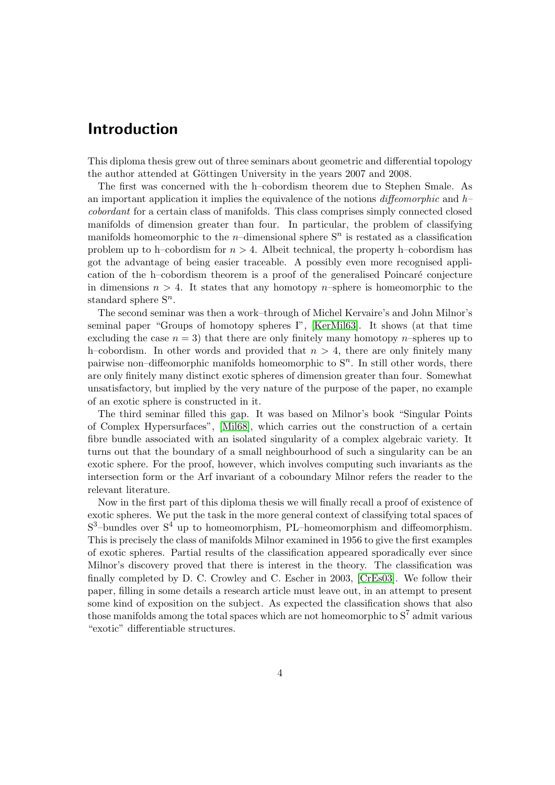## <span id="page-3-0"></span>Introduction

This diploma thesis grew out of three seminars about geometric and differential topology the author attended at Göttingen University in the years 2007 and 2008.

The first was concerned with the h–cobordism theorem due to Stephen Smale. As an important application it implies the equivalence of the notions diffeomorphic and  $h$ cobordant for a certain class of manifolds. This class comprises simply connected closed manifolds of dimension greater than four. In particular, the problem of classifying manifolds homeomorphic to the *n*-dimensional sphere  $S<sup>n</sup>$  is restated as a classification problem up to h–cobordism for  $n > 4$ . Albeit technical, the property h–cobordism has got the advantage of being easier traceable. A possibly even more recognised application of the h–cobordism theorem is a proof of the generalised Poincaré conjecture in dimensions  $n > 4$ . It states that any homotopy *n*-sphere is homeomorphic to the standard sphere  $S^n$ .

The second seminar was then a work–through of Michel Kervaire's and John Milnor's seminal paper "Groups of homotopy spheres I", [\[KerMil63\]](#page-47-0). It shows (at that time excluding the case  $n = 3$ ) that there are only finitely many homotopy n–spheres up to h–cobordism. In other words and provided that  $n > 4$ , there are only finitely many pairwise non-diffeomorphic manifolds homeomorphic to  $S<sup>n</sup>$ . In still other words, there are only finitely many distinct exotic spheres of dimension greater than four. Somewhat unsatisfactory, but implied by the very nature of the purpose of the paper, no example of an exotic sphere is constructed in it.

The third seminar filled this gap. It was based on Milnor's book "Singular Points of Complex Hypersurfaces", [\[Mil68\]](#page-48-0), which carries out the construction of a certain fibre bundle associated with an isolated singularity of a complex algebraic variety. It turns out that the boundary of a small neighbourhood of such a singularity can be an exotic sphere. For the proof, however, which involves computing such invariants as the intersection form or the Arf invariant of a coboundary Milnor refers the reader to the relevant literature.

Now in the first part of this diploma thesis we will finally recall a proof of existence of exotic spheres. We put the task in the more general context of classifying total spaces of  $S^3$ -bundles over  $S^4$  up to homeomorphism, PL-homeomorphism and diffeomorphism. This is precisely the class of manifolds Milnor examined in 1956 to give the first examples of exotic spheres. Partial results of the classification appeared sporadically ever since Milnor's discovery proved that there is interest in the theory. The classification was finally completed by D. C. Crowley and C. Escher in 2003, [\[CrEs03\]](#page-46-1). We follow their paper, filling in some details a research article must leave out, in an attempt to present some kind of exposition on the subject. As expected the classification shows that also those manifolds among the total spaces which are not homeomorphic to  $S^7$  admit various "exotic" differentiable structures.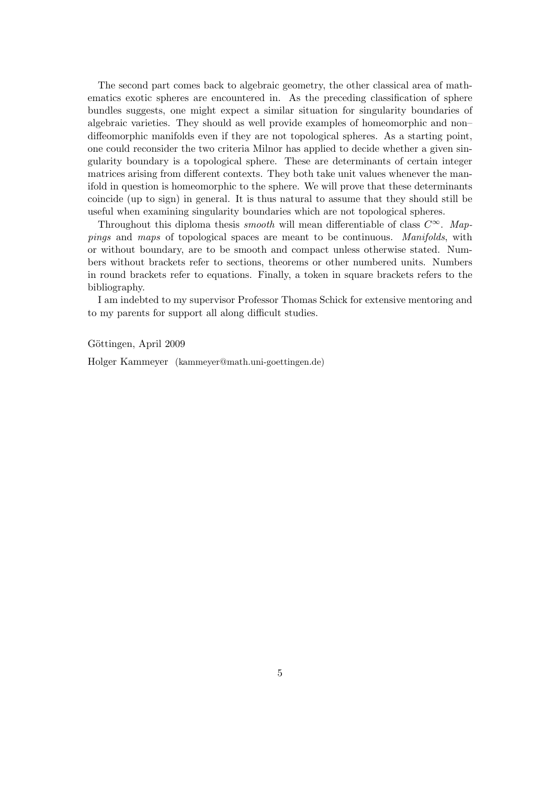The second part comes back to algebraic geometry, the other classical area of mathematics exotic spheres are encountered in. As the preceding classification of sphere bundles suggests, one might expect a similar situation for singularity boundaries of algebraic varieties. They should as well provide examples of homeomorphic and non– diffeomorphic manifolds even if they are not topological spheres. As a starting point, one could reconsider the two criteria Milnor has applied to decide whether a given singularity boundary is a topological sphere. These are determinants of certain integer matrices arising from different contexts. They both take unit values whenever the manifold in question is homeomorphic to the sphere. We will prove that these determinants coincide (up to sign) in general. It is thus natural to assume that they should still be useful when examining singularity boundaries which are not topological spheres.

Throughout this diploma thesis *smooth* will mean differentiable of class  $C^{\infty}$ . Mappings and maps of topological spaces are meant to be continuous. Manifolds, with or without boundary, are to be smooth and compact unless otherwise stated. Numbers without brackets refer to sections, theorems or other numbered units. Numbers in round brackets refer to equations. Finally, a token in square brackets refers to the bibliography.

I am indebted to my supervisor Professor Thomas Schick for extensive mentoring and to my parents for support all along difficult studies.

Göttingen, April 2009

Holger Kammeyer (kammeyer@math.uni-goettingen.de)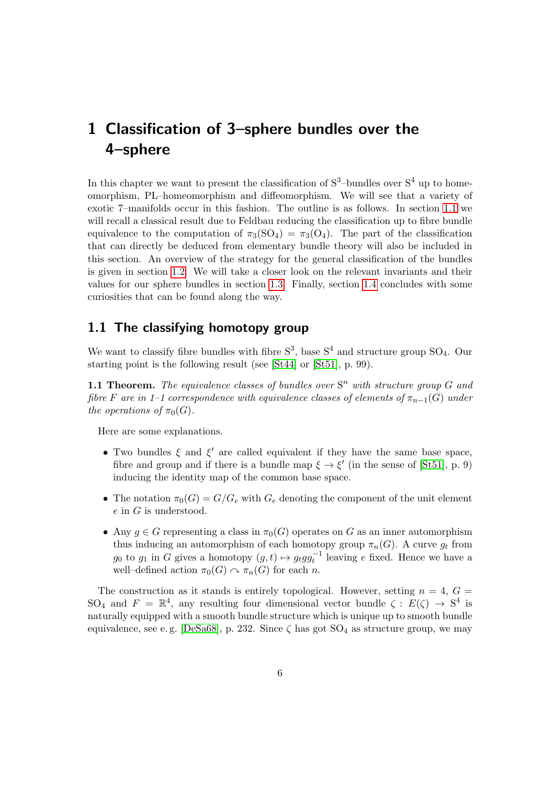<span id="page-5-0"></span>In this chapter we want to present the classification of  $S^3$ -bundles over  $S^4$  up to homeomorphism, PL–homeomorphism and diffeomorphism. We will see that a variety of exotic 7–manifolds occur in this fashion. The outline is as follows. In section [1.1](#page-5-1) we will recall a classical result due to Feldbau reducing the classification up to fibre bundle equivalence to the computation of  $\pi_3(SO_4) = \pi_3(O_4)$ . The part of the classification that can directly be deduced from elementary bundle theory will also be included in this section. An overview of the strategy for the general classification of the bundles is given in section [1.2.](#page-10-0) We will take a closer look on the relevant invariants and their values for our sphere bundles in section [1.3.](#page-26-0) Finally, section [1.4](#page-30-0) concludes with some curiosities that can be found along the way.

## <span id="page-5-1"></span>1.1 The classifying homotopy group

We want to classify fibre bundles with fibre  $S^3$ , base  $S^4$  and structure group  $SO_4$ . Our starting point is the following result (see [\[St44\]](#page-48-1) or [\[St51\]](#page-48-2), p. 99).

<span id="page-5-2"></span>**1.1 Theorem.** The equivalence classes of bundles over  $S<sup>n</sup>$  with structure group  $G$  and fibre F are in 1–1 correspondence with equivalence classes of elements of  $\pi_{n-1}(G)$  under the operations of  $\pi_0(G)$ .

Here are some explanations.

- Two bundles  $\xi$  and  $\xi'$  are called equivalent if they have the same base space, fibre and group and if there is a bundle map  $\xi \to \xi'$  (in the sense of [\[St51\]](#page-48-2), p. 9) inducing the identity map of the common base space.
- The notation  $\pi_0(G) = G/G_e$  with  $G_e$  denoting the component of the unit element e in G is understood.
- Any  $g \in G$  representing a class in  $\pi_0(G)$  operates on G as an inner automorphism thus inducing an automorphism of each homotopy group  $\pi_n(G)$ . A curve  $g_t$  from  $g_0$  to  $g_1$  in G gives a homotopy  $(g, t) \mapsto g_t g g_t^{-1}$  leaving e fixed. Hence we have a well–defined action  $\pi_0(G) \curvearrowright \pi_n(G)$  for each n.

The construction as it stands is entirely topological. However, setting  $n = 4$ ,  $G =$ SO<sub>4</sub> and  $F = \mathbb{R}^4$ , any resulting four dimensional vector bundle  $\zeta : E(\zeta) \to S^4$  is naturally equipped with a smooth bundle structure which is unique up to smooth bundle equivalence, see e.g. [\[DeSa68\]](#page-48-3), p. 232. Since  $\zeta$  has got  $SO_4$  as structure group, we may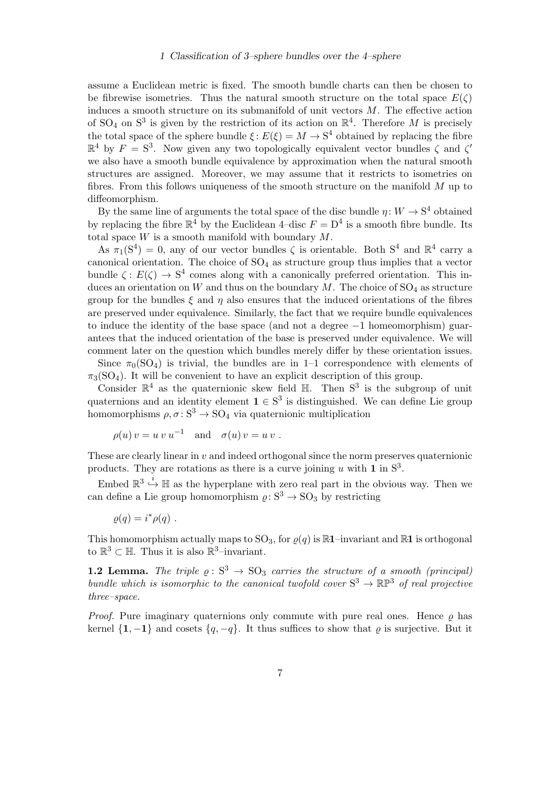assume a Euclidean metric is fixed. The smooth bundle charts can then be chosen to be fibrewise isometries. Thus the natural smooth structure on the total space  $E(\zeta)$ induces a smooth structure on its submanifold of unit vectors  $M$ . The effective action of SO<sub>4</sub> on S<sup>3</sup> is given by the restriction of its action on  $\mathbb{R}^4$ . Therefore M is precisely the total space of the sphere bundle  $\xi: E(\xi) = M \to \mathbb{S}^4$  obtained by replacing the fibre  $\mathbb{R}^4$  by  $F = S^3$ . Now given any two topologically equivalent vector bundles  $\zeta$  and  $\zeta'$ we also have a smooth bundle equivalence by approximation when the natural smooth structures are assigned. Moreover, we may assume that it restricts to isometries on fibres. From this follows uniqueness of the smooth structure on the manifold M up to diffeomorphism.

By the same line of arguments the total space of the disc bundle  $\eta: W \to \mathbb{S}^4$  obtained by replacing the fibre  $\mathbb{R}^4$  by the Euclidean 4-disc  $F = D^4$  is a smooth fibre bundle. Its total space  $W$  is a smooth manifold with boundary  $M$ .

As  $\pi_1(S^4) = 0$ , any of our vector bundles  $\zeta$  is orientable. Both  $S^4$  and  $\mathbb{R}^4$  carry a canonical orientation. The choice of  $SO<sub>4</sub>$  as structure group thus implies that a vector bundle  $\zeta: E(\zeta) \to S^4$  comes along with a canonically preferred orientation. This induces an orientation on W and thus on the boundary M. The choice of  $SO<sub>4</sub>$  as structure group for the bundles  $\xi$  and  $\eta$  also ensures that the induced orientations of the fibres are preserved under equivalence. Similarly, the fact that we require bundle equivalences to induce the identity of the base space (and not a degree −1 homeomorphism) guarantees that the induced orientation of the base is preserved under equivalence. We will comment later on the question which bundles merely differ by these orientation issues.

Since  $\pi_0(SO_4)$  is trivial, the bundles are in 1–1 correspondence with elements of  $\pi_3(SO_4)$ . It will be convenient to have an explicit description of this group.

Consider  $\mathbb{R}^4$  as the quaternionic skew field  $\mathbb{H}$ . Then  $S^3$  is the subgroup of unit quaternions and an identity element  $\mathbf{1} \in \mathbb{S}^3$  is distinguished. We can define Lie group homomorphisms  $\rho, \sigma : S^3 \to SO_4$  via quaternionic multiplication

$$
\rho(u) v = u v u^{-1} \quad \text{and} \quad \sigma(u) v = u v .
$$

These are clearly linear in  $v$  and indeed orthogonal since the norm preserves quaternionic products. They are rotations as there is a curve joining u with 1 in  $S<sup>3</sup>$ .

Embed  $\mathbb{R}^3 \stackrel{i}{\hookrightarrow} \mathbb{H}$  as the hyperplane with zero real part in the obvious way. Then we can define a Lie group homomorphism  $\rho: S^3 \to SO_3$  by restricting

$$
\varrho(q) = i^* \rho(q) .
$$

This homomorphism actually maps to  $SO_3$ , for  $\rho(q)$  is  $\mathbb{R}1$ –invariant and  $\mathbb{R}1$  is orthogonal to  $\mathbb{R}^3 \subset \mathbb{H}$ . Thus it is also  $\mathbb{R}^3$ -invariant.

<span id="page-6-0"></span>1.2 Lemma. The triple  $\rho : S^3 \to SO_3$  carries the structure of a smooth (principal) bundle which is isomorphic to the canonical twofold cover  $S^3 \to \mathbb{RP}^3$  of real projective three–space.

*Proof.* Pure imaginary quaternions only commute with pure real ones. Hence  $\rho$  has kernel  $\{1, -1\}$  and cosets  $\{q, -q\}$ . It thus suffices to show that  $\varrho$  is surjective. But it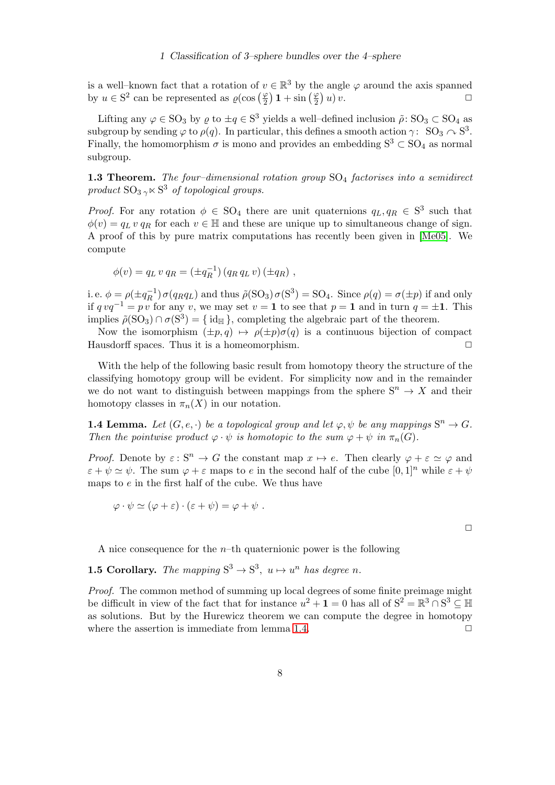is a well–known fact that a rotation of  $v \in \mathbb{R}^3$  by the angle  $\varphi$  around the axis spanned by  $u \in S^2$  can be represented as  $\varrho(\cos\left(\frac{\varphi}{2}\right) \mathbf{1} + \sin\left(\frac{\varphi}{2}\right) u) v$ .

Lifting any  $\varphi \in SO_3$  by  $\varrho$  to  $\pm q \in S^3$  yields a well-defined inclusion  $\tilde{\rho}$ :  $SO_3 \subset SO_4$  as subgroup by sending  $\varphi$  to  $\rho(q)$ . In particular, this defines a smooth action  $\gamma:$   $\,$  SO<sub>3</sub>  $\curvearrowright$  S<sup>3</sup>. Finally, the homomorphism  $\sigma$  is mono and provides an embedding  $S^3 \subset SO_4$  as normal subgroup.

<span id="page-7-1"></span>1.3 Theorem. The four-dimensional rotation group  $SO_4$  factorises into a semidirect product  $\text{SO}_3 \gamma \ltimes \text{S}^3$  of topological groups.

*Proof.* For any rotation  $\phi \in SO_4$  there are unit quaternions  $q_L, q_R \in S^3$  such that  $\phi(v) = q_L v q_R$  for each  $v \in \mathbb{H}$  and these are unique up to simultaneous change of sign. A proof of this by pure matrix computations has recently been given in [\[Me05\]](#page-47-1). We compute

$$
\phi(v) = q_L v q_R = (\pm q_R^{-1}) (q_R q_L v) (\pm q_R) ,
$$

i. e.  $\phi = \rho (\pm q_B^{-1})$  $\chi_R^{-1}$ )  $\sigma(q_R q_L)$  and thus  $\tilde{\rho}(\text{SO}_3)\sigma(\text{S}^3) = \text{SO}_4$ . Since  $\rho(q) = \sigma(\pm p)$  if and only if  $q v q^{-1} = p v$  for any v, we may set  $v = 1$  to see that  $p = 1$  and in turn  $q = \pm 1$ . This implies  $\tilde{\rho}(\text{SO}_3) \cap \sigma(\text{S}^3) = \{\text{id}_{\mathbb{H}}\},\$ completing the algebraic part of the theorem.

Now the isomorphism  $(\pm p, q) \mapsto \rho(\pm p)\sigma(q)$  is a continuous bijection of compact Hausdorff spaces. Thus it is a homeomorphism.  $\Box$ 

With the help of the following basic result from homotopy theory the structure of the classifying homotopy group will be evident. For simplicity now and in the remainder we do not want to distinguish between mappings from the sphere  $S^n \to X$  and their homotopy classes in  $\pi_n(X)$  in our notation.

<span id="page-7-0"></span>**1.4 Lemma.** Let  $(G, e, \cdot)$  be a topological group and let  $\varphi, \psi$  be any mappings  $S^n \to G$ . Then the pointwise product  $\varphi \cdot \psi$  is homotopic to the sum  $\varphi + \psi$  in  $\pi_n(G)$ .

*Proof.* Denote by  $\varepsilon$ :  $S^n \to G$  the constant map  $x \mapsto e$ . Then clearly  $\varphi + \varepsilon \simeq \varphi$  and  $\varepsilon + \psi \simeq \psi$ . The sum  $\varphi + \varepsilon$  maps to e in the second half of the cube  $[0, 1]^n$  while  $\varepsilon + \psi$ maps to e in the first half of the cube. We thus have

$$
\varphi \cdot \psi \simeq (\varphi + \varepsilon) \cdot (\varepsilon + \psi) = \varphi + \psi.
$$

 $\Box$ 

A nice consequence for the  $n$ –th quaternionic power is the following

<span id="page-7-2"></span>**1.5 Corollary.** The mapping  $S^3 \to S^3$ ,  $u \mapsto u^n$  has degree n.

Proof. The common method of summing up local degrees of some finite preimage might be difficult in view of the fact that for instance  $u^2 + 1 = 0$  has all of  $S^2 = \mathbb{R}^3 \cap S^3 \subseteq \mathbb{H}$ as solutions. But by the Hurewicz theorem we can compute the degree in homotopy where the assertion is immediate from lemma [1.4.](#page-7-0)  $\Box$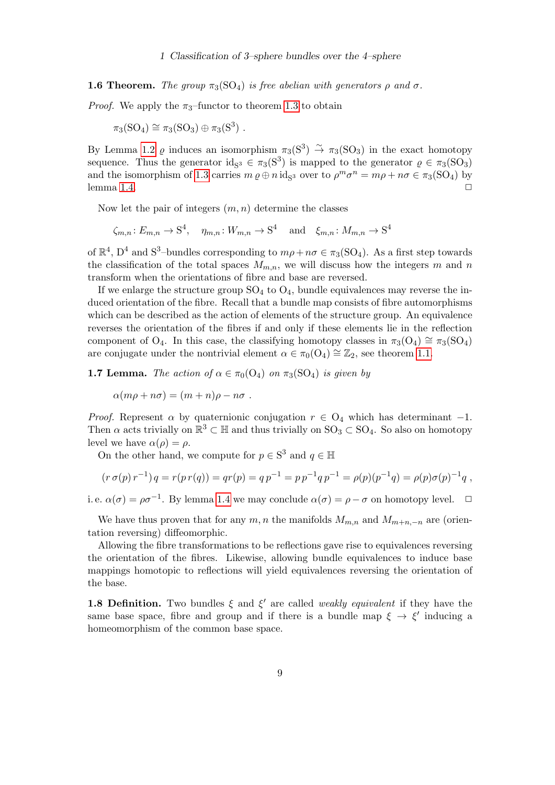**1.6 Theorem.** The group  $\pi_3(SO_4)$  is free abelian with generators  $\rho$  and  $\sigma$ .

*Proof.* We apply the  $\pi_3$ -functor to theorem [1.3](#page-7-1) to obtain

$$
\pi_3(SO_4) \cong \pi_3(SO_3) \oplus \pi_3(S^3) .
$$

By Lemma [1.2](#page-6-0)  $\varrho$  induces an isomorphism  $\pi_3(S^3) \stackrel{\sim}{\to} \pi_3(SO_3)$  in the exact homotopy sequence. Thus the generator  $id_{S^3} \in \pi_3(S^3)$  is mapped to the generator  $\varrho \in \pi_3(SO_3)$ and the isomorphism of [1.3](#page-7-1) carries  $m \varrho \oplus n \text{ id}_{S^3}$  over to  $\rho^m \sigma^n = m\rho + n\sigma \in \pi_3(SO_4)$  by lemma [1.4.](#page-7-0)  $\Box$ 

Now let the pair of integers  $(m, n)$  determine the classes

 $\zeta_{m,n}: E_{m,n} \to \mathbf{S}^4$ ,  $\eta_{m,n}: W_{m,n} \to \mathbf{S}^4$  and  $\xi_{m,n}: M_{m,n} \to \mathbf{S}^4$ 

of  $\mathbb{R}^4$ ,  $D^4$  and  $S^3$ -bundles corresponding to  $m\rho + n\sigma \in \pi_3(SO_4)$ . As a first step towards the classification of the total spaces  $M_{m,n}$ , we will discuss how the integers m and n transform when the orientations of fibre and base are reversed.

If we enlarge the structure group  $SO_4$  to  $O_4$ , bundle equivalences may reverse the induced orientation of the fibre. Recall that a bundle map consists of fibre automorphisms which can be described as the action of elements of the structure group. An equivalence reverses the orientation of the fibres if and only if these elements lie in the reflection component of O<sub>4</sub>. In this case, the classifying homotopy classes in  $\pi_3(O_4) \cong \pi_3(SO_4)$ are conjugate under the nontrivial element  $\alpha \in \pi_0(\Omega_4) \cong \mathbb{Z}_2$ , see theorem [1.1.](#page-5-2)

**1.7 Lemma.** The action of  $\alpha \in \pi_0(\Omega_4)$  on  $\pi_3(SO_4)$  is given by

$$
\alpha(m\rho + n\sigma) = (m+n)\rho - n\sigma.
$$

*Proof.* Represent  $\alpha$  by quaternionic conjugation  $r \in O_4$  which has determinant -1. Then  $\alpha$  acts trivially on  $\mathbb{R}^3 \subset \mathbb{H}$  and thus trivially on  $\text{SO}_3 \subset \text{SO}_4$ . So also on homotopy level we have  $\alpha(\rho) = \rho$ .

On the other hand, we compute for  $p \in \mathbb{S}^3$  and  $q \in \mathbb{H}$ 

$$
(r \sigma(p) r^{-1}) q = r(p r(q)) = qr(p) = q p^{-1} = p p^{-1} q p^{-1} = \rho(p) (p^{-1} q) = \rho(p) \sigma(p)^{-1} q,
$$

i. e.  $\alpha(\sigma) = \rho \sigma^{-1}$ . By lemma [1.4](#page-7-0) we may conclude  $\alpha(\sigma) = \rho - \sigma$  on homotopy level.  $\Box$ 

We have thus proven that for any  $m, n$  the manifolds  $M_{m,n}$  and  $M_{m+n,-n}$  are (orientation reversing) diffeomorphic.

Allowing the fibre transformations to be reflections gave rise to equivalences reversing the orientation of the fibres. Likewise, allowing bundle equivalences to induce base mappings homotopic to reflections will yield equivalences reversing the orientation of the base.

**1.8 Definition.** Two bundles  $\xi$  and  $\xi'$  are called *weakly equivalent* if they have the same base space, fibre and group and if there is a bundle map  $\xi \to \xi'$  inducing a homeomorphism of the common base space.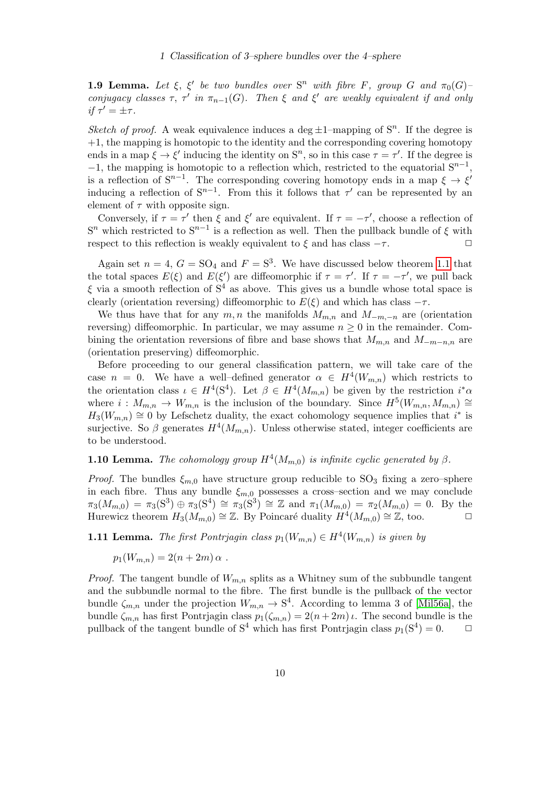<span id="page-9-0"></span>**1.9 Lemma.** Let  $\xi$ ,  $\xi'$  be two bundles over  $S^n$  with fibre F, group G and  $\pi_0(G)$ conjugacy classes  $\tau$ ,  $\tau'$  in  $\pi_{n-1}(G)$ . Then  $\xi$  and  $\xi'$  are weakly equivalent if and only if  $\tau' = \pm \tau$ .

Sketch of proof. A weak equivalence induces a deg  $\pm 1$ -mapping of  $S<sup>n</sup>$ . If the degree is  $+1$ , the mapping is homotopic to the identity and the corresponding covering homotopy ends in a map  $\xi \to \xi'$  inducing the identity on  $S^n$ , so in this case  $\tau = \tau'$ . If the degree is  $-1$ , the mapping is homotopic to a reflection which, restricted to the equatorial  $S^{n-1}$ , is a reflection of  $S^{n-1}$ . The corresponding covering homotopy ends in a map  $\xi \to \xi'$ inducing a reflection of  $S^{n-1}$ . From this it follows that  $\tau'$  can be represented by an element of  $\tau$  with opposite sign.

Conversely, if  $\tau = \tau'$  then  $\xi$  and  $\xi'$  are equivalent. If  $\tau = -\tau'$ , choose a reflection of  $S<sup>n</sup>$  which restricted to  $S<sup>n-1</sup>$  is a reflection as well. Then the pullback bundle of  $\xi$  with respect to this reflection is weakly equivalent to  $\xi$  and has class  $-\tau$ .

Again set  $n = 4$ ,  $G = SO_4$  and  $F = S^3$ . We have discussed below theorem [1.1](#page-5-2) that the total spaces  $E(\xi)$  and  $E(\xi')$  are diffeomorphic if  $\tau = \tau'$ . If  $\tau = -\tau'$ , we pull back  $\xi$  via a smooth reflection of  $S<sup>4</sup>$  as above. This gives us a bundle whose total space is clearly (orientation reversing) diffeomorphic to  $E(\xi)$  and which has class  $-\tau$ .

We thus have that for any  $m, n$  the manifolds  $M_{m,n}$  and  $M_{-m,-n}$  are (orientation reversing) diffeomorphic. In particular, we may assume  $n \geq 0$  in the remainder. Combining the orientation reversions of fibre and base shows that  $M_{m,n}$  and  $M_{-m-n,n}$  are (orientation preserving) diffeomorphic.

Before proceeding to our general classification pattern, we will take care of the case  $n = 0$ . We have a well-defined generator  $\alpha \in H^4(W_{m,n})$  which restricts to the orientation class  $\iota \in H^4(\mathbb{S}^4)$ . Let  $\beta \in H^4(M_{m,n})$  be given by the restriction  $i^*\alpha$ where  $i: M_{m,n} \to W_{m,n}$  is the inclusion of the boundary. Since  $H^5(W_{m,n}, M_{m,n}) \cong$  $H_3(W_{m,n}) \cong 0$  by Lefschetz duality, the exact cohomology sequence implies that  $i^*$  is surjective. So  $\beta$  generates  $H^4(M_{m,n})$ . Unless otherwise stated, integer coefficients are to be understood.

## <span id="page-9-1"></span>**1.10 Lemma.** The cohomology group  $H^4(M_{m,0})$  is infinite cyclic generated by  $\beta$ .

*Proof.* The bundles  $\xi_{m,0}$  have structure group reducible to SO<sub>3</sub> fixing a zero–sphere in each fibre. Thus any bundle  $\xi_{m,0}$  possesses a cross–section and we may conclude  $\pi_3(M_{m,0}) = \pi_3(S^3) \oplus \pi_3(S^4) \cong \pi_3(S^3) \cong \mathbb{Z}$  and  $\pi_1(M_{m,0}) = \pi_2(M_{m,0}) = 0$ . By the Hurewicz theorem  $H_3(M_{m,0}) \cong \mathbb{Z}$ . By Poincaré duality  $H^4(M_{m,0}) \cong \mathbb{Z}$ , too.

<span id="page-9-2"></span>**1.11 Lemma.** The first Pontrjagin class  $p_1(W_{m,n}) \in H^4(W_{m,n})$  is given by

$$
p_1(W_{m,n})=2(n+2m)\alpha.
$$

*Proof.* The tangent bundle of  $W_{m,n}$  splits as a Whitney sum of the subbundle tangent and the subbundle normal to the fibre. The first bundle is the pullback of the vector bundle  $\zeta_{m,n}$  under the projection  $W_{m,n} \to \mathbb{S}^4$ . According to lemma 3 of [\[Mil56a\]](#page-47-2), the bundle  $\zeta_{m,n}$  has first Pontrjagin class  $p_1(\zeta_{m,n}) = 2(n+2m)\iota$ . The second bundle is the pullback of the tangent bundle of  $S^4$  which has first Pontrjagin class  $p_1(S^4) = 0$ .  $\Box$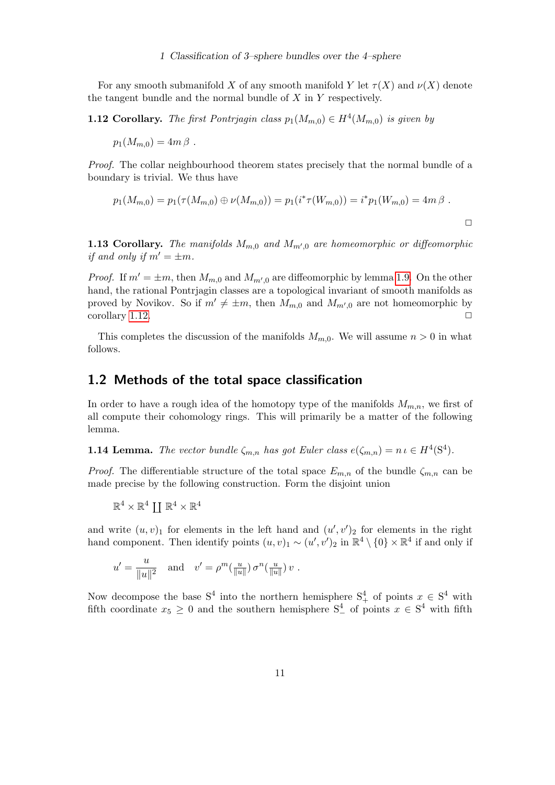For any smooth submanifold X of any smooth manifold Y let  $\tau(X)$  and  $\nu(X)$  denote the tangent bundle and the normal bundle of  $X$  in  $Y$  respectively.

<span id="page-10-1"></span>**1.12 Corollary.** The first Pontrjagin class  $p_1(M_{m,0}) \in H^4(M_{m,0})$  is given by

$$
p_1(M_{m,0})=4m\,\beta.
$$

Proof. The collar neighbourhood theorem states precisely that the normal bundle of a boundary is trivial. We thus have

$$
p_1(M_{m,0}) = p_1(\tau(M_{m,0}) \oplus \nu(M_{m,0})) = p_1(i^*\tau(W_{m,0})) = i^*p_1(W_{m,0}) = 4m\beta.
$$

**1.13 Corollary.** The manifolds  $M_{m,0}$  and  $M_{m',0}$  are homeomorphic or diffeomorphic if and only if  $m' = \pm m$ .

*Proof.* If  $m' = \pm m$ , then  $M_{m,0}$  and  $M_{m',0}$  are diffeomorphic by lemma [1.9.](#page-9-0) On the other hand, the rational Pontrjagin classes are a topological invariant of smooth manifolds as proved by Novikov. So if  $m' \neq \pm m$ , then  $M_{m,0}$  and  $M_{m',0}$  are not homeomorphic by corollary [1.12.](#page-10-1)  $\Box$ 

This completes the discussion of the manifolds  $M_{m,0}$ . We will assume  $n > 0$  in what follows.

### <span id="page-10-0"></span>1.2 Methods of the total space classification

In order to have a rough idea of the homotopy type of the manifolds  $M_{m,n}$ , we first of all compute their cohomology rings. This will primarily be a matter of the following lemma.

<span id="page-10-2"></span>**1.14 Lemma.** The vector bundle  $\zeta_{m,n}$  has got Euler class  $e(\zeta_{m,n}) = n \iota \in H^4(\mathbb{S}^4)$ .

*Proof.* The differentiable structure of the total space  $E_{m,n}$  of the bundle  $\zeta_{m,n}$  can be made precise by the following construction. Form the disjoint union

$$
\mathbb{R}^4\times\mathbb{R}^4\coprod\mathbb{R}^4\times\mathbb{R}^4
$$

and write  $(u, v)_1$  for elements in the left hand and  $(u', v')_2$  for elements in the right hand component. Then identify points  $(u, v)_1 \sim (u', v')_2$  in  $\mathbb{R}^4 \setminus \{0\} \times \mathbb{R}^4$  if and only if

$$
u' = \frac{u}{\|u\|^2} \quad \text{and} \quad v' = \rho^m(\tfrac{u}{\|u\|}) \sigma^n(\tfrac{u}{\|u\|}) v.
$$

Now decompose the base  $S^4$  into the northern hemisphere  $S^4_+$  of points  $x \in S^4$  with fifth coordinate  $x_5 \geq 0$  and the southern hemisphere  $S^4$  of points  $x \in S^4$  with fifth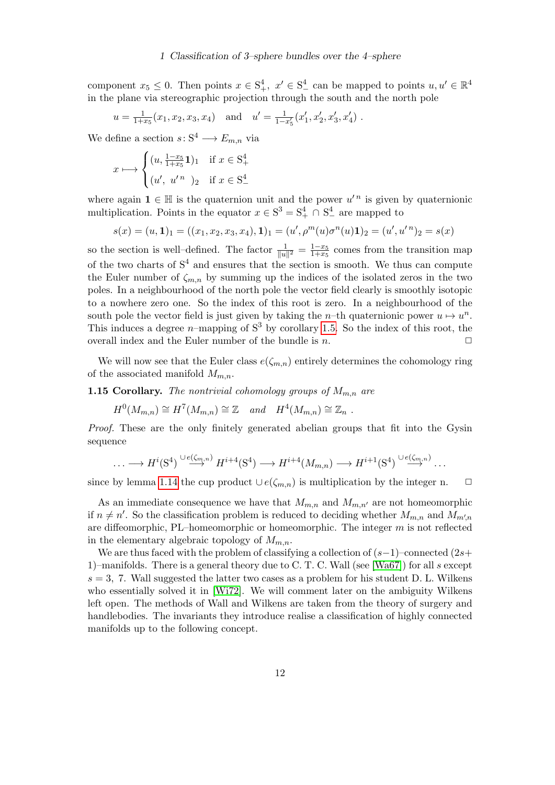component  $x_5 \leq 0$ . Then points  $x \in S^4_+$ ,  $x' \in S^4_-$  can be mapped to points  $u, u' \in \mathbb{R}^4$ in the plane via stereographic projection through the south and the north pole

$$
u = \frac{1}{1+x_5}(x_1, x_2, x_3, x_4)
$$
 and  $u' = \frac{1}{1-x'_5}(x'_1, x'_2, x'_3, x'_4)$ .

We define a section  $s: S^4 \longrightarrow E_{m,n}$  via

$$
x \longmapsto \begin{cases} (u, \frac{1-x_5}{1+x_5}1)_1 & \text{if } x \in S_+^4 \\ (u', u'^n)_2 & \text{if } x \in S_-^4 \end{cases}
$$

where again  $\mathbf{1} \in \mathbb{H}$  is the quaternion unit and the power  $u'^n$  is given by quaternionic multiplication. Points in the equator  $x \in S^3 = S^4_+ \cap S^4_-$  are mapped to

$$
s(x) = (u, 1)1 = ((x1, x2, x3, x4), 1)1 = (u', \rhom(u)\sigman(u)1)2 = (u', u'n)2 = s(x)
$$

so the section is well-defined. The factor  $\frac{1}{\|u\|^2} = \frac{1-x_5}{1+x_5}$  $\frac{1-x_5}{1+x_5}$  comes from the transition map of the two charts of  $S<sup>4</sup>$  and ensures that the section is smooth. We thus can compute the Euler number of  $\zeta_{m,n}$  by summing up the indices of the isolated zeros in the two poles. In a neighbourhood of the north pole the vector field clearly is smoothly isotopic to a nowhere zero one. So the index of this root is zero. In a neighbourhood of the south pole the vector field is just given by taking the n–th quaternionic power  $u \mapsto u^n$ . This induces a degree *n*–mapping of  $S<sup>3</sup>$  by corollary [1.5.](#page-7-2) So the index of this root, the overall index and the Euler number of the bundle is  $n$ .  $\Box$ 

We will now see that the Euler class  $e(\zeta_{m,n})$  entirely determines the cohomology ring of the associated manifold  $M_{m,n}$ .

**1.15 Corollary.** The nontrivial cohomology groups of  $M_{m,n}$  are

$$
H^0(M_{m,n}) \cong H^7(M_{m,n}) \cong \mathbb{Z} \quad and \quad H^4(M_{m,n}) \cong \mathbb{Z}_n .
$$

Proof. These are the only finitely generated abelian groups that fit into the Gysin sequence

$$
\ldots \longrightarrow H^{i}(S^{4}) \stackrel{\cup e(\zeta_{m,n})}{\longrightarrow} H^{i+4}(S^{4}) \longrightarrow H^{i+4}(M_{m,n}) \longrightarrow H^{i+1}(S^{4}) \stackrel{\cup e(\zeta_{m,n})}{\longrightarrow} \ldots
$$

since by lemma [1.14](#page-10-2) the cup product  $\cup e(\zeta_{m,n})$  is multiplication by the integer n.  $\Box$ 

As an immediate consequence we have that  $M_{m,n}$  and  $M_{m,n'}$  are not homeomorphic if  $n \neq n'$ . So the classification problem is reduced to deciding whether  $M_{m,n}$  and  $M_{m',n}$ are diffeomorphic, PL–homeomorphic or homeomorphic. The integer  $m$  is not reflected in the elementary algebraic topology of  $M_{m,n}$ .

We are thus faced with the problem of classifying a collection of  $(s-1)$ –connected  $(2s+$ 1)–manifolds. There is a general theory due to C. T. C. Wall (see [\[Wa67\]](#page-49-0)) for all s except  $s = 3$ , 7. Wall suggested the latter two cases as a problem for his student D. L. Wilkens who essentially solved it in [\[Wi72\]](#page-49-1). We will comment later on the ambiguity Wilkens left open. The methods of Wall and Wilkens are taken from the theory of surgery and handlebodies. The invariants they introduce realise a classification of highly connected manifolds up to the following concept.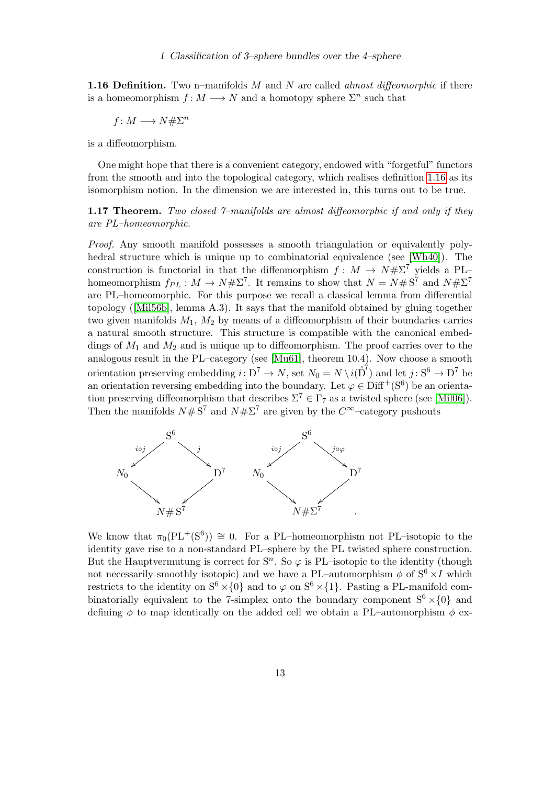<span id="page-12-0"></span>**1.16 Definition.** Two n–manifolds  $M$  and  $N$  are called *almost diffeomorphic* if there is a homeomorphism  $f: M \longrightarrow N$  and a homotopy sphere  $\Sigma^n$  such that

$$
f\colon M\longrightarrow N\#\Sigma^n
$$

is a diffeomorphism.

One might hope that there is a convenient category, endowed with "forgetful" functors from the smooth and into the topological category, which realises definition [1.16](#page-12-0) as its isomorphism notion. In the dimension we are interested in, this turns out to be true.

<span id="page-12-1"></span>1.17 Theorem. Two closed  $\gamma$ -manifolds are almost diffeomorphic if and only if they are PL–homeomorphic.

Proof. Any smooth manifold possesses a smooth triangulation or equivalently polyhedral structure which is unique up to combinatorial equivalence (see [\[Wh40\]](#page-49-2)). The construction is functorial in that the diffeomorphism  $f : M \to N \# \Sigma^7$  yields a PL– homeomorphism  $f_{PL}: M \to N# \Sigma^7$ . It remains to show that  $N = N# S^7$  and  $N# \Sigma^7$ are PL–homeomorphic. For this purpose we recall a classical lemma from differential topology([\[Mil56b\]](#page-47-3), lemma A.3). It says that the manifold obtained by gluing together two given manifolds  $M_1$ ,  $M_2$  by means of a diffeomorphism of their boundaries carries a natural smooth structure. This structure is compatible with the canonical embeddings of  $M_1$  and  $M_2$  and is unique up to diffeomorphism. The proof carries over to the analogous result in the PL–category (see [\[Mu61\]](#page-48-4), theorem 10.4). Now choose a smooth orientation preserving embedding  $i: D^7 \to N$ , set  $N_0 = N \setminus i(\overset{\circ}{D}^7)$  and let  $j: S^6 \to D^7$  be an orientation reversing embedding into the boundary. Let  $\varphi \in \text{Diff}^+(S^6)$  be an orientation preserving diffeomorphism that describes  $\Sigma^7 \in \Gamma_7$  as a twisted sphere (see [\[Mil06\]](#page-48-5)). Then the manifolds  $N \# S^7$  and  $N \# \Sigma^7$  are given by the  $C^{\infty}$ -category pushouts



We know that  $\pi_0(PL^+(S^6)) \cong 0$ . For a PL–homeomorphism not PL–isotopic to the identity gave rise to a non-standard PL–sphere by the PL twisted sphere construction. But the Hauptvermutung is correct for  $S<sup>n</sup>$ . So  $\varphi$  is PL-isotopic to the identity (though not necessarily smoothly isotopic) and we have a PL–automorphism  $\phi$  of  $S^6 \times I$  which restricts to the identity on  $S^6 \times \{0\}$  and to  $\varphi$  on  $S^6 \times \{1\}$ . Pasting a PL-manifold combinatorially equivalent to the 7-simplex onto the boundary component  $S^6 \times \{0\}$  and defining  $\phi$  to map identically on the added cell we obtain a PL–automorphism  $\phi$  ex-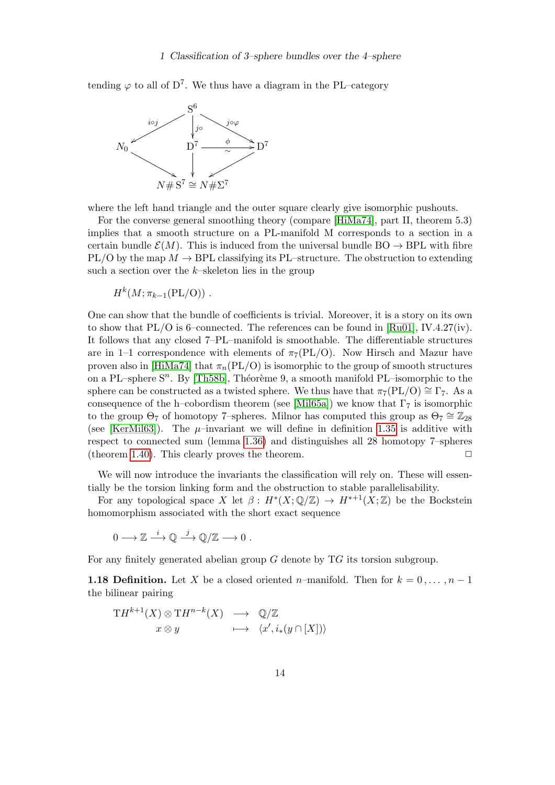tending  $\varphi$  to all of D<sup>7</sup>. We thus have a diagram in the PL–category



where the left hand triangle and the outer square clearly give isomorphic pushouts.

For the converse general smoothing theory (compare [\[HiMa74\]](#page-46-2), part II, theorem 5.3) implies that a smooth structure on a PL-manifold M corresponds to a section in a certain bundle  $\mathcal{E}(M)$ . This is induced from the universal bundle BO  $\rightarrow$  BPL with fibre PL/O by the map  $M \to \text{BPL}$  classifying its PL–structure. The obstruction to extending such a section over the  $k$ -skeleton lies in the group

 $H^{k}(M;\pi_{k-1}(\rm{PL/O}))$ .

One can show that the bundle of coefficients is trivial. Moreover, it is a story on its own to show that  $PL/O$  is 6–connected. The references can be found in [\[Ru01\]](#page-48-6), IV.4.27(iv). It follows that any closed 7–PL–manifold is smoothable. The differentiable structures are in 1–1 correspondence with elements of  $\pi_7(PL/O)$ . Now Hirsch and Mazur have proven also in [\[HiMa74\]](#page-46-2) that  $\pi_n(PL/O)$  is isomorphic to the group of smooth structures on a PL–sphere  $S<sup>n</sup>$ . By [\[Th58b\]](#page-49-3), Théorème 9, a smooth manifold PL–isomorphic to the sphere can be constructed as a twisted sphere. We thus have that  $\pi_7(PL/O) \cong \Gamma_7$ . As a consequence of the h–cobordism theorem (see [\[Mil65a\]](#page-48-7)) we know that  $\Gamma_7$  is isomorphic to the group  $\Theta_7$  of homotopy 7–spheres. Milnor has computed this group as  $\Theta_7 \cong \mathbb{Z}_{28}$ (see [\[KerMil63\]](#page-47-0)). The  $\mu$ -invariant we will define in definition [1.35](#page-20-0) is additive with respect to connected sum (lemma [1.36\)](#page-20-1) and distinguishes all 28 homotopy 7–spheres (theorem [1.40\)](#page-24-0). This clearly proves the theorem.  $\Box$ 

We will now introduce the invariants the classification will rely on. These will essentially be the torsion linking form and the obstruction to stable parallelisability.

For any topological space X let  $\beta: H^*(X; \mathbb{Q}/\mathbb{Z}) \to H^{*+1}(X; \mathbb{Z})$  be the Bockstein homomorphism associated with the short exact sequence

 $0 \longrightarrow \mathbb{Z} \stackrel{i}{\longrightarrow} \mathbb{Q} \stackrel{j}{\longrightarrow} \mathbb{Q}/\mathbb{Z} \longrightarrow 0$ .

For any finitely generated abelian group  $G$  denote by  $T G$  its torsion subgroup.

<span id="page-13-0"></span>**1.18 Definition.** Let X be a closed oriented n–manifold. Then for  $k = 0, \ldots, n-1$ the bilinear pairing

$$
TH^{k+1}(X) \otimes TH^{n-k}(X) \longrightarrow \mathbb{Q}/\mathbb{Z}
$$
  

$$
x \otimes y \longmapsto \langle x', i_*(y \cap [X]) \rangle
$$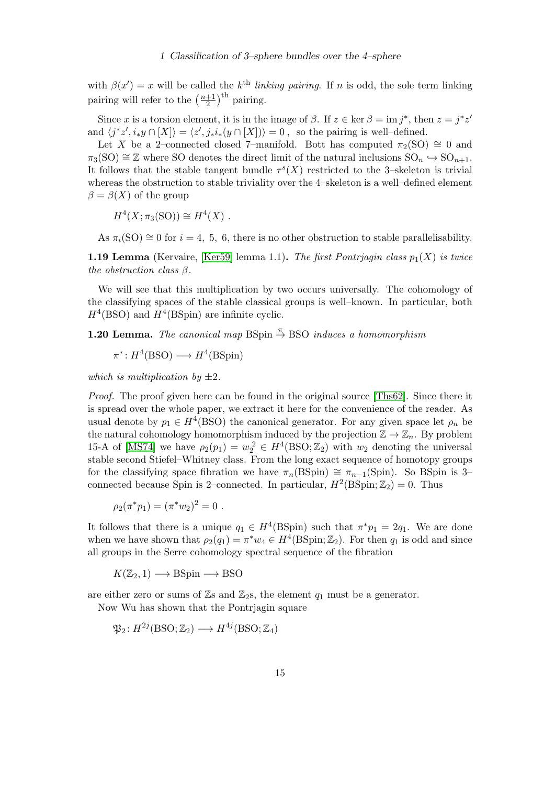with  $\beta(x') = x$  will be called the k<sup>th</sup> linking pairing. If n is odd, the sole term linking pairing will refer to the  $\left(\frac{n+1}{2}\right)$  $\frac{+1}{2}$ <sup>th</sup> pairing.

Since x is a torsion element, it is in the image of  $\beta$ . If  $z \in \text{ker } \beta = \text{im } j^*$ , then  $z = j^*z'$ and  $\langle j^*z', i_*y \cap [X] \rangle = \langle z', j_*i_*(y \cap [X]) \rangle = 0$ , so the pairing is well–defined.

Let X be a 2–connected closed 7–manifold. Bott has computed  $\pi_2(SO) \cong 0$  and  $\pi_3(SO) \cong \mathbb{Z}$  where SO denotes the direct limit of the natural inclusions  $SO_n \hookrightarrow SO_{n+1}$ . It follows that the stable tangent bundle  $\tau^s(X)$  restricted to the 3-skeleton is trivial whereas the obstruction to stable triviality over the 4–skeleton is a well–defined element  $\beta = \beta(X)$  of the group

$$
H^4(X; \pi_3(\mathrm{SO})) \cong H^4(X) .
$$

As  $\pi_i(SO) \cong 0$  for  $i = 4, 5, 6$ , there is no other obstruction to stable parallelisability.

<span id="page-14-1"></span>**1.19 Lemma** (Kervaire, [\[Ker59\]](#page-47-4) lemma 1.1). The first Pontriagin class  $p_1(X)$  is twice the obstruction class  $\beta$ .

We will see that this multiplication by two occurs universally. The cohomology of the classifying spaces of the stable classical groups is well–known. In particular, both  $H^4(\text{BSO})$  and  $H^4(\text{BSpin})$  are infinite cyclic.

<span id="page-14-0"></span>**1.20 Lemma.** The canonical map BSpin  $\stackrel{\pi}{\rightarrow}$  BSO induces a homomorphism

$$
\pi^*: H^4(BSO) \longrightarrow H^4(BSpin)
$$

which is multiplication by  $\pm 2$ .

*Proof.* The proof given here can be found in the original source [\[Ths62\]](#page-49-4). Since there it is spread over the whole paper, we extract it here for the convenience of the reader. As usual denote by  $p_1 \in H^4(\text{BSO})$  the canonical generator. For any given space let  $\rho_n$  be the natural cohomology homomorphism induced by the projection  $\mathbb{Z} \to \mathbb{Z}_n$ . By problem 15-A of [\[MS74\]](#page-48-8) we have  $\rho_2(p_1) = w_2^2 \in H^4(\text{BSO}; \mathbb{Z}_2)$  with  $w_2$  denoting the universal stable second Stiefel–Whitney class. From the long exact sequence of homotopy groups for the classifying space fibration we have  $\pi_n(BSpin) \cong \pi_{n-1}(Spin)$ . So BSpin is 3– connected because Spin is 2–connected. In particular,  $H^2(\text{BSpin};\mathbb{Z}_2) = 0$ . Thus

$$
\rho_2(\pi^*p_1)=(\pi^*w_2)^2=0.
$$

It follows that there is a unique  $q_1 \in H^4(\text{BSpin})$  such that  $\pi^* p_1 = 2q_1$ . We are done when we have shown that  $\rho_2(q_1) = \pi^* w_4 \in H^4(\mathrm{BSpin}; \mathbb{Z}_2)$ . For then  $q_1$  is odd and since all groups in the Serre cohomology spectral sequence of the fibration

 $K(\mathbb{Z}_2, 1) \longrightarrow \text{BSpin} \longrightarrow \text{BSO}$ 

are either zero or sums of  $\mathbb{Z}_s$  and  $\mathbb{Z}_2$ s, the element  $q_1$  must be a generator.

Now Wu has shown that the Pontrjagin square

 $\mathfrak{P}_2\colon H^{2j}(\mathrm{B}{\rm SO};\mathbb{Z}_2)\longrightarrow H^{4j}(\mathrm{B}{\rm SO};\mathbb{Z}_4)$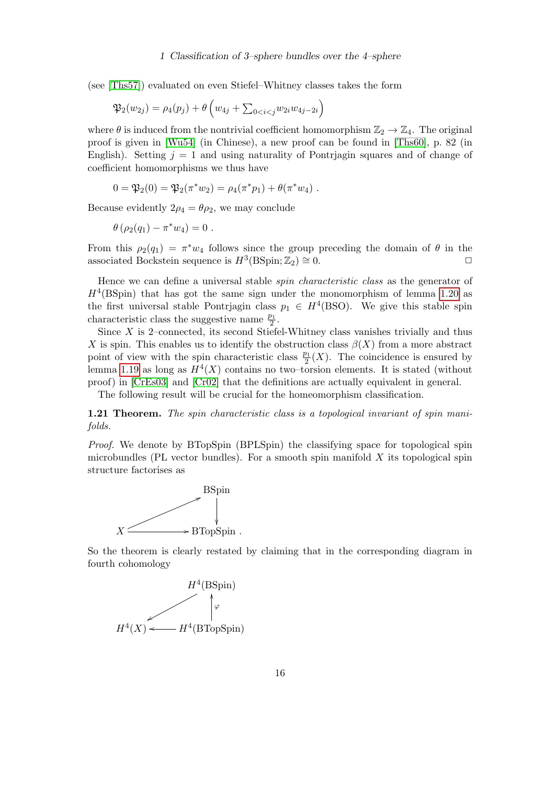(see [\[Ths57\]](#page-49-5)) evaluated on even Stiefel–Whitney classes takes the form

$$
\mathfrak{P}_2(w_{2j}) = \rho_4(p_j) + \theta \left( w_{4j} + \sum_{0 < i < j} w_{2i} w_{4j - 2i} \right)
$$

where  $\theta$  is induced from the nontrivial coefficient homomorphism  $\mathbb{Z}_2 \to \mathbb{Z}_4$ . The original proof is given in [\[Wu54\]](#page-49-6) (in Chinese), a new proof can be found in [\[Ths60\]](#page-49-7), p. 82 (in English). Setting  $j = 1$  and using naturality of Pontrjagin squares and of change of coefficient homomorphisms we thus have

$$
0 = \mathfrak{P}_2(0) = \mathfrak{P}_2(\pi^* w_2) = \rho_4(\pi^* p_1) + \theta(\pi^* w_4) .
$$

Because evidently  $2\rho_4 = \theta \rho_2$ , we may conclude

$$
\theta\left(\rho_2(q_1)-\pi^*w_4\right)=0.
$$

From this  $\rho_2(q_1) = \pi^* w_4$  follows since the group preceding the domain of  $\theta$  in the associated Bockstein sequence is  $H^3(BSpin; \mathbb{Z}_2) \cong 0.$   $\Box$ 

Hence we can define a universal stable *spin characteristic class* as the generator of  $H<sup>4</sup>(BSpin)$  that has got the same sign under the monomorphism of lemma [1.20](#page-14-0) as the first universal stable Pontrjagin class  $p_1 \in H^4(BSO)$ . We give this stable spin characteristic class the suggestive name  $\frac{p_1}{2}$ .

Since  $X$  is 2–connected, its second Stiefel-Whitney class vanishes trivially and thus X is spin. This enables us to identify the obstruction class  $\beta(X)$  from a more abstract point of view with the spin characteristic class  $\frac{p_1}{2}(X)$ . The coincidence is ensured by lemma [1.19](#page-14-1) as long as  $H^4(X)$  contains no two–torsion elements. It is stated (without proof) in [\[CrEs03\]](#page-46-1) and [\[Cr02\]](#page-46-3) that the definitions are actually equivalent in general.

The following result will be crucial for the homeomorphism classification.

<span id="page-15-0"></span>1.21 Theorem. The spin characteristic class is a topological invariant of spin manifolds.

Proof. We denote by BTopSpin (BPLSpin) the classifying space for topological spin microbundles (PL vector bundles). For a smooth spin manifold  $X$  its topological spin structure factorises as



So the theorem is clearly restated by claiming that in the corresponding diagram in fourth cohomology

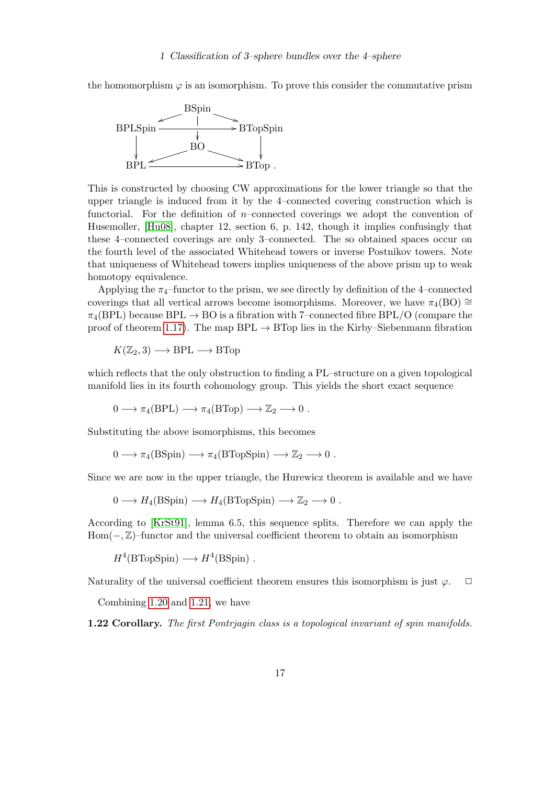the homomorphism  $\varphi$  is an isomorphism. To prove this consider the commutative prism



This is constructed by choosing CW approximations for the lower triangle so that the upper triangle is induced from it by the 4–connected covering construction which is functorial. For the definition of  $n$ –connected coverings we adopt the convention of Husemoller, [\[Hu08\]](#page-47-5), chapter 12, section 6, p. 142, though it implies confusingly that these 4–connected coverings are only 3–connected. The so obtained spaces occur on the fourth level of the associated Whitehead towers or inverse Postnikov towers. Note that uniqueness of Whitehead towers implies uniqueness of the above prism up to weak homotopy equivalence.

Applying the  $\pi_4$ –functor to the prism, we see directly by definition of the 4–connected coverings that all vertical arrows become isomorphisms. Moreover, we have  $\pi_4(BO) \cong$  $\pi_4(BPL)$  because BPL  $\rightarrow$  BO is a fibration with 7–connected fibre BPL/O (compare the proof of theorem [1.17\)](#page-12-1). The map  $BPL \rightarrow BTop$  lies in the Kirby–Siebenmann fibration

$$
K(\mathbb{Z}_2,3) \longrightarrow \text{BPL} \longrightarrow \text{BTop}
$$

which reflects that the only obstruction to finding a PL–structure on a given topological manifold lies in its fourth cohomology group. This yields the short exact sequence

 $0 \longrightarrow \pi_4(BPL) \longrightarrow \pi_4(BTop) \longrightarrow \mathbb{Z}_2 \longrightarrow 0$ .

Substituting the above isomorphisms, this becomes

$$
0 \longrightarrow \pi_4(BSpin) \longrightarrow \pi_4(BTopSpin) \longrightarrow \mathbb{Z}_2 \longrightarrow 0.
$$

Since we are now in the upper triangle, the Hurewicz theorem is available and we have

$$
0 \longrightarrow H_4(BSpin) \longrightarrow H_4(BTopSpin) \longrightarrow \mathbb{Z}_2 \longrightarrow 0.
$$

According to [\[KrSt91\]](#page-47-6), lemma 6.5, this sequence splits. Therefore we can apply the Hom(−, Z)–functor and the universal coefficient theorem to obtain an isomorphism

 $H^4(\text{BTopSpin}) \longrightarrow H^4(\text{BSpin})$ .

Naturality of the universal coefficient theorem ensures this isomorphism is just  $\varphi$ .  $\Box$ 

Combining [1.20](#page-14-0) and [1.21,](#page-15-0) we have

<span id="page-16-0"></span>1.22 Corollary. The first Pontriagin class is a topological invariant of spin manifolds.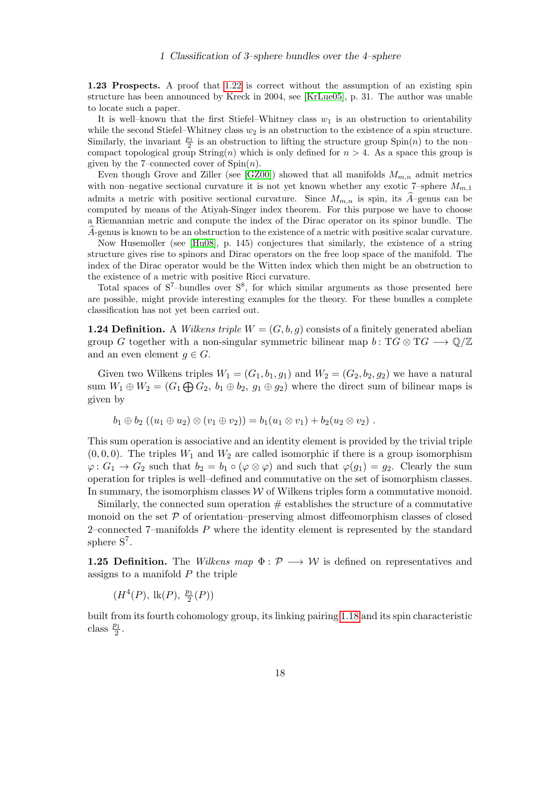1.23 Prospects. A proof that [1.22](#page-16-0) is correct without the assumption of an existing spin structure has been announced by Kreck in 2004, see [\[KrLue05\]](#page-47-7), p. 31. The author was unable to locate such a paper.

It is well–known that the first Stiefel–Whitney class  $w_1$  is an obstruction to orientability while the second Stiefel–Whitney class  $w_2$  is an obstruction to the existence of a spin structure. Similarly, the invariant  $\frac{p_1}{2}$  is an obstruction to lifting the structure group  $\text{Spin}(n)$  to the noncompact topological group String(n) which is only defined for  $n > 4$ . As a space this group is given by the 7–connected cover of  $Spin(n)$ .

Even though Grove and Ziller (see [\[GZ00\]](#page-46-4)) showed that all manifolds  $M_{m,n}$  admit metrics with non–negative sectional curvature it is not yet known whether any exotic 7–sphere  $M_{m,1}$ admits a metric with positive sectional curvature. Since  $M_{m,n}$  is spin, its  $\widehat{A}$ –genus can be computed by means of the Atiyah-Singer index theorem. For this purpose we have to choose a Riemannian metric and compute the index of the Dirac operator on its spinor bundle. The A-genus is known to be an obstruction to the existence of a metric with positive scalar curvature.

Now Husemoller (see [\[Hu08\]](#page-47-5), p. 145) conjectures that similarly, the existence of a string structure gives rise to spinors and Dirac operators on the free loop space of the manifold. The index of the Dirac operator would be the Witten index which then might be an obstruction to the existence of a metric with positive Ricci curvature.

Total spaces of  $S^7$ -bundles over  $S^8$ , for which similar arguments as those presented here are possible, might provide interesting examples for the theory. For these bundles a complete classification has not yet been carried out.

**1.24 Definition.** A *Wilkens triple*  $W = (G, b, g)$  consists of a finitely generated abelian group G together with a non-singular symmetric bilinear map  $b: TG \otimes TG \longrightarrow \mathbb{Q}/\mathbb{Z}$ and an even element  $q \in G$ .

Given two Wilkens triples  $W_1 = (G_1, b_1, g_1)$  and  $W_2 = (G_2, b_2, g_2)$  we have a natural sum  $W_1 \oplus W_2 = (G_1 \bigoplus G_2, b_1 \oplus b_2, g_1 \oplus g_2)$  where the direct sum of bilinear maps is given by

$$
b_1 \oplus b_2 ((u_1 \oplus u_2) \otimes (v_1 \oplus v_2)) = b_1(u_1 \otimes v_1) + b_2(u_2 \otimes v_2).
$$

This sum operation is associative and an identity element is provided by the trivial triple  $(0, 0, 0)$ . The triples  $W_1$  and  $W_2$  are called isomorphic if there is a group isomorphism  $\varphi: G_1 \to G_2$  such that  $b_2 = b_1 \circ (\varphi \otimes \varphi)$  and such that  $\varphi(g_1) = g_2$ . Clearly the sum operation for triples is well–defined and commutative on the set of isomorphism classes. In summary, the isomorphism classes  $W$  of Wilkens triples form a commutative monoid.

Similarly, the connected sum operation  $\#$  establishes the structure of a commutative monoid on the set  $P$  of orientation–preserving almost diffeomorphism classes of closed 2–connected  $7$ –manifolds  $P$  where the identity element is represented by the standard sphere  $S^7$ .

**1.25 Definition.** The Wilkens map  $\Phi : \mathcal{P} \longrightarrow \mathcal{W}$  is defined on representatives and assigns to a manifold  $P$  the triple

 $(H^4(P), \, \text{lk}(P), \, \frac{p_1}{2})$  $\frac{p_1}{2}(P)$ 

built from its fourth cohomology group, its linking pairing [1.18](#page-13-0) and its spin characteristic class  $\frac{p_1}{2}$ .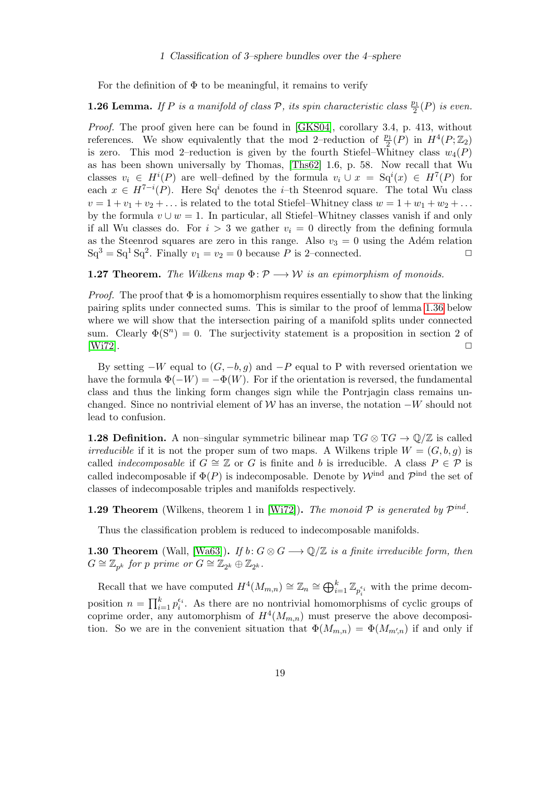For the definition of  $\Phi$  to be meaningful, it remains to verify

## <span id="page-18-2"></span>**1.26 Lemma.** If P is a manifold of class P, its spin characteristic class  $\frac{p_1}{2}(P)$  is even.

Proof. The proof given here can be found in [\[GKS04\]](#page-46-5), corollary 3.4, p. 413, without references. We show equivalently that the mod 2-reduction of  $\frac{p_1}{2}(P)$  in  $H^4(P;\mathbb{Z}_2)$ is zero. This mod 2–reduction is given by the fourth Stiefel–Whitney class  $w_4(P)$ as has been shown universally by Thomas, [\[Ths62\]](#page-49-4) 1.6, p. 58. Now recall that Wu classes  $v_i \in H^i(P)$  are well-defined by the formula  $v_i \cup x = \mathrm{Sq}^i(x) \in H^7(P)$  for each  $x \in H^{7-i}(P)$ . Here Sq<sup>i</sup> denotes the *i*-th Steenrod square. The total Wu class  $v = 1 + v_1 + v_2 + \dots$  is related to the total Stiefel–Whitney class  $w = 1 + w_1 + w_2 + \dots$ by the formula  $v \cup w = 1$ . In particular, all Stiefel–Whitney classes vanish if and only if all Wu classes do. For  $i > 3$  we gather  $v_i = 0$  directly from the defining formula as the Steenrod squares are zero in this range. Also  $v_3 = 0$  using the Adém relation  $Sq^3 = Sq^1 Sq^2$ . Finally  $v_1 = v_2 = 0$  because P is 2-connected.

#### <span id="page-18-1"></span>**1.27 Theorem.** The Wilkens map  $\Phi: \mathcal{P} \longrightarrow \mathcal{W}$  is an epimorphism of monoids.

*Proof.* The proof that  $\Phi$  is a homomorphism requires essentially to show that the linking pairing splits under connected sums. This is similar to the proof of lemma [1.36](#page-20-1) below where we will show that the intersection pairing of a manifold splits under connected sum. Clearly  $\Phi(S^n) = 0$ . The surjectivity statement is a proposition in section 2 of  $[{\rm Wi}72]$ .

By setting  $-W$  equal to  $(G, -b, g)$  and  $-P$  equal to P with reversed orientation we have the formula  $\Phi(-W) = -\Phi(W)$ . For if the orientation is reversed, the fundamental class and thus the linking form changes sign while the Pontrjagin class remains unchanged. Since no nontrivial element of W has an inverse, the notation  $-W$  should not lead to confusion.

**1.28 Definition.** A non–singular symmetric bilinear map  $TG \otimes TG \to \mathbb{Q}/\mathbb{Z}$  is called *irreducible* if it is not the proper sum of two maps. A Wilkens triple  $W = (G, b, g)$  is called *indecomposable* if  $G \cong \mathbb{Z}$  or G is finite and b is irreducible. A class  $P \in \mathcal{P}$  is called indecomposable if  $\Phi(P)$  is indecomposable. Denote by  $\mathcal{W}^{\text{ind}}$  and  $\mathcal{P}^{\text{ind}}$  the set of classes of indecomposable triples and manifolds respectively.

<span id="page-18-0"></span>**1.29 Theorem** (Wilkens, theorem 1 in [\[Wi72\]](#page-49-1)). The monoid  $P$  is generated by  $P^{ind}$ .

Thus the classification problem is reduced to indecomposable manifolds.

**1.30 Theorem** (Wall, [\[Wa63\]](#page-49-8)). If  $b: G \otimes G \longrightarrow \mathbb{Q}/\mathbb{Z}$  is a finite irreducible form, then  $G \cong \mathbb{Z}_{p^k}$  for p prime or  $G \cong \mathbb{Z}_{2^k} \oplus \mathbb{Z}_{2^k}$ .

Recall that we have computed  $H^4(M_{m,n}) \cong \mathbb{Z}_n \cong \bigoplus_{i=1}^k \mathbb{Z}_{p_i^{\epsilon_i}}$  with the prime decomposition  $n = \prod_{i=1}^{k} p_i^{\epsilon_i}$ . As there are no nontrivial homomorphisms of cyclic groups of coprime order, any automorphism of  $H^4(M_{m,n})$  must preserve the above decomposition. So we are in the convenient situation that  $\Phi(M_{m,n}) = \Phi(M_{m',n})$  if and only if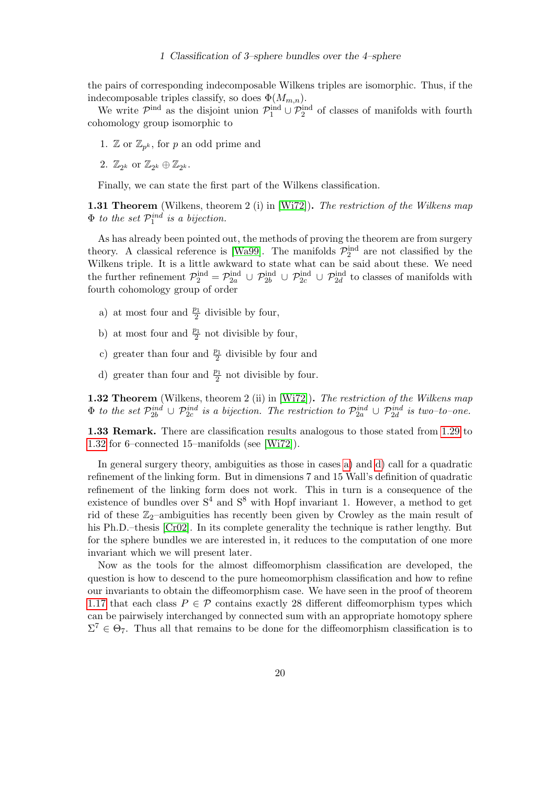the pairs of corresponding indecomposable Wilkens triples are isomorphic. Thus, if the indecomposable triples classify, so does  $\Phi(M_{m,n})$ .

We write  $\mathcal{P}^{\text{ind}}$  as the disjoint union  $\mathcal{P}^{\text{ind}}_1 \cup \mathcal{P}^{\text{ind}}_2$  of classes of manifolds with fourth cohomology group isomorphic to

- 1.  $\mathbb{Z}$  or  $\mathbb{Z}_{p^k}$ , for p an odd prime and
- 2.  $\mathbb{Z}_{2^k}$  or  $\mathbb{Z}_{2^k} \oplus \mathbb{Z}_{2^k}$ .

Finally, we can state the first part of the Wilkens classification.

1.31 Theorem (Wilkens, theorem 2 (i) in [\[Wi72\]](#page-49-1)). The restriction of the Wilkens map  $\Phi$  to the set  $\mathcal{P}_1^{ind}$  is a bijection.

As has already been pointed out, the methods of proving the theorem are from surgery theory. A classical reference is [\[Wa99\]](#page-49-9). The manifolds  $\mathcal{P}_2^{\text{ind}}$  are not classified by the Wilkens triple. It is a little awkward to state what can be said about these. We need the further refinement  $\mathcal{P}_2^{\text{ind}} = \mathcal{P}_{2a}^{\text{ind}} \cup \mathcal{P}_{2b}^{\text{ind}} \cup \mathcal{P}_{2c}^{\text{ind}} \cup \mathcal{P}_{2d}^{\text{ind}}$  to classes of manifolds with fourth cohomology group of order

- <span id="page-19-1"></span>a) at most four and  $\frac{p_1}{2}$  divisible by four,
- b) at most four and  $\frac{p_1}{2}$  not divisible by four,
- c) greater than four and  $\frac{p_1}{2}$  divisible by four and
- <span id="page-19-2"></span>d) greater than four and  $\frac{p_1}{2}$  not divisible by four.

<span id="page-19-0"></span>1.32 Theorem (Wilkens, theorem 2 (ii) in [\[Wi72\]](#page-49-1)). The restriction of the Wilkens map  $\Phi$  to the set  $\mathcal{P}^{ind}_{2b} \cup \mathcal{P}^{ind}_{2c}$  is a bijection. The restriction to  $\mathcal{P}^{ind}_{2a} \cup \mathcal{P}^{ind}_{2d}$  is two-to-one.

1.33 Remark. There are classification results analogous to those stated from [1.29](#page-18-0) to [1.32](#page-19-0) for 6–connected 15–manifolds (see [\[Wi72\]](#page-49-1)).

In general surgery theory, ambiguities as those in cases [a\)](#page-19-1) and [d\)](#page-19-2) call for a quadratic refinement of the linking form. But in dimensions 7 and 15 Wall's definition of quadratic refinement of the linking form does not work. This in turn is a consequence of the existence of bundles over  $S<sup>4</sup>$  and  $S<sup>8</sup>$  with Hopf invariant 1. However, a method to get rid of these  $\mathbb{Z}_2$ -ambiguities has recently been given by Crowley as the main result of his Ph.D.–thesis [\[Cr02\]](#page-46-3). In its complete generality the technique is rather lengthy. But for the sphere bundles we are interested in, it reduces to the computation of one more invariant which we will present later.

Now as the tools for the almost diffeomorphism classification are developed, the question is how to descend to the pure homeomorphism classification and how to refine our invariants to obtain the diffeomorphism case. We have seen in the proof of theorem [1.17](#page-12-1) that each class  $P \in \mathcal{P}$  contains exactly 28 different diffeomorphism types which can be pairwisely interchanged by connected sum with an appropriate homotopy sphere  $\Sigma^7 \in \Theta_7$ . Thus all that remains to be done for the diffeomorphism classification is to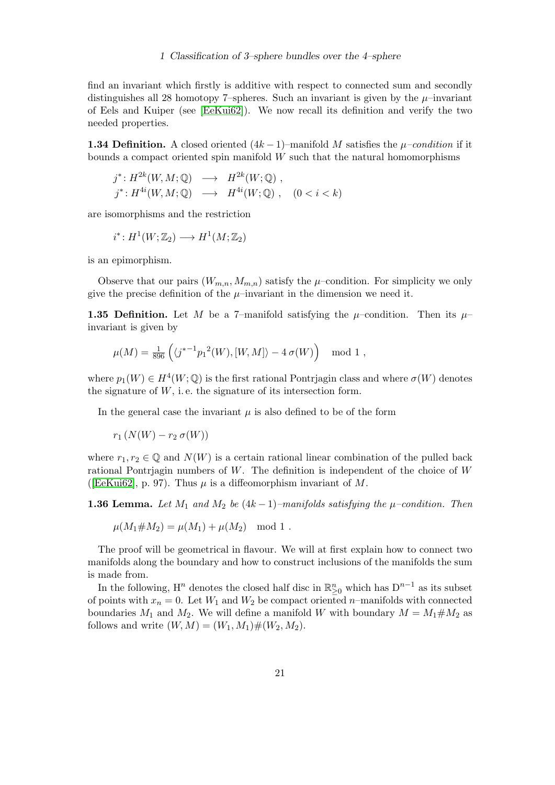find an invariant which firstly is additive with respect to connected sum and secondly distinguishes all 28 homotopy 7–spheres. Such an invariant is given by the  $\mu$ –invariant of Eels and Kuiper (see [\[EeKui62\]](#page-46-6)). We now recall its definition and verify the two needed properties.

<span id="page-20-2"></span>**1.34 Definition.** A closed oriented  $(4k-1)$ –manifold M satisfies the  $\mu$ –condition if it bounds a compact oriented spin manifold  $W$  such that the natural homomorphisms

$$
j^*: H^{2k}(W, M; \mathbb{Q}) \longrightarrow H^{2k}(W; \mathbb{Q}),
$$
  

$$
j^*: H^{4i}(W, M; \mathbb{Q}) \longrightarrow H^{4i}(W; \mathbb{Q}), \quad (0 < i < k)
$$

are isomorphisms and the restriction

$$
i^*: H^1(W; \mathbb{Z}_2) \longrightarrow H^1(M; \mathbb{Z}_2)
$$

is an epimorphism.

Observe that our pairs  $(W_{m,n}, M_{m,n})$  satisfy the  $\mu$ -condition. For simplicity we only give the precise definition of the  $\mu$ –invariant in the dimension we need it.

<span id="page-20-0"></span>**1.35 Definition.** Let M be a 7-manifold satisfying the  $\mu$ -condition. Then its  $\mu$ invariant is given by

$$
\mu(M) = \frac{1}{896} \left( \langle j^{*-1} p_1^2(W), [W, M] \rangle - 4 \sigma(W) \right) \mod 1,
$$

where  $p_1(W) \in H^4(W; \mathbb{Q})$  is the first rational Pontrjagin class and where  $\sigma(W)$  denotes the signature of  $W$ , i.e. the signature of its intersection form.

In the general case the invariant  $\mu$  is also defined to be of the form

 $r_1 (N(W) - r_2 \sigma(W))$ 

where  $r_1, r_2 \in \mathbb{Q}$  and  $N(W)$  is a certain rational linear combination of the pulled back rational Pontrjagin numbers of W. The definition is independent of the choice of W ([\[EeKui62\]](#page-46-6), p. 97). Thus  $\mu$  is a diffeomorphism invariant of M.

<span id="page-20-1"></span>**1.36 Lemma.** Let  $M_1$  and  $M_2$  be  $(4k-1)$ –manifolds satisfying the  $\mu$ –condition. Then

$$
\mu(M_1 \# M_2) = \mu(M_1) + \mu(M_2) \mod 1.
$$

The proof will be geometrical in flavour. We will at first explain how to connect two manifolds along the boundary and how to construct inclusions of the manifolds the sum is made from.

In the following,  $H^n$  denotes the closed half disc in  $\mathbb{R}^n_{\geq 0}$  which has  $D^{n-1}$  as its subset of points with  $x_n = 0$ . Let  $W_1$  and  $W_2$  be compact oriented n–manifolds with connected boundaries  $M_1$  and  $M_2$ . We will define a manifold W with boundary  $M = M_1 \# M_2$  as follows and write  $(W, M) = (W_1, M_1) \# (W_2, M_2)$ .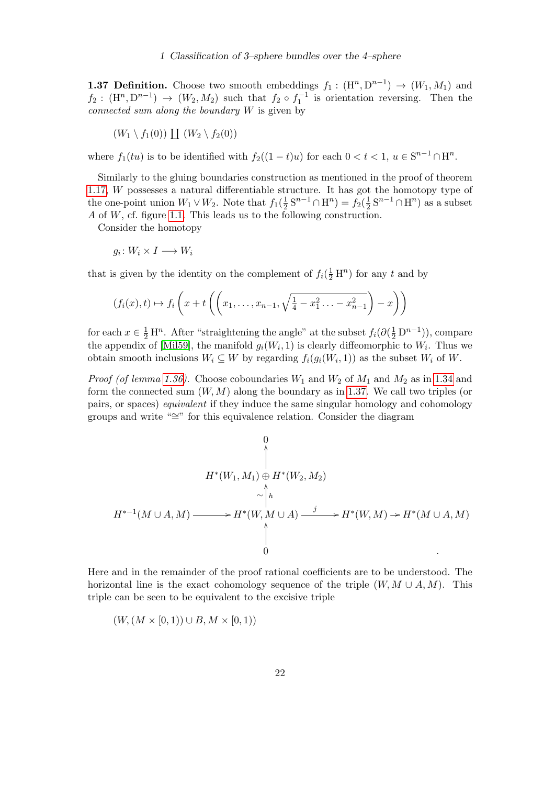<span id="page-21-0"></span>**1.37 Definition.** Choose two smooth embeddings  $f_1: (\mathbb{H}^n, \mathbb{D}^{n-1}) \to (W_1, M_1)$  and  $f_2: (\mathbb{H}^n, \mathbb{D}^{n-1}) \to (W_2, M_2)$  such that  $f_2 \circ f_1^{-1}$  is orientation reversing. Then the connected sum along the boundary  $W$  is given by

$$
(W_1 \setminus f_1(0)) \coprod (W_2 \setminus f_2(0))
$$

where  $f_1(tu)$  is to be identified with  $f_2((1-t)u)$  for each  $0 < t < 1$ ,  $u \in S^{n-1} \cap H^n$ .

Similarly to the gluing boundaries construction as mentioned in the proof of theorem [1.17,](#page-12-1) W possesses a natural differentiable structure. It has got the homotopy type of the one-point union  $W_1 \vee W_2$ . Note that  $f_1(\frac{1}{2})$  $\frac{1}{2} S^{n-1} \cap \mathcal{H}^n = f_2(\frac{1}{2})$  $\frac{1}{2} S^{n-1} \cap \mathcal{H}^n$  as a subset A of W, cf. figure [1.1.](#page-22-0) This leads us to the following construction.

Consider the homotopy

 $g_i\colon W_i\times I\longrightarrow W_i$ 

that is given by the identity on the complement of  $f_i(\frac{1}{2}H^n)$  for any t and by

$$
(f_i(x), t) \mapsto f_i\left(x + t\left(\left(x_1, \ldots, x_{n-1}, \sqrt{\frac{1}{4} - x_1^2 \ldots - x_{n-1}^2}\right) - x\right)\right)
$$

for each  $x \in \frac{1}{2} \mathcal{H}^n$ . After "straightening the angle" at the subset  $f_i(\partial(\frac{1}{2} \mathcal{D}^{n-1}))$ , compare the appendix of [\[Mil59\]](#page-48-9), the manifold  $g_i(W_i, 1)$  is clearly diffeomorphic to  $W_i$ . Thus we obtain smooth inclusions  $W_i \subseteq W$  by regarding  $f_i(g_i(W_i, 1))$  as the subset  $W_i$  of  $W$ .

*Proof (of lemma [1.36\)](#page-20-1).* Choose coboundaries  $W_1$  and  $W_2$  of  $M_1$  and  $M_2$  as in [1.34](#page-20-2) and form the connected sum  $(W, M)$  along the boundary as in [1.37.](#page-21-0) We call two triples (or pairs, or spaces) equivalent if they induce the same singular homology and cohomology groups and write "∼=" for this equivalence relation. Consider the diagram

$$
H^*(W_1, M_1) \oplus H^*(W_2, M_2)
$$
  
\n
$$
\sim \uparrow_h
$$
  
\n
$$
H^{*-1}(M \cup A, M) \longrightarrow H^*(W, M \cup A) \xrightarrow{j} H^*(W, M) \rightarrow H^*(M \cup A, M)
$$
  
\n
$$
\uparrow
$$
  
\n
$$
\uparrow
$$

Here and in the remainder of the proof rational coefficients are to be understood. The horizontal line is the exact cohomology sequence of the triple  $(W, M \cup A, M)$ . This triple can be seen to be equivalent to the excisive triple

$$
(W, (M \times [0,1)) \cup B, M \times [0,1))
$$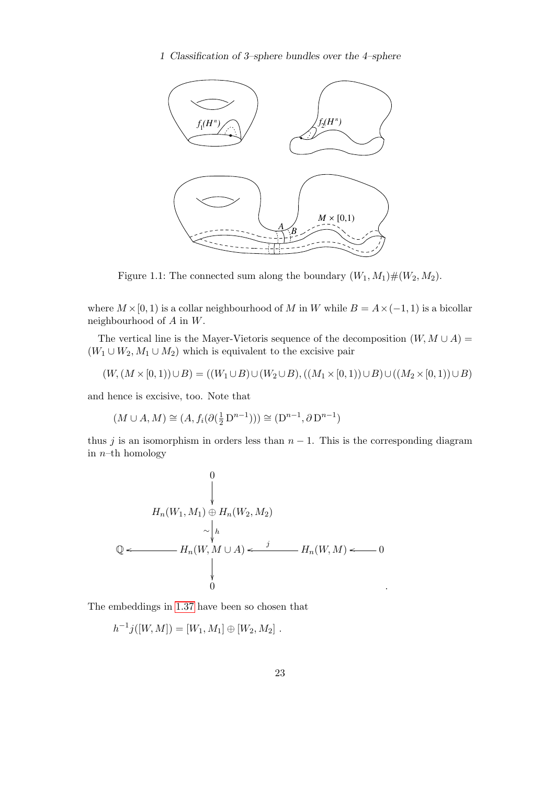

<span id="page-22-0"></span>Figure 1.1: The connected sum along the boundary  $(W_1, M_1) \# (W_2, M_2)$ .

where  $M \times [0, 1)$  is a collar neighbourhood of M in W while  $B = A \times (-1, 1)$  is a bicollar neighbourhood of A in W.

The vertical line is the Mayer-Vietoris sequence of the decomposition  $(W, M \cup A)$  =  $(W_1 \cup W_2, M_1 \cup M_2)$  which is equivalent to the excisive pair

$$
(W, (M \times [0, 1)) \cup B) = ((W_1 \cup B) \cup (W_2 \cup B), ((M_1 \times [0, 1)) \cup B) \cup ((M_2 \times [0, 1)) \cup B)
$$

and hence is excisive, too. Note that

$$
(M\cup A, M)\cong (A, f_i(\partial(\frac{1}{2}\operatorname{D}^{n-1})))\cong (\operatorname{D}^{n-1}, \partial\operatorname{D}^{n-1})
$$

thus j is an isomorphism in orders less than  $n - 1$ . This is the corresponding diagram in  $n$ –th homology

$$
\begin{array}{ccc}\n & 0 \\
 & \downarrow \\
 & H_n(W_1, M_1) \oplus H_n(W_2, M_2) \\
 & \sim \downarrow_h \\
 & \downarrow \\
 & \downarrow \\
 & \downarrow \\
 & 0\n\end{array}
$$
\n
$$
\begin{array}{ccc}\n\mathbf{Q} \leftarrow \qquad & \mathbf{H}_n(W, M \cup A) \leftarrow \qquad \mathbf{H}_n(W, M) \leftarrow \qquad 0 \\
 & \downarrow \\
 & 0\n\end{array}
$$

The embeddings in [1.37](#page-21-0) have been so chosen that

$$
h^{-1}j([W,M]) = [W_1, M_1] \oplus [W_2, M_2] .
$$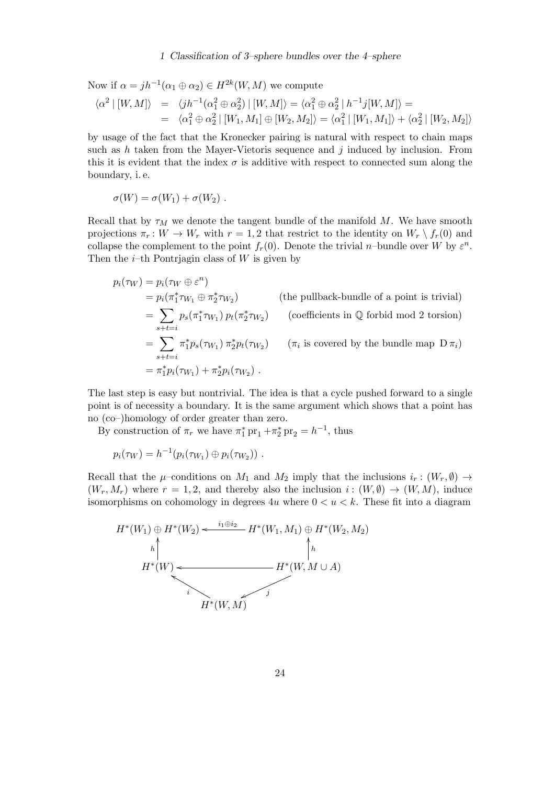Now if  $\alpha = jh^{-1}(\alpha_1 \oplus \alpha_2) \in H^{2k}(W, M)$  we compute

$$
\langle \alpha^2 | [W, M] \rangle = \langle jh^{-1}(\alpha_1^2 \oplus \alpha_2^2) | [W, M] \rangle = \langle \alpha_1^2 \oplus \alpha_2^2 | h^{-1}j[W, M] \rangle =
$$
  
= 
$$
\langle \alpha_1^2 \oplus \alpha_2^2 | [W_1, M_1] \oplus [W_2, M_2] \rangle = \langle \alpha_1^2 | [W_1, M_1] \rangle + \langle \alpha_2^2 | [W_2, M_2] \rangle
$$

by usage of the fact that the Kronecker pairing is natural with respect to chain maps such as  $h$  taken from the Mayer-Vietoris sequence and  $j$  induced by inclusion. From this it is evident that the index  $\sigma$  is additive with respect to connected sum along the boundary, i. e.

$$
\sigma(W) = \sigma(W_1) + \sigma(W_2) .
$$

Recall that by  $\tau_M$  we denote the tangent bundle of the manifold M. We have smooth projections  $\pi_r : W \to W_r$  with  $r = 1, 2$  that restrict to the identity on  $W_r \setminus f_r(0)$  and collapse the complement to the point  $f_r(0)$ . Denote the trivial *n*-bundle over W by  $\varepsilon^n$ . Then the *i*-th Pontrjagin class of  $W$  is given by

$$
p_i(\tau_W) = p_i(\tau_W \oplus \varepsilon^n)
$$
  
\n
$$
= p_i(\pi_1^* \tau_{W_1} \oplus \pi_2^* \tau_{W_2})
$$
 (the pullback-bundle of a point is trivial)  
\n
$$
= \sum_{s+t=i} p_s(\pi_1^* \tau_{W_1}) p_t(\pi_2^* \tau_{W_2})
$$
 (coefficients in Q forbid mod 2 torsion)  
\n
$$
= \sum_{s+t=i} \pi_1^* p_s(\tau_{W_1}) \pi_2^* p_t(\tau_{W_2})
$$
 ( $\pi_i$  is covered by the bundle map  $D \pi_i$ )  
\n
$$
= \pi_1^* p_i(\tau_{W_1}) + \pi_2^* p_i(\tau_{W_2})
$$
.

The last step is easy but nontrivial. The idea is that a cycle pushed forward to a single point is of necessity a boundary. It is the same argument which shows that a point has no (co–)homology of order greater than zero.

By construction of  $\pi_r$  we have  $\pi_1^*$  pr<sub>1</sub> + $\pi_2^*$  pr<sub>2</sub> =  $h^{-1}$ , thus

$$
p_i(\tau_W) = h^{-1}(p_i(\tau_{W_1}) \oplus p_i(\tau_{W_2})) \ .
$$

Recall that the  $\mu$ –conditions on  $M_1$  and  $M_2$  imply that the inclusions  $i_r : (W_r, \emptyset) \to$  $(W_r, M_r)$  where  $r = 1, 2$ , and thereby also the inclusion  $i : (W, \emptyset) \to (W, M)$ , induce isomorphisms on cohomology in degrees  $4u$  where  $0 < u < k$ . These fit into a diagram

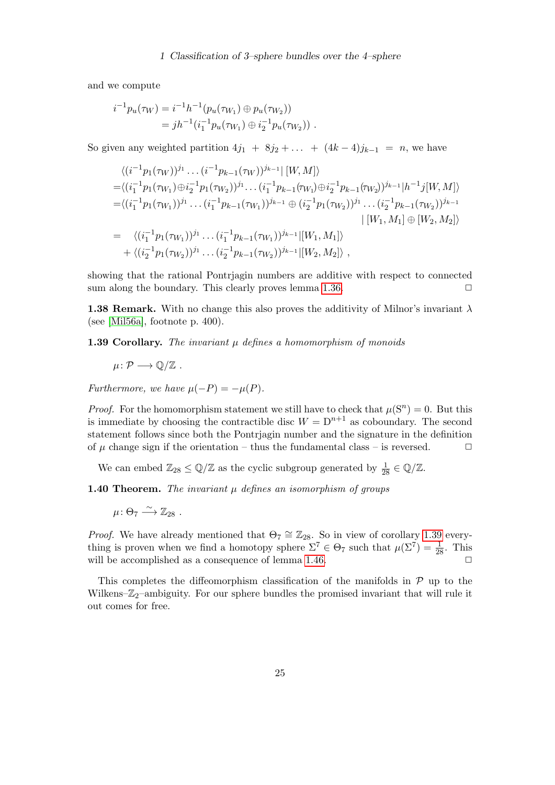and we compute

$$
i^{-1}p_u(\tau_W) = i^{-1}h^{-1}(p_u(\tau_{W_1}) \oplus p_u(\tau_{W_2}))
$$
  
=  $jh^{-1}(i_1^{-1}p_u(\tau_{W_1}) \oplus i_2^{-1}p_u(\tau_{W_2}))$ .

So given any weighted partition  $4j_1 + 8j_2 + \ldots + (4k-4)j_{k-1} = n$ , we have

$$
\langle (i^{-1}p_1(\tau_W))^{j_1} \dots (i^{-1}p_{k-1}(\tau_W))^{j_{k-1}} | [W, M] \rangle
$$
  
\n
$$
= \langle (i_1^{-1}p_1(\tau_{W_1}) \oplus i_2^{-1}p_1(\tau_{W_2}))^{j_1} \dots (i_1^{-1}p_{k-1}(\tau_{W_1}) \oplus i_2^{-1}p_{k-1}(\tau_{W_2}))^{j_{k-1}} | h^{-1}j[W, M] \rangle
$$
  
\n
$$
= \langle (i_1^{-1}p_1(\tau_{W_1}))^{j_1} \dots (i_1^{-1}p_{k-1}(\tau_{W_1}))^{j_{k-1}} \oplus (i_2^{-1}p_1(\tau_{W_2}))^{j_1} \dots (i_2^{-1}p_{k-1}(\tau_{W_2}))^{j_{k-1}}
$$
  
\n
$$
| [W_1, M_1] \oplus [W_2, M_2] \rangle
$$
  
\n
$$
= \langle (i_1^{-1}p_1(\tau_{W_1}))^{j_1} \dots (i_1^{-1}p_{k-1}(\tau_{W_1}))^{j_{k-1}} | [W_1, M_1] \rangle
$$
  
\n
$$
+ \langle (i_2^{-1}p_1(\tau_{W_2}))^{j_1} \dots (i_2^{-1}p_{k-1}(\tau_{W_2}))^{j_{k-1}} | [W_2, M_2] \rangle ,
$$

showing that the rational Pontrjagin numbers are additive with respect to connected sum along the boundary. This clearly proves lemma [1.36.](#page-20-1)  $\Box$ 

**1.38 Remark.** With no change this also proves the additivity of Milnor's invariant  $\lambda$ (see [\[Mil56a\]](#page-47-2), footnote p. 400).

<span id="page-24-1"></span>**1.39 Corollary.** The invariant  $\mu$  defines a homomorphism of monoids

 $\mu \colon \mathcal{P} \longrightarrow \mathbb{O}/\mathbb{Z}$ .

Furthermore, we have  $\mu(-P) = -\mu(P)$ .

*Proof.* For the homomorphism statement we still have to check that  $\mu(S^n) = 0$ . But this is immediate by choosing the contractible disc  $W = D^{n+1}$  as coboundary. The second statement follows since both the Pontrjagin number and the signature in the definition of  $\mu$  change sign if the orientation – thus the fundamental class – is reversed.  $\Box$ 

We can embed  $\mathbb{Z}_{28} \leq \mathbb{Q}/\mathbb{Z}$  as the cyclic subgroup generated by  $\frac{1}{28} \in \mathbb{Q}/\mathbb{Z}$ .

<span id="page-24-0"></span>**1.40 Theorem.** The invariant  $\mu$  defines an isomorphism of groups

 $\mu\colon \Theta_7 \xrightarrow{\sim} \mathbb{Z}_{28}$ .

*Proof.* We have already mentioned that  $\Theta_7 \cong \mathbb{Z}_{28}$ . So in view of corollary [1.39](#page-24-1) everything is proven when we find a homotopy sphere  $\Sigma^7 \in \Theta_7$  such that  $\mu(\Sigma^7) = \frac{1}{28}$ . This will be accomplished as a consequence of lemma [1.46.](#page-27-0)

This completes the diffeomorphism classification of the manifolds in  $P$  up to the Wilkens– $\mathbb{Z}_2$ –ambiguity. For our sphere bundles the promised invariant that will rule it out comes for free.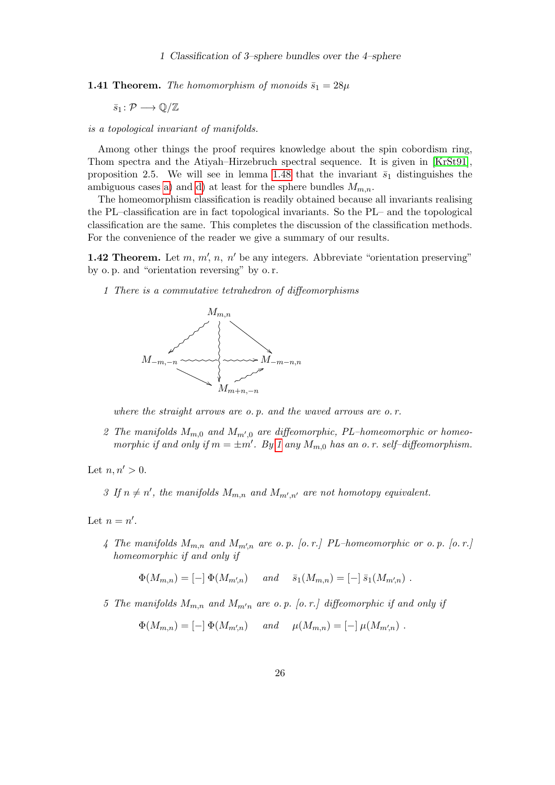**1.41 Theorem.** The homomorphism of monoids  $\bar{s}_1 = 28\mu$ 

 $\bar{s}_1 : \mathcal{P} \longrightarrow \mathbb{Q}/\mathbb{Z}$ 

is a topological invariant of manifolds.

Among other things the proof requires knowledge about the spin cobordism ring, Thom spectra and the Atiyah–Hirzebruch spectral sequence. It is given in [\[KrSt91\]](#page-47-6), proposition 2.5. We will see in lemma [1.48](#page-28-0) that the invariant  $\bar{s}_1$  distinguishes the ambiguous cases [a\)](#page-19-1) and [d\)](#page-19-2) at least for the sphere bundles  $M_{m,n}$ .

The homeomorphism classification is readily obtained because all invariants realising the PL–classification are in fact topological invariants. So the PL– and the topological classification are the same. This completes the discussion of the classification methods. For the convenience of the reader we give a summary of our results.

<span id="page-25-1"></span>**1.42 Theorem.** Let  $m, m', n, n'$  be any integers. Abbreviate "orientation preserving" by o. p. and "orientation reversing" by o. r.

<span id="page-25-0"></span>1 There is a commutative tetrahedron of diffeomorphisms



where the straight arrows are o.p. and the waved arrows are o.r.

2 The manifolds  $M_{m,0}$  and  $M_{m',0}$  are diffeomorphic, PL-homeomorphic or homeomorphic if and only if  $m = \pm m'$ . By [1](#page-25-0) any  $M_{m,0}$  has an o.r. self-diffeomorphism.

Let  $n, n' > 0$ .

3 If  $n \neq n'$ , the manifolds  $M_{m,n}$  and  $M_{m',n'}$  are not homotopy equivalent.

<span id="page-25-3"></span>Let  $n = n'$ .

4 The manifolds  $M_{m,n}$  and  $M_{m^{\prime},n}$  are o.p. [o.r.] PL-homeomorphic or o.p. [o.r.] homeomorphic if and only if

 $\Phi(M_{m,n}) = [-] \Phi(M_{m',n}) \quad and \quad \bar{s}_1(M_{m,n}) = [-] \bar{s}_1(M_{m',n})$ .

<span id="page-25-2"></span>5 The manifolds  $M_{m,n}$  and  $M_{m'n}$  are o. p. [o. r.] diffeomorphic if and only if

$$
\Phi(M_{m,n}) = [-] \Phi(M_{m',n}) \quad and \quad \mu(M_{m,n}) = [-] \mu(M_{m',n})
$$
.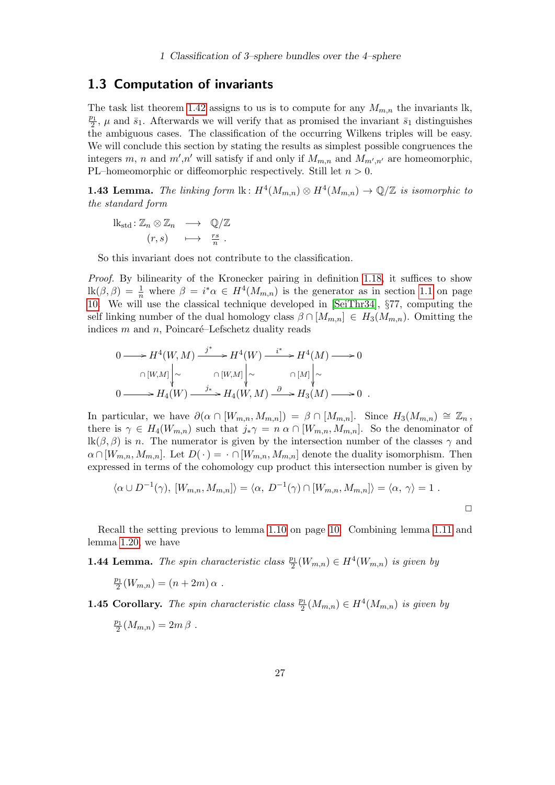## <span id="page-26-0"></span>1.3 Computation of invariants

The task list theorem [1.42](#page-25-1) assigns to us is to compute for any  $M_{m,n}$  the invariants lk,  $\overline{p_1}$  $\frac{\partial^2}{\partial z^2}$ ,  $\mu$  and  $\bar{s}_1$ . Afterwards we will verify that as promised the invariant  $\bar{s}_1$  distinguishes the ambiguous cases. The classification of the occurring Wilkens triples will be easy. We will conclude this section by stating the results as simplest possible congruences the integers m, n and  $m', n'$  will satisfy if and only if  $M_{m,n}$  and  $M_{m',n'}$  are homeomorphic, PL–homeomorphic or diffeomorphic respectively. Still let  $n > 0$ .

<span id="page-26-1"></span>**1.43 Lemma.** The linking form  $\text{lk}: H^4(M_{m,n}) \otimes H^4(M_{m,n}) \to \mathbb{Q}/\mathbb{Z}$  is isomorphic to the standard form

$$
\begin{array}{rcl}\n\text{lk}_{\text{std}}: \mathbb{Z}_n \otimes \mathbb{Z}_n & \longrightarrow & \mathbb{Q}/\mathbb{Z} \\
(r, s) & \longmapsto & \frac{rs}{n} \ .\n\end{array}
$$

So this invariant does not contribute to the classification.

Proof. By bilinearity of the Kronecker pairing in definition [1.18,](#page-13-0) it suffices to show  $\text{lk}(\beta,\beta) = \frac{1}{n}$  where  $\beta = i^* \alpha \in H^4(M_{m,n})$  is the generator as in section [1.1](#page-5-1) on page [10.](#page-9-0) We will use the classical technique developed in [\[SeiThr34\]](#page-48-10), §77, computing the self linking number of the dual homology class  $\beta \cap [M_{m,n}] \in H_3(M_{m,n})$ . Omitting the indices  $m$  and  $n$ , Poincaré–Lefschetz duality reads

$$
0 \longrightarrow H^{4}(W, M) \xrightarrow{j^{*}} H^{4}(W) \xrightarrow{i^{*}} H^{4}(M) \longrightarrow 0
$$
  
\n
$$
\cap [W,M] \downarrow \sim \qquad \cap [W,M] \downarrow \sim \qquad \cap [M] \downarrow \sim
$$
  
\n
$$
0 \longrightarrow H_{4}(W) \xrightarrow{j^{*}} H_{4}(W, M) \xrightarrow{\partial} H_{3}(M) \longrightarrow 0.
$$

In particular, we have  $\partial(\alpha \cap [W_{m,n}, M_{m,n}]) = \beta \cap [M_{m,n}]$ . Since  $H_3(M_{m,n}) \cong \mathbb{Z}_n$ , there is  $\gamma \in H_4(W_{m,n})$  such that  $j_*\gamma = n \alpha \cap [W_{m,n}, M_{m,n}]$ . So the denominator of lk(β, β) is n. The numerator is given by the intersection number of the classes  $\gamma$  and  $\alpha \cap [W_{m,n}, M_{m,n}]$ . Let  $D(\cdot) = \cdot \cap [W_{m,n}, M_{m,n}]$  denote the duality isomorphism. Then expressed in terms of the cohomology cup product this intersection number is given by

$$
\langle \alpha \cup D^{-1}(\gamma), [W_{m,n}, M_{m,n}] \rangle = \langle \alpha, D^{-1}(\gamma) \cap [W_{m,n}, M_{m,n}] \rangle = \langle \alpha, \gamma \rangle = 1.
$$

Recall the setting previous to lemma [1.10](#page-9-1) on page [10.](#page-9-1) Combining lemma [1.11](#page-9-2) and lemma [1.20,](#page-14-0) we have

**1.44 Lemma.** The spin characteristic class  $\frac{p_1}{2}(W_{m,n}) \in H^4(W_{m,n})$  is given by

$$
\frac{p_1}{2}(W_{m,n}) = (n+2m)\,\alpha .
$$

**1.45 Corollary.** The spin characteristic class  $\frac{p_1}{2}(M_{m,n}) \in H^4(M_{m,n})$  is given by

$$
\frac{p_1}{2}(M_{m,n})=2m\,\beta .
$$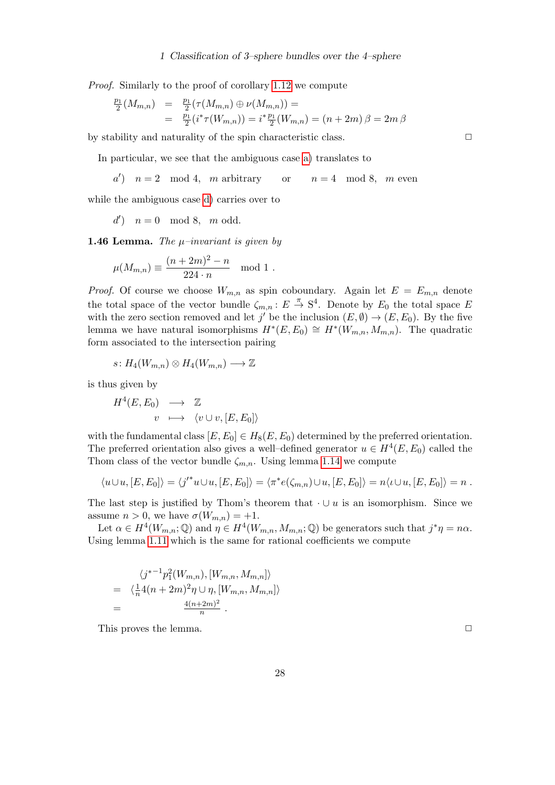Proof. Similarly to the proof of corollary [1.12](#page-10-1) we compute

$$
\frac{p_1}{2}(M_{m,n}) = \frac{p_1}{2}(\tau(M_{m,n}) \oplus \nu(M_{m,n})) =
$$
  
= 
$$
\frac{p_1}{2}(i^*\tau(W_{m,n})) = i^*\frac{p_1}{2}(W_{m,n}) = (n+2m)\beta = 2m\beta
$$

by stability and naturality of the spin characteristic class.  $\Box$ 

In particular, we see that the ambiguous case [a\)](#page-19-1) translates to

 $a'$ )  $n = 2 \mod 4$ , m arbitrary or  $n = 4 \mod 8$ , m even

while the ambiguous case [d\)](#page-19-2) carries over to

$$
d') \quad n = 0 \mod 8, \mod 8.
$$

<span id="page-27-0"></span>**1.46 Lemma.** The  $\mu$ -invariant is given by

$$
\mu(M_{m,n}) \equiv \frac{(n+2m)^2 - n}{224 \cdot n} \mod 1.
$$

*Proof.* Of course we choose  $W_{m,n}$  as spin coboundary. Again let  $E = E_{m,n}$  denote the total space of the vector bundle  $\zeta_{m,n}: E \stackrel{\pi}{\to} S^4$ . Denote by  $E_0$  the total space E with the zero section removed and let j' be the inclusion  $(E, \emptyset) \to (E, E_0)$ . By the five lemma we have natural isomorphisms  $H^*(E, E_0) \cong H^*(W_{m,n}, M_{m,n})$ . The quadratic form associated to the intersection pairing

$$
s\colon H_4(W_{m,n})\otimes H_4(W_{m,n})\longrightarrow \mathbb{Z}
$$

is thus given by

$$
H^4(E, E_0) \longrightarrow \mathbb{Z}
$$
  

$$
v \longrightarrow \langle v \cup v, [E, E_0] \rangle
$$

with the fundamental class  $[E, E_0] \in H_8(E, E_0)$  determined by the preferred orientation. The preferred orientation also gives a well-defined generator  $u \in H^4(E, E_0)$  called the Thom class of the vector bundle  $\zeta_{m,n}$ . Using lemma [1.14](#page-10-2) we compute

$$
\langle u \cup u, [E, E_0] \rangle = \langle j'^* u \cup u, [E, E_0] \rangle = \langle \pi^* e(\zeta_{m,n}) \cup u, [E, E_0] \rangle = n \langle u \cup u, [E, E_0] \rangle = n.
$$

The last step is justified by Thom's theorem that  $\cdot \cup u$  is an isomorphism. Since we assume  $n > 0$ , we have  $\sigma(W_{m,n}) = +1$ .

Let  $\alpha \in H^4(W_{m,n};\mathbb{Q})$  and  $\eta \in H^4(W_{m,n}, M_{m,n};\mathbb{Q})$  be generators such that  $j^*\eta = n\alpha$ . Using lemma [1.11](#page-9-2) which is the same for rational coefficients we compute

$$
\langle j^{*-1}p_1^2(W_{m,n}), [W_{m,n}, M_{m,n}] \rangle
$$
  
=  $\langle \frac{1}{n}4(n+2m)^2 \eta \cup \eta, [W_{m,n}, M_{m,n}] \rangle$   
=  $\frac{4(n+2m)^2}{n}.$ 

This proves the lemma.  $\Box$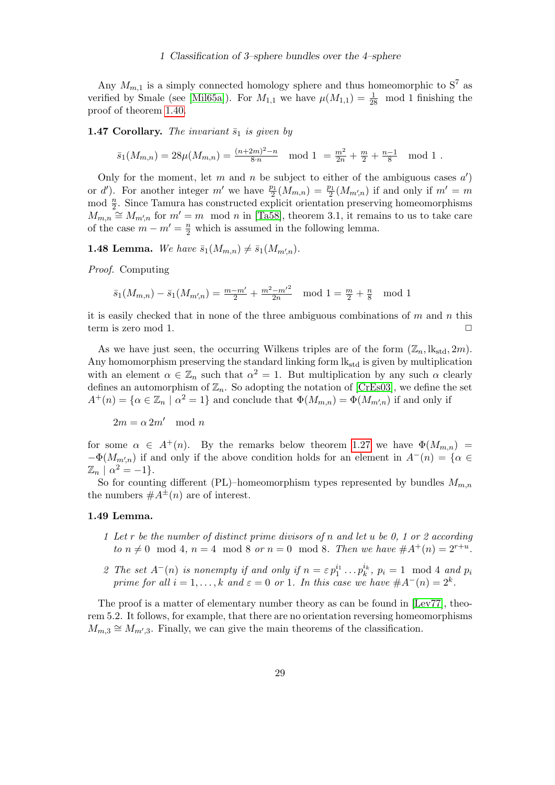Any  $M_{m,1}$  is a simply connected homology sphere and thus homeomorphic to  $S^7$  as verified by Smale (see [\[Mil65a\]](#page-48-7)). For  $M_{1,1}$  we have  $\mu(M_{1,1}) = \frac{1}{28}$  mod 1 finishing the proof of theorem [1.40.](#page-24-0)

**1.47 Corollary.** The invariant  $\bar{s}_1$  is given by

$$
\bar{s}_1(M_{m,n}) = 28\mu(M_{m,n}) = \frac{(n+2m)^2 - n}{8 \cdot n} \mod 1 = \frac{m^2}{2n} + \frac{m}{2} + \frac{n-1}{8} \mod 1.
$$

Only for the moment, let m and n be subject to either of the ambiguous cases  $a'$ ) or d'). For another integer m' we have  $\frac{p_1}{2}(M_{m,n}) = \frac{p_1}{2}(M_{m,n})$  if and only if  $m' = m$  $\mod \frac{n}{2}$ . Since Tamura has constructed explicit orientation preserving homeomorphisms  $M_{m,n} \cong M_{m,n}$  for  $m'=m \mod n$  in [\[Ta58\]](#page-48-11), theorem 3.1, it remains to us to take care of the case  $m - m' = \frac{n}{2}$  which is assumed in the following lemma.

<span id="page-28-0"></span>**1.48 Lemma.** We have  $\bar{s}_1(M_{m,n}) \neq \bar{s}_1(M_{m',n}).$ 

Proof. Computing

$$
\bar{s}_1(M_{m,n}) - \bar{s}_1(M_{m',n}) = \frac{m-m'}{2} + \frac{m^2 - m'^2}{2n} \mod 1 = \frac{m}{2} + \frac{n}{8} \mod 1
$$

it is easily checked that in none of the three ambiguous combinations of  $m$  and  $n$  this term is zero mod 1.  $\Box$ 

As we have just seen, the occurring Wilkens triples are of the form  $(\mathbb{Z}_n, \mathbb{R}_{\text{std}}, 2m)$ . Any homomorphism preserving the standard linking form  $lk_{std}$  is given by multiplication with an element  $\alpha \in \mathbb{Z}_n$  such that  $\alpha^2 = 1$ . But multiplication by any such  $\alpha$  clearly defines an automorphism of  $\mathbb{Z}_n$ . So adopting the notation of [\[CrEs03\]](#page-46-1), we define the set  $A^+(n) = \{ \alpha \in \mathbb{Z}_n \mid \alpha^2 = 1 \}$  and conclude that  $\Phi(M_{m,n}) = \Phi(M_{m',n})$  if and only if

 $2m = \alpha 2m' \mod n$ 

for some  $\alpha \in A^+(n)$ . By the remarks below theorem [1.27](#page-18-1) we have  $\Phi(M_{m,n}) =$  $-\Phi(M_{m,n})$  if and only if the above condition holds for an element in  $A^{-}(n) = \{ \alpha \in$  $\mathbb{Z}_n \mid \alpha^2 = -1$ .

So for counting different (PL)–homeomorphism types represented by bundles  $M_{m,n}$ the numbers  $\#A^{\pm}(n)$  are of interest.

#### 1.49 Lemma.

- 1 Let r be the number of distinct prime divisors of n and let u be 0, 1 or 2 according to  $n \neq 0 \mod 4$ ,  $n = 4 \mod 8$  or  $n = 0 \mod 8$ . Then we have  $\#A^+(n) = 2^{r+u}$ .
- 2 The set  $A^{-}(n)$  is nonempty if and only if  $n = \varepsilon p_1^{i_1} \ldots p_k^{i_k}$ ,  $p_i = 1 \mod 4$  and  $p_i$ prime for all  $i = 1, ..., k$  and  $\varepsilon = 0$  or 1. In this case we have  $#A^-(n) = 2^k$ .

The proof is a matter of elementary number theory as can be found in [\[Lev77\]](#page-47-8), theorem 5.2. It follows, for example, that there are no orientation reversing homeomorphisms  $M_{m,3} \cong M_{m',3}$ . Finally, we can give the main theorems of the classification.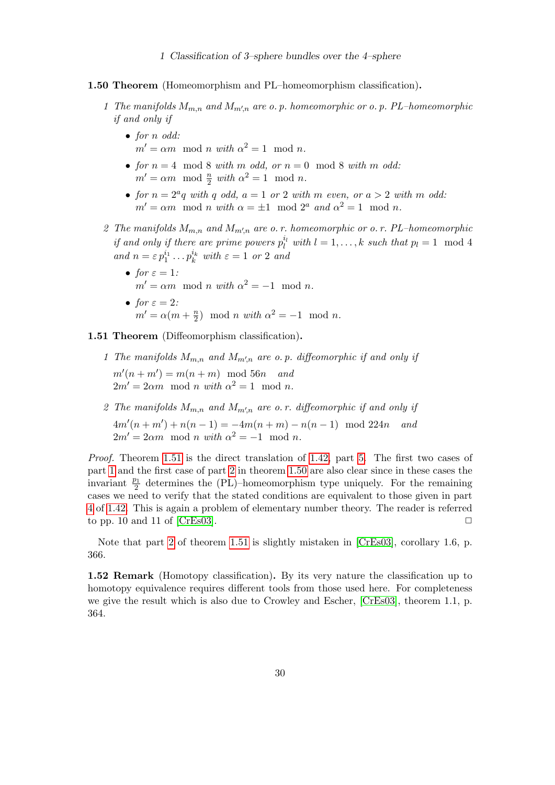- 1 Classification of 3–sphere bundles over the 4–sphere
- <span id="page-29-3"></span><span id="page-29-1"></span>1.50 Theorem (Homeomorphism and PL–homeomorphism classification).
	- 1 The manifolds  $M_{m,n}$  and  $M_{m',n}$  are o. p. homeomorphic or o. p. PL-homeomorphic if and only if
		- for *n* odd:  $m' = \alpha m \mod n$  with  $\alpha^2 = 1 \mod n$ .
		- for  $n = 4 \mod 8$  with m odd, or  $n = 0 \mod 8$  with m odd:  $m' = \alpha m \mod \frac{n}{2}$  with  $\alpha^2 = 1 \mod n$ .
		- for  $n = 2^a q$  with q odd,  $a = 1$  or 2 with m even, or  $a > 2$  with m odd:  $m' = \alpha m \mod n$  with  $\alpha = \pm 1 \mod 2^a$  and  $\alpha^2 = 1 \mod n$ .
	- 2 The manifolds  $M_{m,n}$  and  $M_{m',n}$  are o. r. homeomorphic or o. r. PL-homeomorphic if and only if there are prime powers  $p_l^{i_l}$  with  $l = 1, ..., k$  such that  $p_l = 1 \mod 4$ and  $n = \varepsilon p_1^{i_1} \dots p_k^{i_k}$  with  $\varepsilon = 1$  or 2 and
		- for  $\varepsilon = 1$ :  $m' = \alpha m \mod n$  with  $\alpha^2 = -1 \mod n$ . • for  $\varepsilon = 2$ :
			- $m' = \alpha(m + \frac{n}{2})$  $\binom{n}{2}$  mod *n* with  $\alpha^2 = -1$  mod *n*.

<span id="page-29-2"></span><span id="page-29-0"></span>1.51 Theorem (Diffeomorphism classification).

- 1 The manifolds  $M_{m,n}$  and  $M_{m',n}$  are o.p. diffeomorphic if and only if  $m'(n+m') = m(n+m) \mod 56n$  and  $2m' = 2\alpha m \mod n$  with  $\alpha^2 = 1 \mod n$ .
- <span id="page-29-4"></span>2 The manifolds  $M_{m,n}$  and  $M_{m',n}$  are o.r. diffeomorphic if and only if  $4m'(n+m') + n(n-1) = -4m(n+m) - n(n-1) \mod 224n$  and  $2m' = 2\alpha m \mod n$  with  $\alpha^2 = -1 \mod n$ .

Proof. Theorem [1.51](#page-29-0) is the direct translation of [1.42,](#page-25-1) part [5.](#page-25-2) The first two cases of part [1](#page-29-1) and the first case of part [2](#page-29-2) in theorem [1.50](#page-29-3) are also clear since in these cases the invariant  $\frac{p_1}{2}$  determines the (PL)–homeomorphism type uniquely. For the remaining cases we need to verify that the stated conditions are equivalent to those given in part [4](#page-25-3) of [1.42.](#page-25-1) This is again a problem of elementary number theory. The reader is referred to pp. 10 and 11 of [\[CrEs03\]](#page-46-1).  $\Box$ 

Note that part [2](#page-29-4) of theorem [1.51](#page-29-0) is slightly mistaken in [\[CrEs03\]](#page-46-1), corollary 1.6, p. 366.

1.52 Remark (Homotopy classification). By its very nature the classification up to homotopy equivalence requires different tools from those used here. For completeness we give the result which is also due to Crowley and Escher, [\[CrEs03\]](#page-46-1), theorem 1.1, p. 364.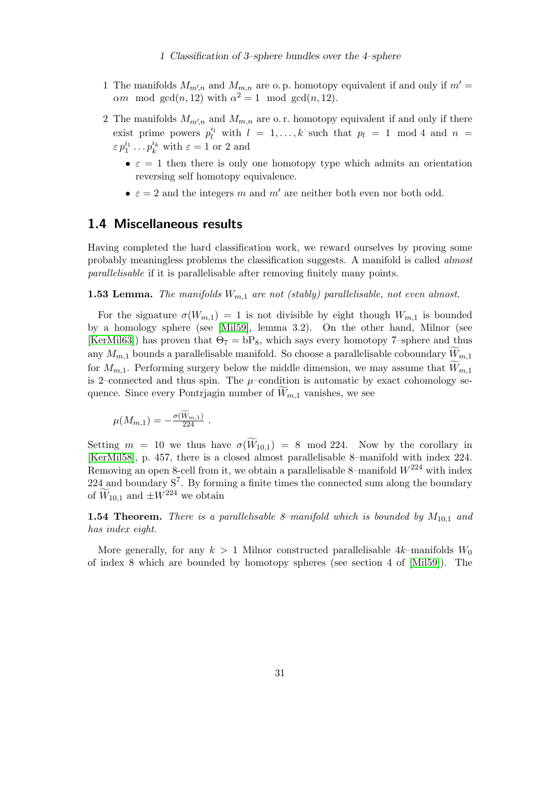- 1 The manifolds  $M_{m,n}$  and  $M_{m,n}$  are o. p. homotopy equivalent if and only if  $m'$  $\alpha m \mod \gcd(n, 12)$  with  $\alpha^2 = 1 \mod \gcd(n, 12)$ .
- 2 The manifolds  $M_{m,n}$  and  $M_{m,n}$  are o.r. homotopy equivalent if and only if there exist prime powers  $p_l^{i_l}$  with  $l = 1, ..., k$  such that  $p_l = 1 \mod 4$  and  $n =$  $\varepsilon p_1^{i_1} \dots p_k^{i_k}$  with  $\varepsilon = 1$  or 2 and
	- $\bullet \varepsilon = 1$  then there is only one homotopy type which admits an orientation reversing self homotopy equivalence.
	- $\varepsilon = 2$  and the integers m and m' are neither both even nor both odd.

## <span id="page-30-0"></span>1.4 Miscellaneous results

Having completed the hard classification work, we reward ourselves by proving some probably meaningless problems the classification suggests. A manifold is called almost parallelisable if it is parallelisable after removing finitely many points.

**1.53 Lemma.** The manifolds  $W_{m,1}$  are not (stably) parallelisable, not even almost.

For the signature  $\sigma(W_{m,1}) = 1$  is not divisible by eight though  $W_{m,1}$  is bounded by a homology sphere (see [\[Mil59\]](#page-48-9), lemma 3.2). On the other hand, Milnor (see [\[KerMil63\]](#page-47-0)) has proven that  $\Theta_7 = \Theta_8$ , which says every homotopy 7-sphere and thus any  $M_{m,1}$  bounds a parallelisable manifold. So choose a parallelisable coboundary  $W_{m,1}$ for  $M_{m,1}$ . Performing surgery below the middle dimension, we may assume that  $\widetilde{W}_{m,1}$ is 2–connected and thus spin. The  $\mu$ –condition is automatic by exact cohomology sequence. Since every Pontrjagin number of  $W_{m,1}$  vanishes, we see

$$
\mu(M_{m,1})=-\frac{\sigma(\widetilde W_{m,1})}{224}.
$$

Setting  $m = 10$  we thus have  $\sigma(\widetilde{W}_{10,1}) = 8 \mod 224$ . Now by the corollary in [\[KerMil58\]](#page-47-9), p. 457, there is a closed almost parallelisable 8–manifold with index 224. Removing an open 8-cell from it, we obtain a parallelisable 8–manifold  $W^{224}$  with index  $224$  and boundary  $S^7$ . By forming a finite times the connected sum along the boundary of  $\hat{W}_{10,1}$  and  $\pm W^{224}$  we obtain

<span id="page-30-1"></span>**1.54 Theorem.** There is a parallelisable 8-manifold which is bounded by  $M_{10,1}$  and has index eight.

More generally, for any  $k > 1$  Milnor constructed parallelisable 4k–manifolds  $W_0$ of index 8 which are bounded by homotopy spheres (see section 4 of [\[Mil59\]](#page-48-9)). The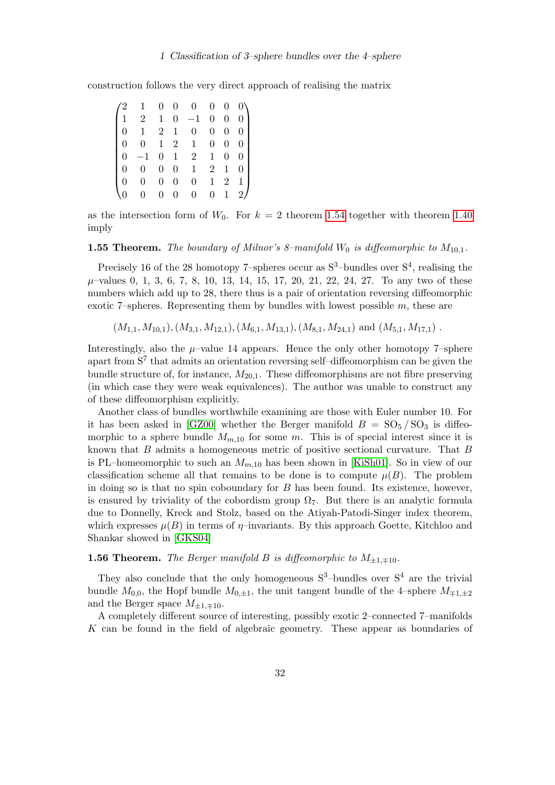construction follows the very direct approach of realising the matrix

|                  |                                                     | $\overline{0}$   | $\overline{0}$ | $\overline{0}$ | $\overline{0}$   | $\boldsymbol{0}$ | $0\lambda$     |
|------------------|-----------------------------------------------------|------------------|----------------|----------------|------------------|------------------|----------------|
|                  | $1 \quad 2$                                         | $\mathbf{1}$     | $\overline{0}$ | $-1$           | $\boldsymbol{0}$ | $\boldsymbol{0}$ | $\overline{0}$ |
| $\boldsymbol{0}$ | $\mathbf{1}$                                        | $\overline{2}$   | $\mathbf{1}$   | $\overline{0}$ | $\boldsymbol{0}$ | $\boldsymbol{0}$ | 0 <sub>1</sub> |
| $\overline{0}$   | $\boldsymbol{0}$                                    | 1                | $\overline{2}$ | $\mid 1 \mid$  | $\boldsymbol{0}$ | $\boldsymbol{0}$ | 0 <sub>1</sub> |
|                  | $\overline{0}$<br>$-1\,$                            |                  | $0\quad1$      | 2              | $\mathbf{1}$     | $\boldsymbol{0}$ | 0 <sub>1</sub> |
|                  | $0 \quad 0$                                         | $\overline{0}$   | $\overline{0}$ | $\mathbf{1}$   | $\overline{2}$   | $\mathbf{1}$     | $\overline{0}$ |
|                  | $\begin{bmatrix} 0 \end{bmatrix}$<br>$\overline{0}$ | $\boldsymbol{0}$ | 0              | $\overline{0}$ | 1                | $\overline{2}$   | $1 \mid$       |
|                  | $\overline{0}$                                      | $\overline{0}$   | $\overline{0}$ | $\overline{0}$ | $\boldsymbol{0}$ | $\mathbf{1}$     | 2/             |

as the intersection form of  $W_0$ . For  $k = 2$  theorem [1.54](#page-30-1) together with theorem [1.40](#page-24-0) imply

**1.55 Theorem.** The boundary of Milnor's 8-manifold  $W_0$  is diffeomorphic to  $M_{10,1}$ .

Precisely 16 of the 28 homotopy 7-spheres occur as  $S^3$ -bundles over  $S^4$ , realising the  $\mu$ -values 0, 1, 3, 6, 7, 8, 10, 13, 14, 15, 17, 20, 21, 22, 24, 27. To any two of these numbers which add up to 28, there thus is a pair of orientation reversing diffeomorphic exotic 7–spheres. Representing them by bundles with lowest possible  $m$ , these are

 $(M_{1,1}, M_{10,1}), (M_{3,1}, M_{12,1}), (M_{6,1}, M_{13,1}), (M_{8,1}, M_{24,1})$  and  $(M_{5,1}, M_{17,1})$ .

Interestingly, also the  $\mu$ -value 14 appears. Hence the only other homotopy 7–sphere apart from  $S<sup>7</sup>$  that admits an orientation reversing self-diffeomorphism can be given the bundle structure of, for instance,  $M_{20,1}$ . These diffeomorphisms are not fibre preserving (in which case they were weak equivalences). The author was unable to construct any of these diffeomorphism explicitly.

Another class of bundles worthwhile examining are those with Euler number 10. For it has been asked in [\[GZ00\]](#page-46-4) whether the Berger manifold  $B = SO<sub>5</sub>/SO<sub>3</sub>$  is diffeomorphic to a sphere bundle  $M_{m,10}$  for some m. This is of special interest since it is known that B admits a homogeneous metric of positive sectional curvature. That B is PL–homeomorphic to such an  $M_{m,10}$  has been shown in [\[KiSh01\]](#page-47-10). So in view of our classification scheme all that remains to be done is to compute  $\mu(B)$ . The problem in doing so is that no spin coboundary for  $B$  has been found. Its existence, however, is ensured by triviality of the cobordism group  $\Omega_7$ . But there is an analytic formula due to Donnelly, Kreck and Stolz, based on the Atiyah-Patodi-Singer index theorem, which expresses  $\mu(B)$  in terms of  $\eta$ –invariants. By this approach Goette, Kitchloo and Shankar showed in [\[GKS04\]](#page-46-5)

**1.56 Theorem.** The Berger manifold B is diffeomorphic to  $M_{\pm 1,\pm 10}$ .

They also conclude that the only homogeneous  $S^3$ -bundles over  $S^4$  are the trivial bundle  $M_{0,0}$ , the Hopf bundle  $M_{0,\pm 1}$ , the unit tangent bundle of the 4–sphere  $M_{\mp 1,\pm 2}$ and the Berger space  $M_{\pm 1,\mp 10}$ .

A completely different source of interesting, possibly exotic 2–connected 7–manifolds K can be found in the field of algebraic geometry. These appear as boundaries of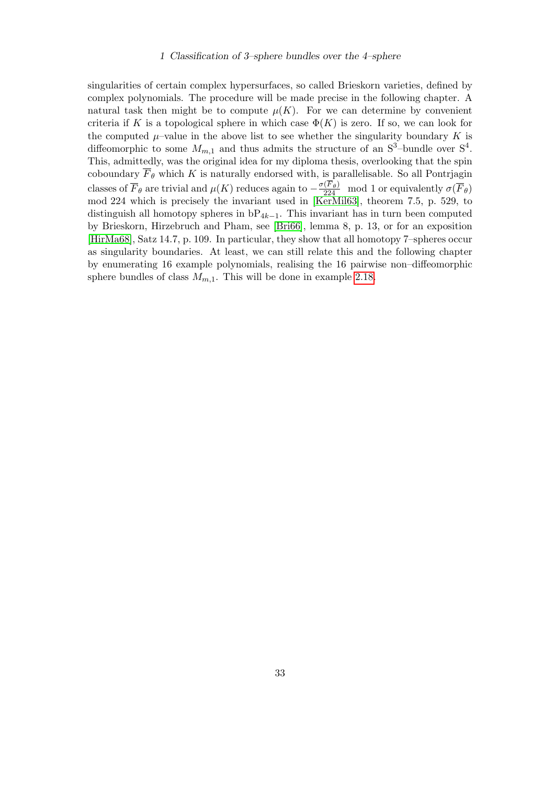singularities of certain complex hypersurfaces, so called Brieskorn varieties, defined by complex polynomials. The procedure will be made precise in the following chapter. A natural task then might be to compute  $\mu(K)$ . For we can determine by convenient criteria if K is a topological sphere in which case  $\Phi(K)$  is zero. If so, we can look for the computed  $\mu$ –value in the above list to see whether the singularity boundary K is diffeomorphic to some  $M_{m,1}$  and thus admits the structure of an  $S^3$ -bundle over  $S^4$ . This, admittedly, was the original idea for my diploma thesis, overlooking that the spin coboundary  $\overline{F}_{\theta}$  which K is naturally endorsed with, is parallelisable. So all Pontrjagin classes of  $\overline{F}_{\theta}$  are trivial and  $\mu(K)$  reduces again to  $-\frac{\sigma(F_{\theta})}{224}$  mod 1 or equivalently  $\sigma(\overline{F}_{\theta})$ mod 224 which is precisely the invariant used in [\[KerMil63\]](#page-47-0), theorem 7.5, p. 529, to distinguish all homotopy spheres in  $bP_{4k-1}$ . This invariant has in turn been computed by Brieskorn, Hirzebruch and Pham, see [\[Bri66\]](#page-46-7), lemma 8, p. 13, or for an exposition [\[HirMa68\]](#page-46-8), Satz 14.7, p. 109. In particular, they show that all homotopy 7–spheres occur as singularity boundaries. At least, we can still relate this and the following chapter by enumerating 16 example polynomials, realising the 16 pairwise non–diffeomorphic sphere bundles of class  $M_{m,1}$ . This will be done in example [2.18.](#page-41-1)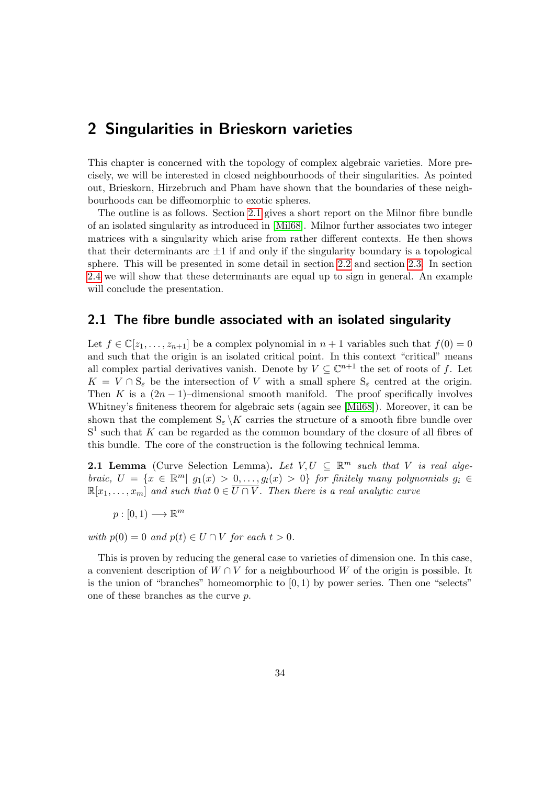<span id="page-33-0"></span>This chapter is concerned with the topology of complex algebraic varieties. More precisely, we will be interested in closed neighbourhoods of their singularities. As pointed out, Brieskorn, Hirzebruch and Pham have shown that the boundaries of these neighbourhoods can be diffeomorphic to exotic spheres.

The outline is as follows. Section [2.1](#page-33-1) gives a short report on the Milnor fibre bundle of an isolated singularity as introduced in [\[Mil68\]](#page-48-0). Milnor further associates two integer matrices with a singularity which arise from rather different contexts. He then shows that their determinants are  $\pm 1$  if and only if the singularity boundary is a topological sphere. This will be presented in some detail in section [2.2](#page-36-0) and section [2.3.](#page-41-0) In section [2.4](#page-42-0) we will show that these determinants are equal up to sign in general. An example will conclude the presentation.

## <span id="page-33-1"></span>2.1 The fibre bundle associated with an isolated singularity

Let  $f \in \mathbb{C}[z_1,\ldots,z_{n+1}]$  be a complex polynomial in  $n+1$  variables such that  $f(0) = 0$ and such that the origin is an isolated critical point. In this context "critical" means all complex partial derivatives vanish. Denote by  $V \subseteq \mathbb{C}^{n+1}$  the set of roots of f. Let  $K = V \cap S_{\varepsilon}$  be the intersection of V with a small sphere  $S_{\varepsilon}$  centred at the origin. Then K is a  $(2n-1)$ –dimensional smooth manifold. The proof specifically involves Whitney's finiteness theorem for algebraic sets (again see [\[Mil68\]](#page-48-0)). Moreover, it can be shown that the complement  $S_{\varepsilon} \backslash K$  carries the structure of a smooth fibre bundle over  $S<sup>1</sup>$  such that K can be regarded as the common boundary of the closure of all fibres of this bundle. The core of the construction is the following technical lemma.

**2.1 Lemma** (Curve Selection Lemma). Let  $V, U \subseteq \mathbb{R}^m$  such that V is real algebraic,  $U = \{x \in \mathbb{R}^m | g_1(x) > 0, \ldots, g_l(x) > 0\}$  for finitely many polynomials  $g_i \in$  $\mathbb{R}[x_1,\ldots,x_m]$  and such that  $0 \in \overline{U \cap V}$ . Then there is a real analytic curve

 $p: [0,1) \longrightarrow \mathbb{R}^m$ 

with  $p(0) = 0$  and  $p(t) \in U \cap V$  for each  $t > 0$ .

This is proven by reducing the general case to varieties of dimension one. In this case, a convenient description of  $W \cap V$  for a neighbourhood W of the origin is possible. It is the union of "branches" homeomorphic to  $(0, 1)$  by power series. Then one "selects" one of these branches as the curve p.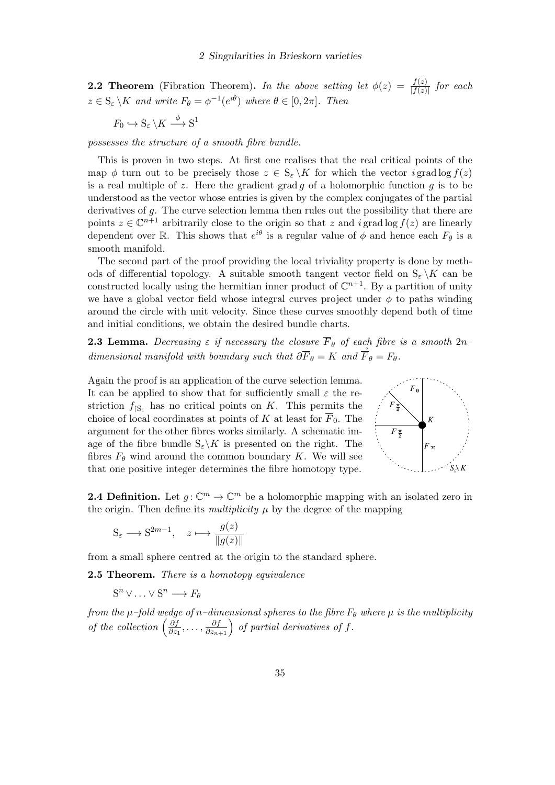**2.2 Theorem** (Fibration Theorem). In the above setting let  $\phi(z) = \frac{f(z)}{|f(z)|}$  for each  $z \in S_{\varepsilon} \backslash K$  and write  $F_{\theta} = \phi^{-1}(e^{i\theta})$  where  $\theta \in [0, 2\pi]$ . Then

$$
F_0 \hookrightarrow \mathbf{S}_{\varepsilon} \backslash K \xrightarrow{\phi} \mathbf{S}^1
$$

possesses the structure of a smooth fibre bundle.

This is proven in two steps. At first one realises that the real critical points of the map  $\phi$  turn out to be precisely those  $z \in S_{\varepsilon} \backslash K$  for which the vector i grad log  $f(z)$ is a real multiple of z. Here the gradient grad g of a holomorphic function  $q$  is to be understood as the vector whose entries is given by the complex conjugates of the partial derivatives of g. The curve selection lemma then rules out the possibility that there are points  $z \in \mathbb{C}^{n+1}$  arbitrarily close to the origin so that z and i grad log  $f(z)$  are linearly dependent over R. This shows that  $e^{i\theta}$  is a regular value of  $\phi$  and hence each  $F_{\theta}$  is a smooth manifold.

The second part of the proof providing the local triviality property is done by methods of differential topology. A suitable smooth tangent vector field on  $S_{\varepsilon} \backslash K$  can be constructed locally using the hermitian inner product of  $\mathbb{C}^{n+1}$ . By a partition of unity we have a global vector field whose integral curves project under  $\phi$  to paths winding around the circle with unit velocity. Since these curves smoothly depend both of time and initial conditions, we obtain the desired bundle charts.

**2.3 Lemma.** Decreasing  $\varepsilon$  if necessary the closure  $\overline{F}_{\theta}$  of each fibre is a smooth  $2n$ dimensional manifold with boundary such that  $\partial \overline{F}_{\theta} = K$  and  $\overline{F}_{\theta} = F_{\theta}$ .

Again the proof is an application of the curve selection lemma. It can be applied to show that for sufficiently small  $\varepsilon$  the restriction  $f_{|S_{\varepsilon}}$  has no critical points on K. This permits the choice of local coordinates at points of K at least for  $\overline{F}_0$ . The argument for the other fibres works similarly. A schematic image of the fibre bundle  $S_{\epsilon}$  K is presented on the right. The fibres  $F_{\theta}$  wind around the common boundary K. We will see that one positive integer determines the fibre homotopy type.



**2.4 Definition.** Let  $g: \mathbb{C}^m \to \mathbb{C}^m$  be a holomorphic mapping with an isolated zero in the origin. Then define its *multiplicity*  $\mu$  by the degree of the mapping

$$
S_{\varepsilon} \longrightarrow S^{2m-1}, \quad z \longmapsto \frac{g(z)}{\|g(z)\|}
$$

from a small sphere centred at the origin to the standard sphere.

<span id="page-34-0"></span>2.5 Theorem. There is a homotopy equivalence

 $S^n \vee \ldots \vee S^n \longrightarrow F_\theta$ 

from the  $\mu$ -fold wedge of n-dimensional spheres to the fibre  $F_{\theta}$  where  $\mu$  is the multiplicity of the collection  $\left(\frac{\partial f}{\partial x}\right)$  $\frac{\partial f}{\partial z_1}, \ldots, \frac{\partial f}{\partial z_{n+1}}\right)$  of partial derivatives of f.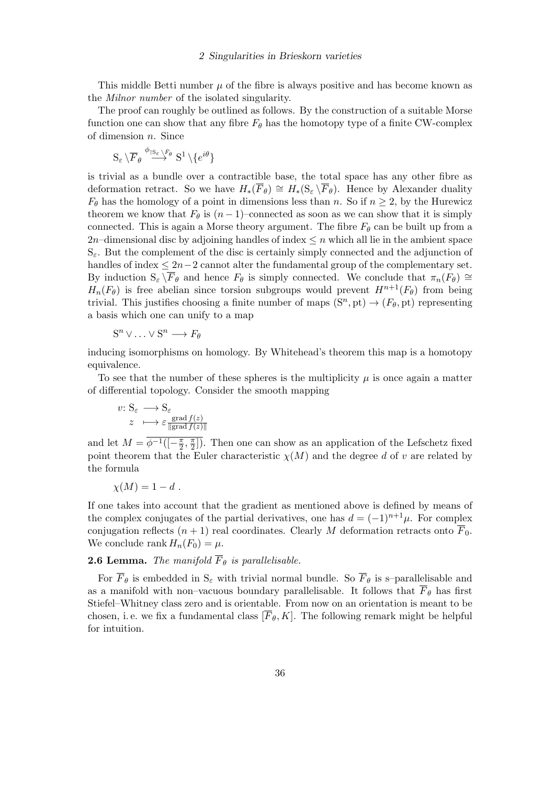This middle Betti number  $\mu$  of the fibre is always positive and has become known as the Milnor number of the isolated singularity.

The proof can roughly be outlined as follows. By the construction of a suitable Morse function one can show that any fibre  $F_{\theta}$  has the homotopy type of a finite CW-complex of dimension n. Since

$$
\mathrm{S}_\varepsilon\,\backslash\overline{F}_\theta\stackrel{\phi_{\restriction\mathrm{S}_\varepsilon\,\backslash\bar{F}_\theta}}{\longrightarrow} \mathrm{S}^1\,\backslash\{e^{i\theta}\}
$$

is trivial as a bundle over a contractible base, the total space has any other fibre as deformation retract. So we have  $H_*(\overline{F}_{\theta}) \cong H_*(S_{\varepsilon} \backslash \overline{F}_{\theta})$ . Hence by Alexander duality  $F_{\theta}$  has the homology of a point in dimensions less than n. So if  $n \geq 2$ , by the Hurewicz theorem we know that  $F_{\theta}$  is  $(n-1)$ –connected as soon as we can show that it is simply connected. This is again a Morse theory argument. The fibre  $F_{\theta}$  can be built up from a 2n–dimensional disc by adjoining handles of index  $\leq n$  which all lie in the ambient space  $S_{\epsilon}$ . But the complement of the disc is certainly simply connected and the adjunction of handles of index  $\leq 2n-2$  cannot alter the fundamental group of the complementary set. By induction  $S_\varepsilon \backslash \overline{F}_\theta$  and hence  $F_\theta$  is simply connected. We conclude that  $\pi_n(F_\theta) \cong$  $H_n(F_\theta)$  is free abelian since torsion subgroups would prevent  $H^{n+1}(F_\theta)$  from being trivial. This justifies choosing a finite number of maps  $(S<sup>n</sup>, pt) \rightarrow (F_{\theta}, pt)$  representing a basis which one can unify to a map

$$
S^n \vee \ldots \vee S^n \longrightarrow F_\theta
$$

inducing isomorphisms on homology. By Whitehead's theorem this map is a homotopy equivalence.

To see that the number of these spheres is the multiplicity  $\mu$  is once again a matter of differential topology. Consider the smooth mapping

$$
\begin{aligned} v \colon \mathcal{S}_{\varepsilon} &\longrightarrow \mathcal{S}_{\varepsilon} \\ z &\longmapsto \varepsilon \frac{\text{grad } f(z)}{\|\text{grad } f(z)\|} \end{aligned}
$$

and let  $M = \overline{\phi^{-1}(-\frac{\pi}{2})}$  $\frac{\pi}{2}, \frac{\pi}{2}$  $\frac{\pi}{2}$ ). Then one can show as an application of the Lefschetz fixed point theorem that the Euler characteristic  $\chi(M)$  and the degree d of v are related by the formula

$$
\chi(M) = 1 - d \; .
$$

If one takes into account that the gradient as mentioned above is defined by means of the complex conjugates of the partial derivatives, one has  $d = (-1)^{n+1}\mu$ . For complex conjugation reflects  $(n + 1)$  real coordinates. Clearly M deformation retracts onto  $\overline{F}_0$ . We conclude rank  $H_n(F_0) = \mu$ .

### **2.6 Lemma.** The manifold  $\overline{F}_{\theta}$  is parallelisable.

For  $\overline{F}_{\theta}$  is embedded in  $S_{\varepsilon}$  with trivial normal bundle. So  $\overline{F}_{\theta}$  is s-parallelisable and as a manifold with non–vacuous boundary parallelisable. It follows that  $\overline{F}_{\theta}$  has first Stiefel–Whitney class zero and is orientable. From now on an orientation is meant to be chosen, i. e. we fix a fundamental class  $[\overline{F}_{\theta}, K]$ . The following remark might be helpful for intuition.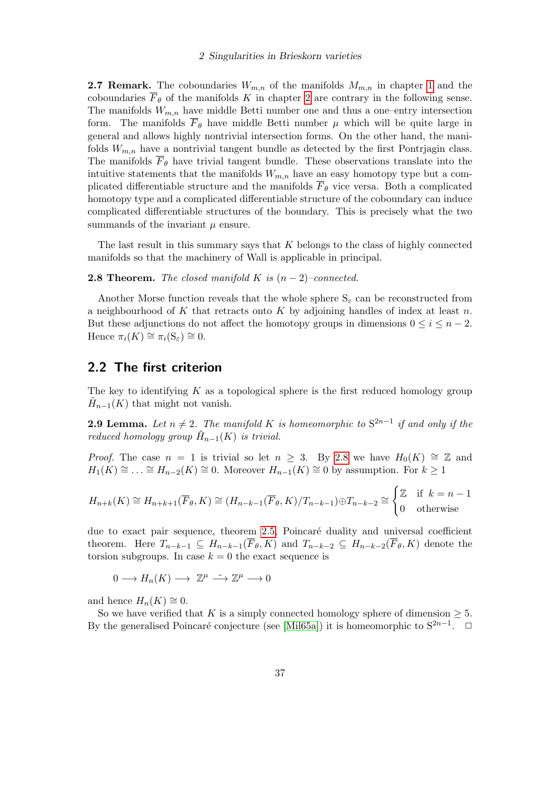**2.7 Remark.** The coboundaries  $W_{m,n}$  of the manifolds  $M_{m,n}$  in chapter [1](#page-5-0) and the coboundaries  $\overline{F}_{\theta}$  of the manifolds K in chapter [2](#page-33-0) are contrary in the following sense. The manifolds  $W_{m,n}$  have middle Betti number one and thus a one–entry intersection form. The manifolds  $\overline{F}_{\theta}$  have middle Betti number  $\mu$  which will be quite large in general and allows highly nontrivial intersection forms. On the other hand, the manifolds  $W_{m,n}$  have a nontrivial tangent bundle as detected by the first Pontrjagin class. The manifolds  $\overline{F}_{\theta}$  have trivial tangent bundle. These observations translate into the intuitive statements that the manifolds  $W_{m,n}$  have an easy homotopy type but a complicated differentiable structure and the manifolds  $F_{\theta}$  vice versa. Both a complicated homotopy type and a complicated differentiable structure of the coboundary can induce complicated differentiable structures of the boundary. This is precisely what the two summands of the invariant  $\mu$  ensure.

The last result in this summary says that  $K$  belongs to the class of highly connected manifolds so that the machinery of Wall is applicable in principal.

<span id="page-36-1"></span>**2.8 Theorem.** The closed manifold K is  $(n-2)$ –connected.

Another Morse function reveals that the whole sphere  $S_{\varepsilon}$  can be reconstructed from a neighbourhood of K that retracts onto K by adjoining handles of index at least  $n$ . But these adjunctions do not affect the homotopy groups in dimensions  $0 \leq i \leq n-2$ . Hence  $\pi_i(K) \cong \pi_i(S_\varepsilon) \cong 0$ .

## <span id="page-36-0"></span>2.2 The first criterion

The key to identifying  $K$  as a topological sphere is the first reduced homology group  $\tilde{H}_{n-1}(K)$  that might not vanish.

**2.9 Lemma.** Let  $n \neq 2$ . The manifold K is homeomorphic to  $S^{2n-1}$  if and only if the reduced homology group  $\tilde{H}_{n-1}(K)$  is trivial.

*Proof.* The case  $n = 1$  is trivial so let  $n \geq 3$ . By [2.8](#page-36-1) we have  $H_0(K) \cong \mathbb{Z}$  and  $H_1(K) \cong \ldots \cong H_{n-2}(K) \cong 0$ . Moreover  $H_{n-1}(K) \cong 0$  by assumption. For  $k \geq 1$ 

$$
H_{n+k}(K) \cong H_{n+k+1}(\overline{F}_{\theta}, K) \cong (H_{n-k-1}(\overline{F}_{\theta}, K)/T_{n-k-1}) \oplus T_{n-k-2} \cong \begin{cases} \mathbb{Z} & \text{if } k = n-1 \\ 0 & \text{otherwise} \end{cases}
$$

due to exact pair sequence, theorem [2.5,](#page-34-0) Poincaré duality and universal coefficient theorem. Here  $T_{n-k-1} \subseteq H_{n-k-1}(\overline{F}_{\theta}, K)$  and  $T_{n-k-2} \subseteq H_{n-k-2}(\overline{F}_{\theta}, K)$  denote the torsion subgroups. In case  $k = 0$  the exact sequence is

 $0 \longrightarrow H_n(K) \longrightarrow \mathbb{Z}^{\mu} \longrightarrow \mathbb{Z}^{\mu} \longrightarrow 0$ 

and hence  $H_n(K) \cong 0$ .

So we have verified that K is a simply connected homology sphere of dimension  $\geq 5$ . By the generalised Poincaré conjecture (see [\[Mil65a\]](#page-48-7)) it is homeomorphic to  $S^{2n-1}$ .  $\Box$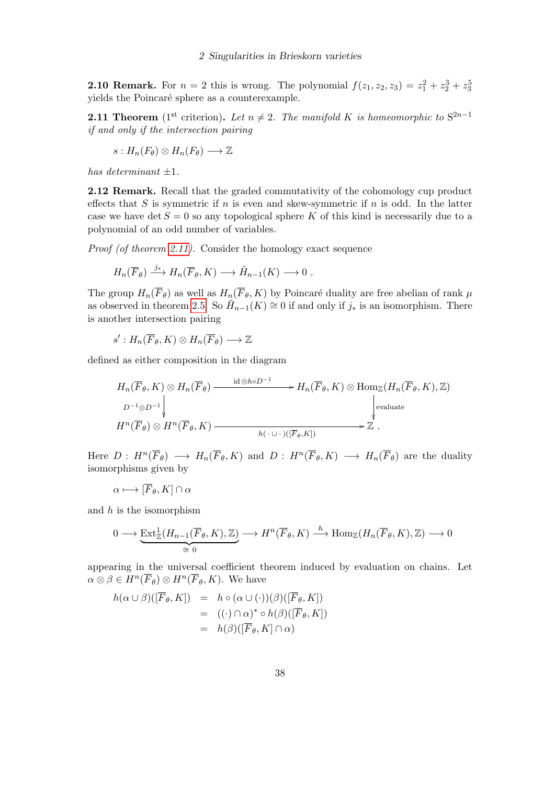**2.10 Remark.** For  $n = 2$  this is wrong. The polynomial  $f(z_1, z_2, z_3) = z_1^2 + z_2^3 + z_3^5$ yields the Poincaré sphere as a counterexample.

<span id="page-37-0"></span>**2.11 Theorem** (1<sup>st</sup> criterion). Let  $n \neq 2$ . The manifold K is homeomorphic to S<sup>2n-1</sup> if and only if the intersection pairing

$$
s: H_n(F_\theta) \otimes H_n(F_\theta) \longrightarrow \mathbb{Z}
$$

has determinant  $\pm 1$ .

2.12 Remark. Recall that the graded commutativity of the cohomology cup product effects that S is symmetric if n is even and skew-symmetric if n is odd. In the latter case we have det  $S = 0$  so any topological sphere K of this kind is necessarily due to a polynomial of an odd number of variables.

Proof (of theorem [2.11\)](#page-37-0). Consider the homology exact sequence

$$
H_n(\overline{F}_{\theta}) \xrightarrow{j_*} H_n(\overline{F}_{\theta}, K) \longrightarrow \tilde{H}_{n-1}(K) \longrightarrow 0.
$$

The group  $H_n(\overline{F}_{\theta})$  as well as  $H_n(\overline{F}_{\theta}, K)$  by Poincaré duality are free abelian of rank  $\mu$ as observed in theorem [2.5.](#page-34-0) So  $\tilde{H}_{n-1}(K) \cong 0$  if and only if  $j_*$  is an isomorphism. There is another intersection pairing

$$
s':H_n(\overline{F}_{\theta}, K)\otimes H_n(\overline{F}_{\theta})\longrightarrow \mathbb{Z}
$$

defined as either composition in the diagram

$$
H_n(\overline{F}_{\theta}, K) \otimes H_n(\overline{F}_{\theta}) \xrightarrow{\text{id} \otimes \text{ho} D^{-1}} H_n(\overline{F}_{\theta}, K) \otimes \text{Hom}_{\mathbb{Z}}(H_n(\overline{F}_{\theta}, K), \mathbb{Z})
$$
\n
$$
D^{-1} \otimes D^{-1} \downarrow \qquad \qquad \downarrow \text{evaluate}
$$
\n
$$
H^n(\overline{F}_{\theta}) \otimes H^n(\overline{F}_{\theta}, K) \xrightarrow{h(\cdot \cup \cdot)([\overline{F}_{\theta}, K])} \mathbb{Z}.
$$

Here  $D: H^n(\overline{F}_{\theta}) \longrightarrow H_n(\overline{F}_{\theta}, K)$  and  $D: H^n(\overline{F}_{\theta}, K) \longrightarrow H_n(\overline{F}_{\theta})$  are the duality isomorphisms given by

 $\alpha \longmapsto [\overline{F}_{\theta}, K] \cap \alpha$ 

and  $h$  is the isomorphism

$$
0 \longrightarrow \underbrace{\text{Ext}^1_{\mathbb{Z}}(H_{n-1}(\overline{F}_{\theta}, K), \mathbb{Z})}_{\cong 0} \longrightarrow H^n(\overline{F}_{\theta}, K) \stackrel{h}{\longrightarrow} \text{Hom}_{\mathbb{Z}}(H_n(\overline{F}_{\theta}, K), \mathbb{Z}) \longrightarrow 0
$$

appearing in the universal coefficient theorem induced by evaluation on chains. Let  $\alpha \otimes \beta \in H^n(\overline{F}_{\theta}) \otimes H^n(\overline{F}_{\theta}, K)$ . We have

$$
h(\alpha \cup \beta)([\overline{F}_{\theta}, K]) = h \circ (\alpha \cup (\cdot))(\beta)([\overline{F}_{\theta}, K])
$$
  
= ((\cdot) \cap \alpha)^\* \circ h(\beta)([\overline{F}\_{\theta}, K])  
= h(\beta)([\overline{F}\_{\theta}, K] \cap \alpha)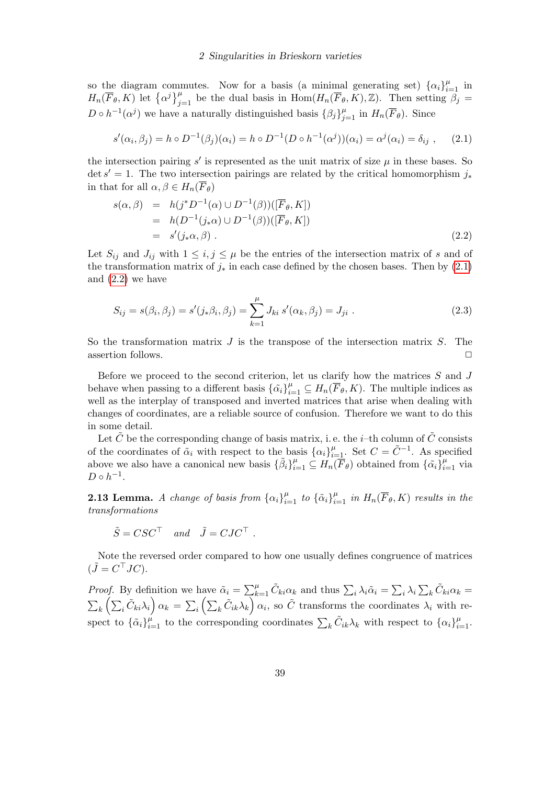so the diagram commutes. Now for a basis (a minimal generating set)  $\{\alpha_i\}_{i=1}^{\mu}$  in  $H_n(\overline{F}_{\theta}, K)$  let  $\{\alpha^j\}_{j=1}^{\mu}$  be the dual basis in  $\text{Hom}(H_n(\overline{F}_{\theta}, K), \mathbb{Z})$ . Then setting  $\beta_j =$  $D \circ h^{-1}(\alpha^j)$  we have a naturally distinguished basis  $\{\beta_j\}_{j=1}^{\mu}$  in  $H_n(\overline{F}_{\theta})$ . Since

<span id="page-38-0"></span>
$$
s'(\alpha_i, \beta_j) = h \circ D^{-1}(\beta_j)(\alpha_i) = h \circ D^{-1}(D \circ h^{-1}(\alpha^j))(\alpha_i) = \alpha^j(\alpha_i) = \delta_{ij}, \quad (2.1)
$$

the intersection pairing  $s'$  is represented as the unit matrix of size  $\mu$  in these bases. So det  $s' = 1$ . The two intersection pairings are related by the critical homomorphism  $j_*$ in that for all  $\alpha, \beta \in H_n(\overline{F}_{\theta})$ 

<span id="page-38-1"></span>
$$
s(\alpha, \beta) = h(j^* D^{-1}(\alpha) \cup D^{-1}(\beta))([\overline{F}_{\theta}, K])
$$
  
=  $h(D^{-1}(j_*\alpha) \cup D^{-1}(\beta))([\overline{F}_{\theta}, K])$   
=  $s'(j_*\alpha, \beta)$ . (2.2)

Let  $S_{ij}$  and  $J_{ij}$  with  $1 \leq i, j \leq \mu$  be the entries of the intersection matrix of s and of the transformation matrix of  $j_*$  in each case defined by the chosen bases. Then by [\(2.1\)](#page-38-0) and [\(2.2\)](#page-38-1) we have

<span id="page-38-2"></span>
$$
S_{ij} = s(\beta_i, \beta_j) = s'(j_*\beta_i, \beta_j) = \sum_{k=1}^{\mu} J_{ki} s'(\alpha_k, \beta_j) = J_{ji}.
$$
 (2.3)

So the transformation matrix  $J$  is the transpose of the intersection matrix  $S$ . The assertion follows.  $\Box$ 

Before we proceed to the second criterion, let us clarify how the matrices  $S$  and  $J$ behave when passing to a different basis  $\{\tilde{\alpha_i}\}_{i=1}^{\mu} \subseteq H_n(\overline{F}_{\theta}, K)$ . The multiple indices as well as the interplay of transposed and inverted matrices that arise when dealing with changes of coordinates, are a reliable source of confusion. Therefore we want to do this in some detail.

Let  $\tilde{C}$  be the corresponding change of basis matrix, i.e. the *i*-th column of  $\tilde{C}$  consists of the coordinates of  $\tilde{\alpha}_i$  with respect to the basis  $\{\alpha_i\}_{i=1}^{\mu}$ . Set  $C = \tilde{C}^{-1}$ . As specified above we also have a canonical new basis  $\{\tilde{\beta}_i\}_{i=1}^{\mu} \subseteq H_n(\overline{F}_{\theta})$  obtained from  $\{\tilde{\alpha}_i\}_{i=1}^{\mu}$  via  $D \circ h^{-1}$ .

<span id="page-38-3"></span>**2.13 Lemma.** A change of basis from  $\{\alpha_i\}_{i=1}^{\mu}$  to  $\{\tilde{\alpha}_i\}_{i=1}^{\mu}$  in  $H_n(\overline{F}_{\theta}, K)$  results in the transformations

$$
\tilde{S} = CSC^{\top}
$$
 and  $\tilde{J} = CJC^{\top}$ .

Note the reversed order compared to how one usually defines congruence of matrices  $(\tilde{J} = C^{\top}JC).$ 

*Proof.* By definition we have  $\tilde{\alpha}_i = \sum_{k=1}^{\mu} \tilde{C}_{ki} \alpha_k$  and thus  $\sum_i \lambda_i \tilde{\alpha}_i = \sum_i \lambda_i \sum_k \tilde{C}_{ki} \alpha_k =$  $\sum_{k} \left( \sum_{i} \tilde{C}_{ki} \lambda_i \right) \alpha_k = \sum_{i} \left( \sum_{k} \tilde{C}_{ik} \lambda_k \right) \alpha_i$ , so  $\tilde{C}$  transforms the coordinates  $\lambda_i$  with respect to  $\{\tilde{\alpha}_i\}_{i=1}^{\mu}$  to the corresponding coordinates  $\sum_k \tilde{C}_{ik}\lambda_k$  with respect to  $\{\alpha_i\}_{i=1}^{\mu}$ .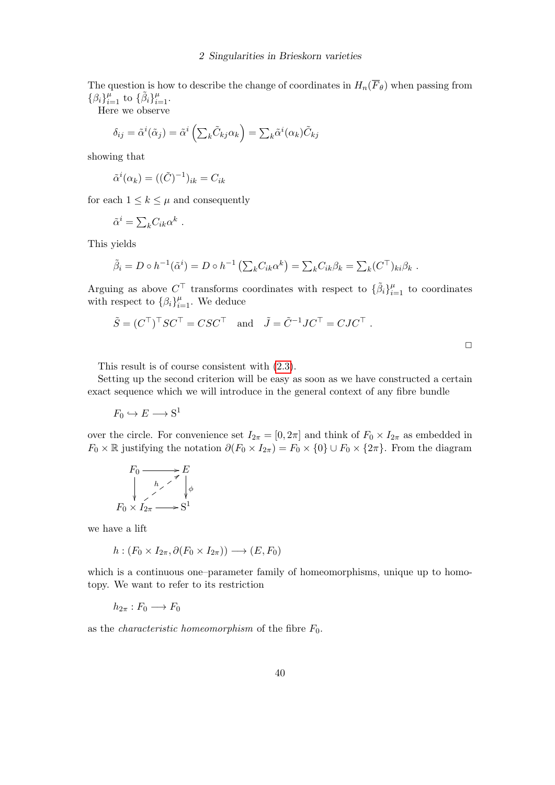The question is how to describe the change of coordinates in  $H_n(\overline{F}_{\theta})$  when passing from  $\{\beta_i\}_{i=1}^{\mu}$  to  $\{\tilde{\beta}_i\}_{i=1}^{\mu}$ .

Here we observe

$$
\delta_{ij} = \tilde{\alpha}^i(\tilde{\alpha}_j) = \tilde{\alpha}^i\left(\sum_k \tilde{C}_{kj}\alpha_k\right) = \sum_k \tilde{\alpha}^i(\alpha_k)\tilde{C}_{kj}
$$

showing that

$$
\tilde{\alpha}^i(\alpha_k) = ((\tilde{C})^{-1})_{ik} = C_{ik}
$$

for each  $1 \leq k \leq \mu$  and consequently

$$
\tilde{\alpha}^i = \sum_k C_{ik} \alpha^k.
$$

This yields

$$
\tilde{\beta}_i = D \circ h^{-1}(\tilde{\alpha}^i) = D \circ h^{-1} \left( \sum_k C_{ik} \alpha^k \right) = \sum_k C_{ik} \beta_k = \sum_k (C^{\top})_{ki} \beta_k.
$$

Arguing as above  $C^{\top}$  transforms coordinates with respect to  $\{\tilde{\beta}_i\}_{i=1}^{\mu}$  to coordinates with respect to  $\{\beta_i\}_{i=1}^{\mu}$ . We deduce

$$
\tilde{S} = (C^{\top})^{\top} SC^{\top} = CSC^{\top}
$$
 and  $\tilde{J} = \tilde{C}^{-1}JC^{\top} = CJC^{\top}$ .

This result is of course consistent with [\(2.3\)](#page-38-2).

Setting up the second criterion will be easy as soon as we have constructed a certain exact sequence which we will introduce in the general context of any fibre bundle

 $F_0 \hookrightarrow E \longrightarrow \mathbf{S}^1$ 

over the circle. For convenience set  $I_{2\pi} = [0, 2\pi]$  and think of  $F_0 \times I_{2\pi}$  as embedded in  $F_0 \times \mathbb{R}$  justifying the notation  $\partial (F_0 \times I_{2\pi}) = F_0 \times \{0\} \cup F_0 \times \{2\pi\}$ . From the diagram

$$
F_0 \xrightarrow{\phantom{a}} F_0 \xrightarrow{\phantom{a}} F_0
$$
  
\n
$$
F_0 \times I_{2\pi} \xrightarrow{\phantom{a}} S^1
$$

we have a lift

$$
h:(F_0\times I_{2\pi},\partial(F_0\times I_{2\pi}))\longrightarrow (E,F_0)
$$

which is a continuous one–parameter family of homeomorphisms, unique up to homotopy. We want to refer to its restriction

$$
h_{2\pi}: F_0 \longrightarrow F_0
$$

as the *characteristic homeomorphism* of the fibre  $F_0$ .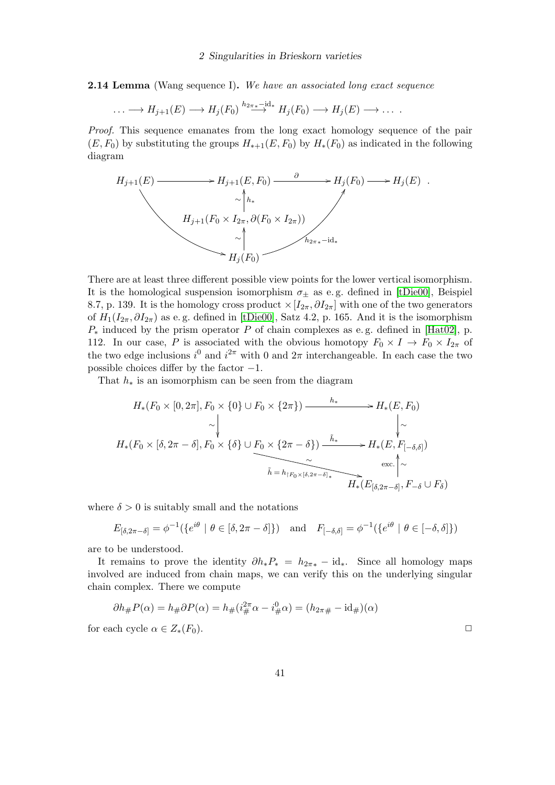<span id="page-40-0"></span>**2.14 Lemma** (Wang sequence I). We have an associated long exact sequence

$$
\ldots \longrightarrow H_{j+1}(E) \longrightarrow H_j(F_0) \stackrel{h_{2\pi}}{\longrightarrow} H_j(F_0) \longrightarrow H_j(E) \longrightarrow \ldots
$$

Proof. This sequence emanates from the long exact homology sequence of the pair  $(E, F_0)$  by substituting the groups  $H_{*+1}(E, F_0)$  by  $H_*(F_0)$  as indicated in the following diagram

$$
H_{j+1}(E) \longrightarrow H_{j+1}(E, F_0) \longrightarrow H_j(F_0) \longrightarrow H_j(E) .
$$
  
\n
$$
\sim \uparrow_{h*}
$$
  
\n
$$
H_{j+1}(F_0 \times I_{2\pi}, \partial(F_0 \times I_{2\pi}))
$$
  
\n
$$
\sim \uparrow_{h_{2\pi *} - id_*}
$$
  
\n
$$
H_j(F_0) \longrightarrow H_j(F_0)
$$

There are at least three different possible view points for the lower vertical isomorphism. It is the homological suspension isomorphism  $\sigma_{\pm}$  as e.g. defined in [\[tDie00\]](#page-46-9), Beispiel 8.7, p. 139. It is the homology cross product  $\times [I_{2\pi}, \partial I_{2\pi}]$  with one of the two generators of  $H_1(I_{2\pi}, \partial I_{2\pi})$  as e.g. defined in [\[tDie00\]](#page-46-9), Satz 4.2, p. 165. And it is the isomorphism  $P_*$  induced by the prism operator P of chain complexes as e.g. defined in [\[Hat02\]](#page-46-10), p. 112. In our case, P is associated with the obvious homotopy  $F_0 \times I \to F_0 \times I_{2\pi}$  of the two edge inclusions  $i^0$  and  $i^{2\pi}$  with 0 and  $2\pi$  interchangeable. In each case the two possible choices differ by the factor  $-1$ .

That  $h_*$  is an isomorphism can be seen from the diagram

$$
H_*(F_0 \times [0, 2\pi], F_0 \times \{0\} \cup F_0 \times \{2\pi\}) \xrightarrow{h_*} H_*(E, F_0)
$$
  
\n
$$
\sim \downarrow \qquad \qquad \downarrow \sim
$$
  
\n
$$
H_*(F_0 \times [\delta, 2\pi - \delta], F_0 \times \{\delta\} \cup \underbrace{F_0 \times \{2\pi - \delta\}) \xrightarrow{\tilde{h}_*} H_*(E, F_{[-\delta, \delta]})}_{\tilde{h} = h_{[F_0 \times [\delta, 2\pi - \delta]_*} \times H_*(E_{[\delta, 2\pi - \delta]}, F_{-\delta} \cup F_{\delta})}
$$

where  $\delta > 0$  is suitably small and the notations

$$
E_{\left[\delta,2\pi-\delta\right]} = \phi^{-1}(\left\{e^{i\theta} \mid \theta \in \left[\delta,2\pi-\delta\right]\right\}) \quad \text{and} \quad F_{\left[-\delta,\delta\right]} = \phi^{-1}(\left\{e^{i\theta} \mid \theta \in \left[-\delta,\delta\right]\right\})
$$

are to be understood.

It remains to prove the identity  $\partial h_*P_* = h_{2\pi *} - \mathrm{id}_*$ . Since all homology maps involved are induced from chain maps, we can verify this on the underlying singular chain complex. There we compute

$$
\partial h_{\#}P(\alpha) = h_{\#}\partial P(\alpha) = h_{\#}(i_{\#}^{2\pi}\alpha - i_{\#}^{0}\alpha) = (h_{2\pi\#} - id_{\#})(\alpha)
$$
  
for each cycle  $\alpha \in Z_{*}(F_{0})$ .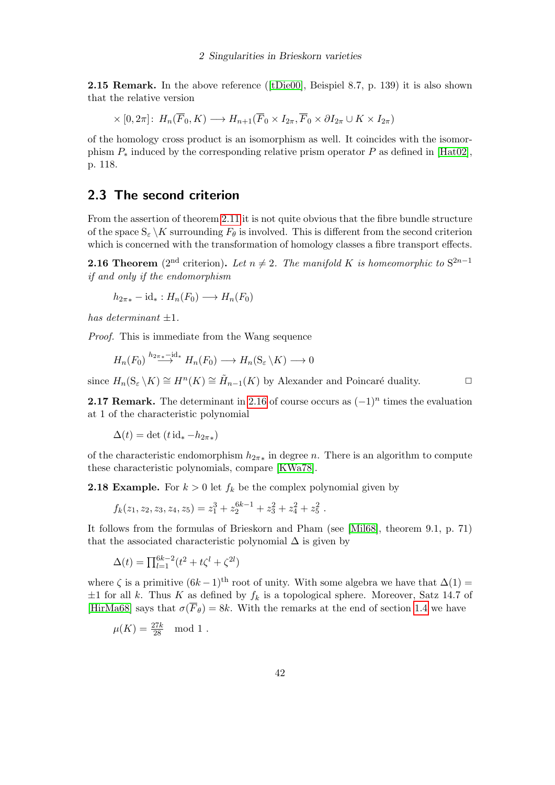**2.15Remark.** In the above reference ( $[tDie00]$ , Beispiel 8.7, p. 139) it is also shown that the relative version

$$
\times [0, 2\pi] \colon H_n(\overline{F}_0, K) \longrightarrow H_{n+1}(\overline{F}_0 \times I_{2\pi}, \overline{F}_0 \times \partial I_{2\pi} \cup K \times I_{2\pi})
$$

of the homology cross product is an isomorphism as well. It coincides with the isomorphism  $P_*$  induced by the corresponding relative prism operator P as defined in [\[Hat02\]](#page-46-10), p. 118.

## <span id="page-41-0"></span>2.3 The second criterion

From the assertion of theorem [2.11](#page-37-0) it is not quite obvious that the fibre bundle structure of the space  $S_{\varepsilon} \backslash K$  surrounding  $F_{\theta}$  is involved. This is different from the second criterion which is concerned with the transformation of homology classes a fibre transport effects.

<span id="page-41-2"></span>**2.16 Theorem** (2<sup>nd</sup> criterion). Let  $n \neq 2$ . The manifold K is homeomorphic to S<sup>2n-1</sup> if and only if the endomorphism

 $h_{2\pi *}$  – id $_* : H_n(F_0) \longrightarrow H_n(F_0)$ 

has determinant  $\pm 1$ .

Proof. This is immediate from the Wang sequence

$$
H_n(F_0) \stackrel{h_{2\pi^*} \to \mathrm{id}_*}{\longrightarrow} H_n(F_0) \longrightarrow H_n(\mathrm{S}_{\varepsilon} \setminus K) \longrightarrow 0
$$

since  $H_n(S_\varepsilon \setminus K) \cong H^n(K) \cong \tilde{H}_{n-1}(K)$  by Alexander and Poincaré duality.  $\Box$ 

**2.17 Remark.** The determinant in [2.16](#page-41-2) of course occurs as  $(-1)^n$  times the evaluation at 1 of the characteristic polynomial

 $\Delta(t) = \det(t \, \mathrm{id}_* - h_{2\pi*})$ 

of the characteristic endomorphism  $h_{2\pi\ast}$  in degree n. There is an algorithm to compute these characteristic polynomials, compare [\[KWa78\]](#page-49-10).

<span id="page-41-1"></span>**2.18 Example.** For  $k > 0$  let  $f_k$  be the complex polynomial given by

 $f_k(z_1, z_2, z_3, z_4, z_5) = z_1^3 + z_2^{6k-1} + z_3^2 + z_4^2 + z_5^2$ .

It follows from the formulas of Brieskorn and Pham (see [\[Mil68\]](#page-48-0), theorem 9.1, p. 71) that the associated characteristic polynomial  $\Delta$  is given by

$$
\Delta(t) = \prod_{l=1}^{6k-2} (t^2 + t\zeta^l + \zeta^{2l})
$$

where  $\zeta$  is a primitive  $(6k-1)$ <sup>th</sup> root of unity. With some algebra we have that  $\Delta(1)$  =  $\pm 1$  for all k. Thus K as defined by  $f_k$  is a topological sphere. Moreover, Satz 14.7 of [\[HirMa68\]](#page-46-8) says that  $\sigma(\overline{F}_{\theta}) = 8k$ . With the remarks at the end of section [1.4](#page-30-0) we have

$$
\mu(K) = \frac{27k}{28} \mod 1.
$$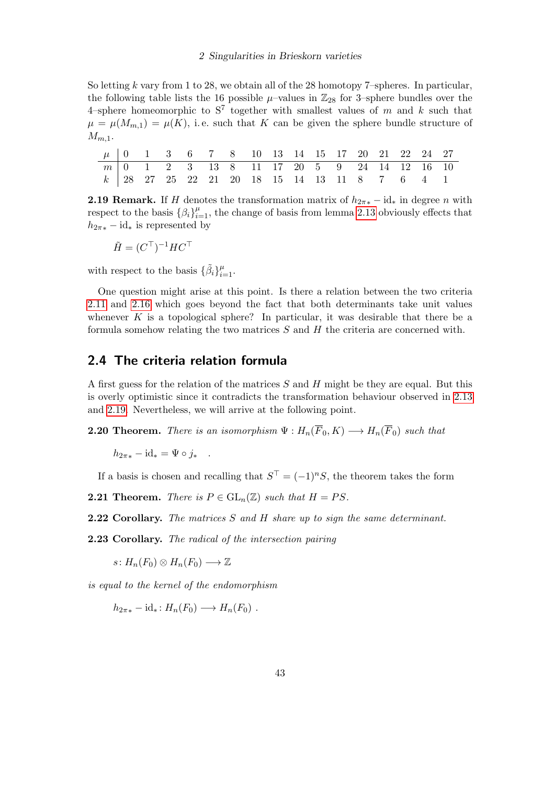So letting  $k$  vary from 1 to 28, we obtain all of the 28 homotopy 7–spheres. In particular, the following table lists the 16 possible  $\mu$ –values in  $\mathbb{Z}_{28}$  for 3–sphere bundles over the 4-sphere homeomorphic to  $S^7$  together with smallest values of m and k such that  $\mu = \mu(M_{m,1}) = \mu(K)$ , i.e. such that K can be given the sphere bundle structure of  $M_{m,1}$ .

|  |  |  | $\mu$   0   1   3   6   7   8   10   13   14   15   17   20   21   22   24   27 |  |  |  |  |  |
|--|--|--|---------------------------------------------------------------------------------|--|--|--|--|--|
|  |  |  | $\boxed{m 0}$ 1 2 3 13 8 11 17 20 5 9 24 14 12 16 10                            |  |  |  |  |  |
|  |  |  | k   28 27 25 22 21 20 18 15 14 13 11 8 7 6 4 1                                  |  |  |  |  |  |

<span id="page-42-1"></span>**2.19 Remark.** If H denotes the transformation matrix of  $h_{2\pi *}$  – id<sub>\*</sub> in degree n with respect to the basis  $\{\beta_i\}_{i=1}^{\mu}$ , the change of basis from lemma [2.13](#page-38-3) obviously effects that  $h_{2\pi*}$  – id<sub>\*</sub> is represented by

$$
\tilde{H} = (C^{\top})^{-1} H C^{\top}
$$

with respect to the basis  $\{\tilde{\beta}_i\}_{i=1}^{\mu}$ .

One question might arise at this point. Is there a relation between the two criteria [2.11](#page-37-0) and [2.16](#page-41-2) which goes beyond the fact that both determinants take unit values whenever K is a topological sphere? In particular, it was desirable that there be a formula somehow relating the two matrices  $S$  and  $H$  the criteria are concerned with.

## <span id="page-42-0"></span>2.4 The criteria relation formula

A first guess for the relation of the matrices S and H might be they are equal. But this is overly optimistic since it contradicts the transformation behaviour observed in [2.13](#page-38-3) and [2.19.](#page-42-1) Nevertheless, we will arrive at the following point.

<span id="page-42-2"></span>**2.20 Theorem.** There is an isomorphism  $\Psi : H_n(\overline{F}_0, K) \longrightarrow H_n(\overline{F}_0)$  such that

 $h_{2\pi *} - \mathrm{id}_* = \Psi \circ j_*$ .

If a basis is chosen and recalling that  $S^{\top} = (-1)^n S$ , the theorem takes the form

**2.21 Theorem.** There is  $P \in GL_n(\mathbb{Z})$  such that  $H = PS$ .

**2.22 Corollary.** The matrices S and H share up to sign the same determinant.

2.23 Corollary. The radical of the intersection pairing

 $s: H_n(F_0) \otimes H_n(F_0) \longrightarrow \mathbb{Z}$ 

is equal to the kernel of the endomorphism

 $h_{2\pi *}$  – id<sub>\*</sub>:  $H_n(F_0) \longrightarrow H_n(F_0)$ .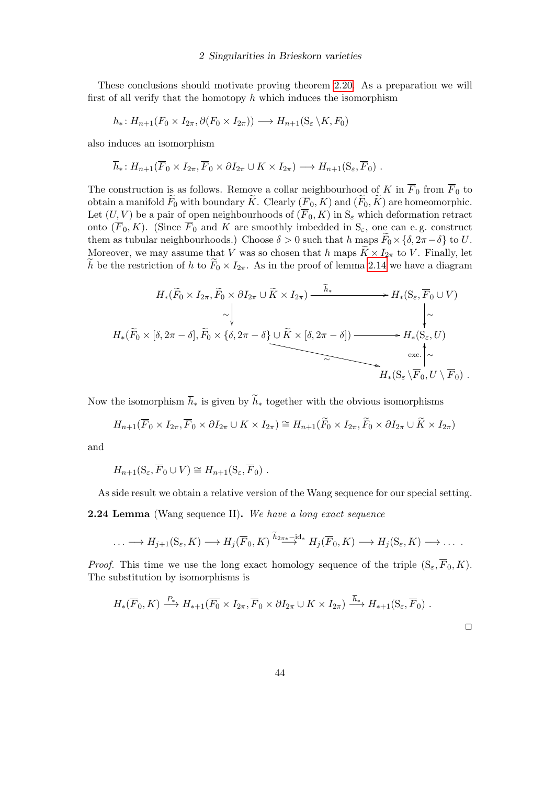These conclusions should motivate proving theorem [2.20.](#page-42-2) As a preparation we will first of all verify that the homotopy  $h$  which induces the isomorphism

$$
h_*: H_{n+1}(F_0 \times I_{2\pi}, \partial(F_0 \times I_{2\pi})) \longrightarrow H_{n+1}(S_{\varepsilon} \backslash K, F_0)
$$

also induces an isomorphism

$$
\overline{h}_*: H_{n+1}(\overline{F}_0 \times I_{2\pi}, \overline{F}_0 \times \partial I_{2\pi} \cup K \times I_{2\pi}) \longrightarrow H_{n+1}(S_{\varepsilon}, \overline{F}_0) .
$$

The construction is as follows. Remove a collar neighbourhood of K in  $\overline{F}_0$  from  $\overline{F}_0$  to obtain a manifold  $\tilde{F}_0$  with boundary K. Clearly  $(\overline{F}_0, K)$  and  $(\overline{F}_0, K)$  are homeomorphic. Let  $(U, V)$  be a pair of open neighbourhoods of  $(\overline{F}_0, K)$  in  $S_{\varepsilon}$  which deformation retract onto  $(\overline{F}_0, K)$ . (Since  $\overline{F}_0$  and K are smoothly imbedded in  $S_\varepsilon$ , one can e.g. construct them as tubular neighbourhoods.) Choose  $\delta > 0$  such that h maps  $\tilde{F}_0 \times {\delta, 2\pi - \delta}$  to U. Moreover, we may assume that V was so chosen that h maps  $\widetilde{K} \times I_{2\pi}$  to V. Finally, let  $\widetilde{h}$  be the restriction of h to  $\widetilde{F}_0 \times I_{2\pi}$ . As in the proof of lemma [2.14](#page-40-0) we have a diagram

$$
H_{*}(\widetilde{F}_{0} \times I_{2\pi}, \widetilde{F}_{0} \times \partial I_{2\pi} \cup \widetilde{K} \times I_{2\pi}) \xrightarrow{\widetilde{h}_{*}} H_{*}(S_{\varepsilon}, \overline{F}_{0} \cup V)
$$
  
\n
$$
\sim \downarrow \qquad \qquad \downarrow \qquad \qquad \downarrow
$$
  
\n
$$
H_{*}(\widetilde{F}_{0} \times [\delta, 2\pi - \delta], \widetilde{F}_{0} \times \{\delta, 2\pi - \delta\} \cup \widetilde{K} \times [\delta, 2\pi - \delta]) \xrightarrow{\widetilde{h}_{*}} H_{*}(S_{\varepsilon}, U)
$$
  
\n
$$
\sim H_{*}(S_{\varepsilon} \setminus \overline{F}_{0}, U \setminus \overline{F}_{0}) .
$$

Now the isomorphism  $\bar{h}_*$  is given by  $\tilde{h}_*$  together with the obvious isomorphisms

$$
H_{n+1}(\overline{F}_0 \times I_{2\pi}, \overline{F}_0 \times \partial I_{2\pi} \cup K \times I_{2\pi}) \cong H_{n+1}(\widetilde{F}_0 \times I_{2\pi}, \widetilde{F}_0 \times \partial I_{2\pi} \cup \widetilde{K} \times I_{2\pi})
$$

and

$$
H_{n+1}(S_{\varepsilon}, \overline{F}_0 \cup V) \cong H_{n+1}(S_{\varepsilon}, \overline{F}_0) .
$$

As side result we obtain a relative version of the Wang sequence for our special setting.

2.24 Lemma (Wang sequence II). We have a long exact sequence

$$
\ldots \longrightarrow H_{j+1}(S_{\varepsilon}, K) \longrightarrow H_j(\overline{F}_0, K) \stackrel{\overline{h}_{2\pi^*} \longrightarrow}{\longrightarrow} H_j(\overline{F}_0, K) \longrightarrow H_j(S_{\varepsilon}, K) \longrightarrow \ldots
$$

*Proof.* This time we use the long exact homology sequence of the triple  $(S_{\varepsilon}, \overline{F}_0, K)$ . The substitution by isomorphisms is

$$
H_*(\overline{F}_0, K) \xrightarrow{P_*} H_{*+1}(\overline{F_0} \times I_{2\pi}, \overline{F}_0 \times \partial I_{2\pi} \cup K \times I_{2\pi}) \xrightarrow{h_*} H_{*+1}(S_{\varepsilon}, \overline{F}_0) .
$$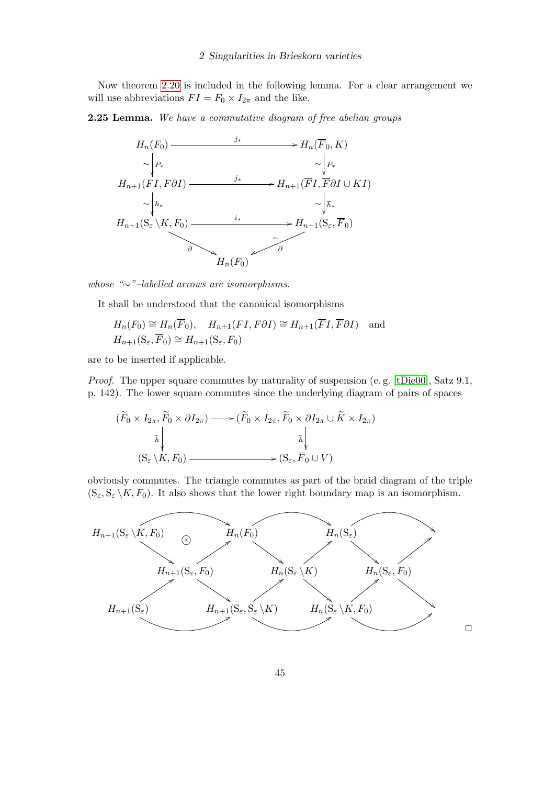Now theorem [2.20](#page-42-2) is included in the following lemma. For a clear arrangement we will use abbreviations  $FI = F_0 \times I_{2\pi}$  and the like.

### 2.25 Lemma. We have a commutative diagram of free abelian groups



whose "∼"–labelled arrows are isomorphisms.

It shall be understood that the canonical isomorphisms

$$
H_n(F_0) \cong H_n(\overline{F}_0), \quad H_{n+1}(FI, F\partial I) \cong H_{n+1}(\overline{F}I, \overline{F}\partial I) \quad \text{and}
$$
  

$$
H_{n+1}(S_{\varepsilon}, \overline{F}_0) \cong H_{n+1}(S_{\varepsilon}, F_0)
$$

are to be inserted if applicable.

Proof. The upper square commutes by naturality of suspension (e.g. [\[tDie00\]](#page-46-9), Satz 9.1, p. 142). The lower square commutes since the underlying diagram of pairs of spaces

$$
(\widetilde{F}_0 \times I_{2\pi}, \widetilde{F}_0 \times \partial I_{2\pi}) \longrightarrow (\widetilde{F}_0 \times I_{2\pi}, \widetilde{F}_0 \times \partial I_{2\pi} \cup \widetilde{K} \times I_{2\pi})
$$

$$
\widetilde{h} \downarrow \qquad \qquad \widetilde{h} \downarrow
$$

$$
(S_{\varepsilon} \setminus K, F_0) \longrightarrow (S_{\varepsilon}, \overline{F}_0 \cup V)
$$

obviously commutes. The triangle commutes as part of the braid diagram of the triple  $(S_{\varepsilon}, S_{\varepsilon} \setminus K, F_0)$ . It also shows that the lower right boundary map is an isomorphism.



 $\Box$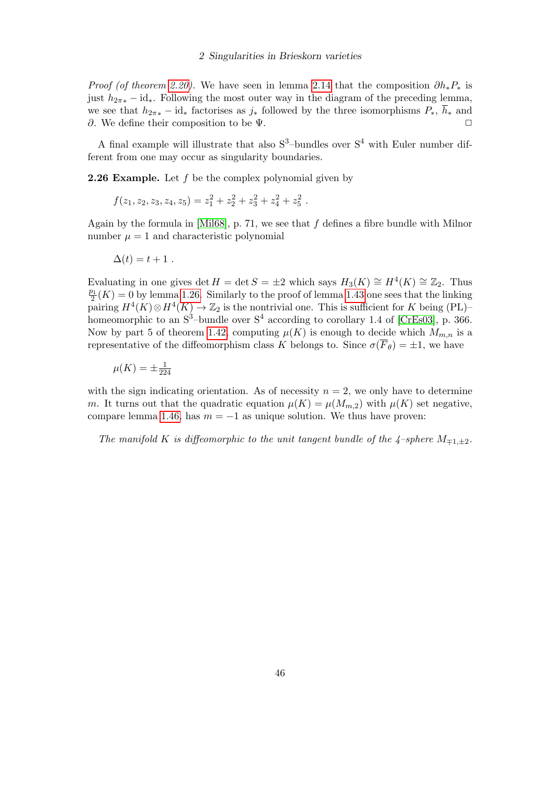*Proof (of theorem [2.20\)](#page-42-2).* We have seen in lemma [2.14](#page-40-0) that the composition  $\partial h_* P_*$  is just  $h_{2\pi\ast} - id_{\ast}$ . Following the most outer way in the diagram of the preceding lemma, we see that  $h_{2\pi *}$  – id<sub>\*</sub> factorises as  $j_*$  followed by the three isomorphisms  $P_*, \bar{h}_*$  and ∂. We define their composition to be  $\Psi$ .

A final example will illustrate that also  $S^3$ -bundles over  $S^4$  with Euler number different from one may occur as singularity boundaries.

**2.26 Example.** Let  $f$  be the complex polynomial given by

$$
f(z_1, z_2, z_3, z_4, z_5) = z_1^2 + z_2^2 + z_3^2 + z_4^2 + z_5^2.
$$

Again by the formula in [\[Mil68\]](#page-48-0), p. 71, we see that  $f$  defines a fibre bundle with Milnor number  $\mu = 1$  and characteristic polynomial

$$
\Delta(t) = t + 1.
$$

Evaluating in one gives det  $H = \det S = \pm 2$  which says  $H_3(K) \cong H^4(K) \cong \mathbb{Z}_2$ . Thus  $\overline{p_1}$  $\frac{21}{2}(K) = 0$  by lemma [1.26.](#page-18-2) Similarly to the proof of lemma [1.43](#page-26-1) one sees that the linking pairing  $H^4(K) \otimes H^4(K) \to \mathbb{Z}_2$  is the nontrivial one. This is sufficient for K being (PL)homeomorphic to an  $S^3$ -bundle over  $S^4$  according to corollary 1.4 of [\[CrEs03\]](#page-46-1), p. 366. Now by part 5 of theorem [1.42,](#page-25-1) computing  $\mu(K)$  is enough to decide which  $M_{m,n}$  is a representative of the diffeomorphism class K belongs to. Since  $\sigma(\overline{F}_{\theta}) = \pm 1$ , we have

$$
\mu(K) = \pm \frac{1}{224}
$$

with the sign indicating orientation. As of necessity  $n = 2$ , we only have to determine m. It turns out that the quadratic equation  $\mu(K) = \mu(M_{m,2})$  with  $\mu(K)$  set negative, compare lemma [1.46,](#page-27-0) has  $m = -1$  as unique solution. We thus have proven:

The manifold K is diffeomorphic to the unit tangent bundle of the  $\frac{4}{4}$ -sphere  $M_{\pm 1,\pm 2}$ .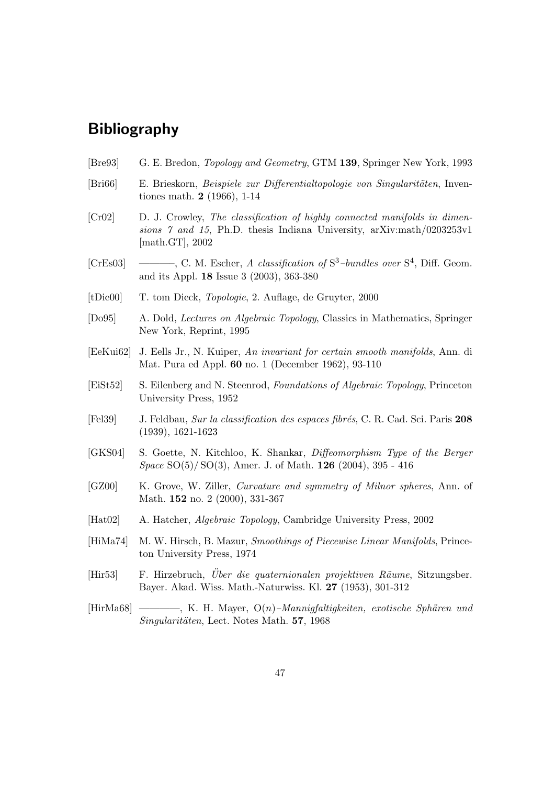- <span id="page-46-0"></span>[Bre93] G. E. Bredon, Topology and Geometry, GTM 139, Springer New York, 1993
- <span id="page-46-7"></span>[Bri66] E. Brieskorn, Beispiele zur Differentialtopologie von Singularitäten, Inventiones math. 2 (1966), 1-14
- <span id="page-46-3"></span>[Cr02] D. J. Crowley, The classification of highly connected manifolds in dimensions 7 and 15, Ph.D. thesis Indiana University, arXiv:math/0203253v1 [math.GT], 2002
- <span id="page-46-1"></span>[CrEs03] ———, C. M. Escher, A classification of  $S^3$ -bundles over  $S^4$ , Diff. Geom. and its Appl. 18 Issue 3 (2003), 363-380
- <span id="page-46-9"></span>[tDie00] T. tom Dieck, Topologie, 2. Auflage, de Gruyter, 2000
- [Do95] A. Dold, Lectures on Algebraic Topology, Classics in Mathematics, Springer New York, Reprint, 1995
- <span id="page-46-6"></span>[EeKui62] J. Eells Jr., N. Kuiper, An invariant for certain smooth manifolds, Ann. di Mat. Pura ed Appl. 60 no. 1 (December 1962), 93-110
- [EiSt52] S. Eilenberg and N. Steenrod, Foundations of Algebraic Topology, Princeton University Press, 1952
- [Fel39] J. Feldbau, Sur la classification des espaces fibrés, C. R. Cad. Sci. Paris 208 (1939), 1621-1623
- <span id="page-46-5"></span>[GKS04] S. Goette, N. Kitchloo, K. Shankar, Diffeomorphism Type of the Berger Space SO(5)/ SO(3), Amer. J. of Math. 126 (2004), 395 - 416
- <span id="page-46-4"></span>[GZ00] K. Grove, W. Ziller, Curvature and symmetry of Milnor spheres, Ann. of Math. **152** no. 2 (2000), 331-367
- <span id="page-46-10"></span>[Hat02] A. Hatcher, Algebraic Topology, Cambridge University Press, 2002
- <span id="page-46-2"></span>[HiMa74] M. W. Hirsch, B. Mazur, Smoothings of Piecewise Linear Manifolds, Princeton University Press, 1974
- [Hir53] F. Hirzebruch, Uber die quaternionalen projektiven Räume, Sitzungsber. Bayer. Akad. Wiss. Math.-Naturwiss. Kl. 27 (1953), 301-312
- <span id="page-46-8"></span> $[HirMa68]$  ———, K. H. Mayer,  $O(n)$ –*Mannigfaltigkeiten, exotische Sphären und* Singularitäten, Lect. Notes Math. 57, 1968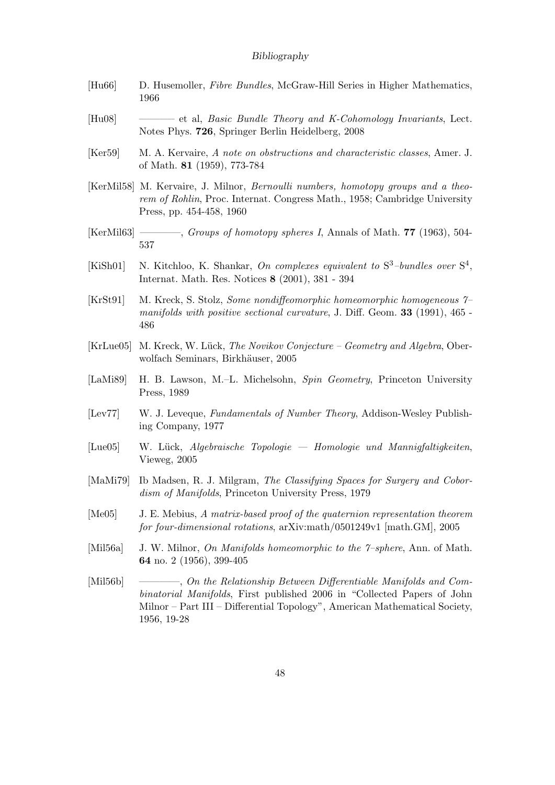- [Hu66] D. Husemoller, Fibre Bundles, McGraw-Hill Series in Higher Mathematics, 1966
- <span id="page-47-5"></span>[Hu08] ———– et al, Basic Bundle Theory and K-Cohomology Invariants, Lect. Notes Phys. 726, Springer Berlin Heidelberg, 2008
- <span id="page-47-4"></span>[Ker59] M. A. Kervaire, A note on obstructions and characteristic classes, Amer. J. of Math. 81 (1959), 773-784
- <span id="page-47-9"></span>[KerMil58] M. Kervaire, J. Milnor, Bernoulli numbers, homotopy groups and a theorem of Rohlin, Proc. Internat. Congress Math., 1958; Cambridge University Press, pp. 454-458, 1960
- <span id="page-47-0"></span>[KerMil63] ————, Groups of homotopy spheres I, Annals of Math. 77 (1963), 504- 537
- <span id="page-47-10"></span>[KiSh01] N. Kitchloo, K. Shankar, On complexes equivalent to  $S^3$ -bundles over  $S^4$ , Internat. Math. Res. Notices 8 (2001), 381 - 394
- <span id="page-47-6"></span>[KrSt91] M. Kreck, S. Stolz, Some nondiffeomorphic homeomorphic homogeneous 7– manifolds with positive sectional curvature, J. Diff. Geom. 33 (1991), 465 -486
- <span id="page-47-7"></span>[KrLue05] M. Kreck, W. Lück, The Novikov Conjecture – Geometry and Algebra, Oberwolfach Seminars, Birkhäuser, 2005
- [LaMi89] H. B. Lawson, M.–L. Michelsohn, Spin Geometry, Princeton University Press, 1989
- <span id="page-47-8"></span>[Lev77] W. J. Leveque, Fundamentals of Number Theory, Addison-Wesley Publishing Company, 1977
- [Lue05] W. L¨uck, Algebraische Topologie Homologie und Mannigfaltigkeiten, Vieweg, 2005
- [MaMi79] Ib Madsen, R. J. Milgram, The Classifying Spaces for Surgery and Cobordism of Manifolds, Princeton University Press, 1979
- <span id="page-47-1"></span>[Me05] J. E. Mebius, A matrix-based proof of the quaternion representation theorem for four-dimensional rotations, arXiv:math/0501249v1 [math.GM], 2005
- <span id="page-47-2"></span>[Mil56a] J. W. Milnor, On Manifolds homeomorphic to the  $\gamma$ -sphere, Ann. of Math. 64 no. 2 (1956), 399-405
- <span id="page-47-3"></span>[Mil56b] ————, On the Relationship Between Differentiable Manifolds and Combinatorial Manifolds, First published 2006 in "Collected Papers of John Milnor – Part III – Differential Topology", American Mathematical Society, 1956, 19-28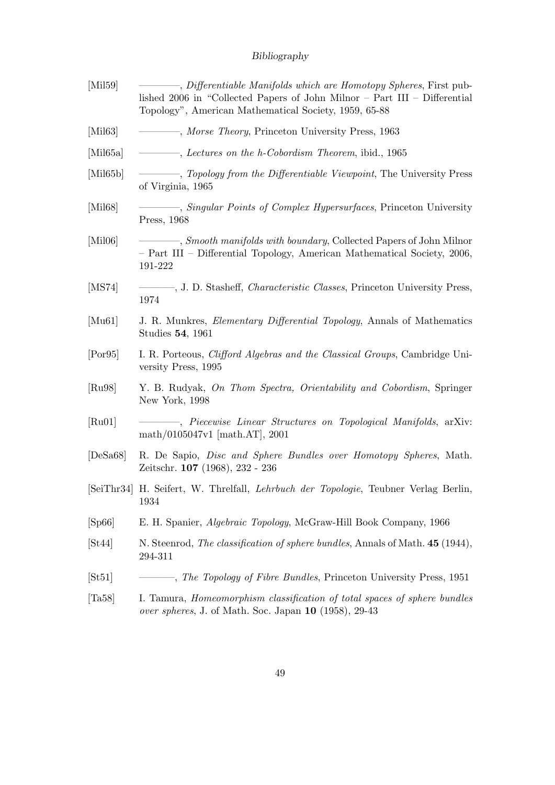<span id="page-48-11"></span><span id="page-48-10"></span><span id="page-48-9"></span><span id="page-48-8"></span><span id="page-48-7"></span><span id="page-48-6"></span><span id="page-48-5"></span><span id="page-48-4"></span><span id="page-48-3"></span><span id="page-48-2"></span><span id="page-48-1"></span><span id="page-48-0"></span>

| [Mil59]              | -, Differentiable Manifolds which are Homotopy Spheres, First pub-<br>lished 2006 in "Collected Papers of John Milnor $-$ Part III $-$ Differential<br>Topology", American Mathematical Society, 1959, 65-88 |
|----------------------|--------------------------------------------------------------------------------------------------------------------------------------------------------------------------------------------------------------|
| [Mil63]              | - Morse Theory, Princeton University Press, 1963                                                                                                                                                             |
| [Mil65a]             | -, Lectures on the h-Cobordism Theorem, ibid., 1965                                                                                                                                                          |
| [Mil65b]             | of Virginia, 1965                                                                                                                                                                                            |
| [Mil68]              | - Singular Points of Complex Hypersurfaces, Princeton University<br>Press, 1968                                                                                                                              |
| [Mil06]              | - - - - - - Smooth manifolds with boundary, Collected Papers of John Milnor<br>- Part III - Differential Topology, American Mathematical Society, 2006,<br>191-222                                           |
| [MS74]               | , J. D. Stasheff, <i>Characteristic Classes</i> , Princeton University Press,<br>1974                                                                                                                        |
| [Mu61]               | J. R. Munkres, <i>Elementary Differential Topology</i> , Annals of Mathematics<br>Studies 54, 1961                                                                                                           |
| [Por95]              | I. R. Porteous, <i>Clifford Algebras and the Classical Groups</i> , Cambridge Uni-<br>versity Press, 1995                                                                                                    |
| [Ru98]               | Y. B. Rudyak, On Thom Spectra, Orientability and Cobordism, Springer<br>New York, 1998                                                                                                                       |
| [Ru01]               | - Riecewise Linear Structures on Topological Manifolds, arXiv:<br>math/0105047v1 [math.AT], 2001                                                                                                             |
| [ $DeSa68$ ]         | R. De Sapio, <i>Disc and Sphere Bundles over Homotopy Spheres</i> , Math.<br>Zeitschr. 107 (1968), 232 - 236                                                                                                 |
|                      | [SeiThr34] H. Seifert, W. Threlfall, <i>Lehrbuch der Topologie</i> , Teubner Verlag Berlin,<br>1934                                                                                                          |
| [Sp66]               | E. H. Spanier, Algebraic Topology, McGraw-Hill Book Company, 1966                                                                                                                                            |
| [St44]               | N. Steenrod, The classification of sphere bundles, Annals of Math. 45 (1944),<br>294-311                                                                                                                     |
| [St51]               | -, The Topology of Fibre Bundles, Princeton University Press, 1951                                                                                                                                           |
| $\vert$ Ta58 $\vert$ | I. Tamura, <i>Homeomorphism</i> classification of total spaces of sphere bundles<br><i>over spheres</i> , J. of Math. Soc. Japan 10 (1958), 29-43                                                            |